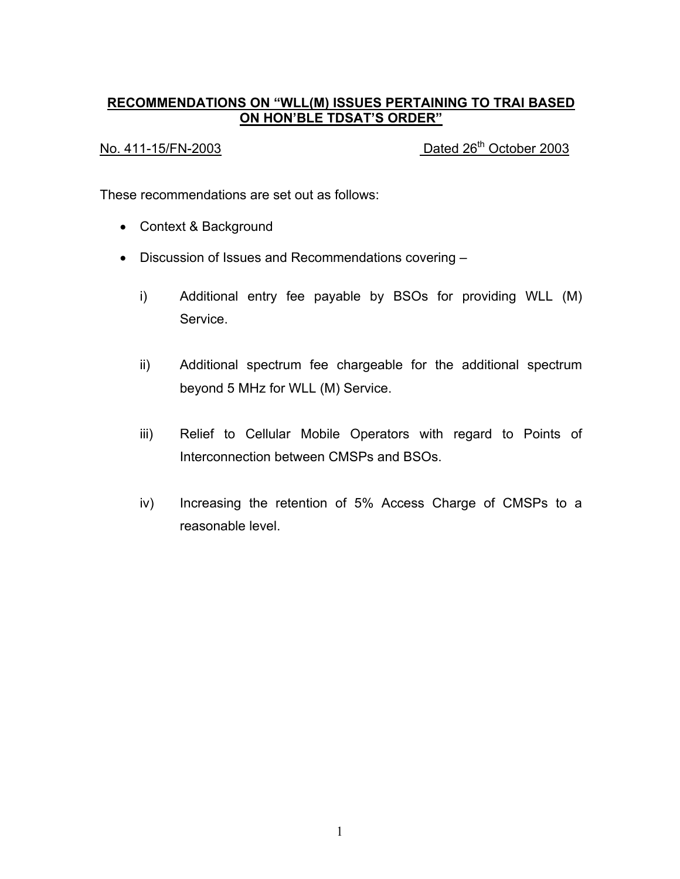# **RECOMMENDATIONS ON "WLL(M) ISSUES PERTAINING TO TRAI BASED ON HON'BLE TDSAT'S ORDER"**

No. 411-15/FN-2003 Dated 26<sup>th</sup> October 2003

These recommendations are set out as follows:

- Context & Background
- Discussion of Issues and Recommendations covering
	- i) Additional entry fee payable by BSOs for providing WLL (M) Service.
	- ii) Additional spectrum fee chargeable for the additional spectrum beyond 5 MHz for WLL (M) Service.
	- iii) Relief to Cellular Mobile Operators with regard to Points of Interconnection between CMSPs and BSOs.
	- iv) Increasing the retention of 5% Access Charge of CMSPs to a reasonable level.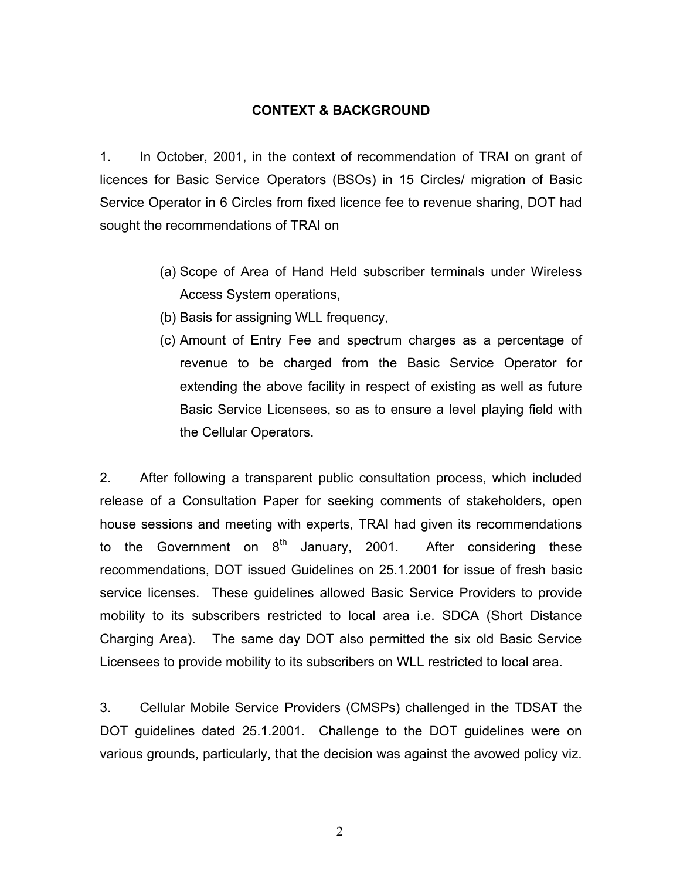#### **CONTEXT & BACKGROUND**

1. In October, 2001, in the context of recommendation of TRAI on grant of licences for Basic Service Operators (BSOs) in 15 Circles/ migration of Basic Service Operator in 6 Circles from fixed licence fee to revenue sharing, DOT had sought the recommendations of TRAI on

- (a) Scope of Area of Hand Held subscriber terminals under Wireless Access System operations,
- (b) Basis for assigning WLL frequency,
- (c) Amount of Entry Fee and spectrum charges as a percentage of revenue to be charged from the Basic Service Operator for extending the above facility in respect of existing as well as future Basic Service Licensees, so as to ensure a level playing field with the Cellular Operators.

2. After following a transparent public consultation process, which included release of a Consultation Paper for seeking comments of stakeholders, open house sessions and meeting with experts, TRAI had given its recommendations to the Government on  $8<sup>th</sup>$  January, 2001. After considering these recommendations, DOT issued Guidelines on 25.1.2001 for issue of fresh basic service licenses. These guidelines allowed Basic Service Providers to provide mobility to its subscribers restricted to local area i.e. SDCA (Short Distance Charging Area). The same day DOT also permitted the six old Basic Service Licensees to provide mobility to its subscribers on WLL restricted to local area.

3. Cellular Mobile Service Providers (CMSPs) challenged in the TDSAT the DOT guidelines dated 25.1.2001. Challenge to the DOT guidelines were on various grounds, particularly, that the decision was against the avowed policy viz.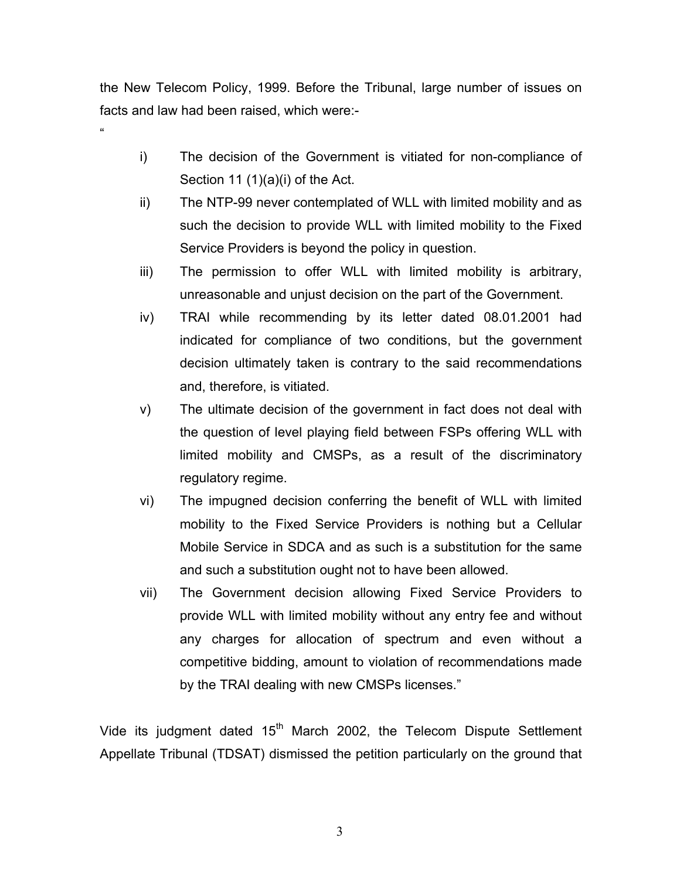the New Telecom Policy, 1999. Before the Tribunal, large number of issues on facts and law had been raised, which were:-

"

- i) The decision of the Government is vitiated for non-compliance of Section 11 (1)(a)(i) of the Act.
- ii) The NTP-99 never contemplated of WLL with limited mobility and as such the decision to provide WLL with limited mobility to the Fixed Service Providers is beyond the policy in question.
- iii) The permission to offer WLL with limited mobility is arbitrary, unreasonable and unjust decision on the part of the Government.
- iv) TRAI while recommending by its letter dated 08.01.2001 had indicated for compliance of two conditions, but the government decision ultimately taken is contrary to the said recommendations and, therefore, is vitiated.
- v) The ultimate decision of the government in fact does not deal with the question of level playing field between FSPs offering WLL with limited mobility and CMSPs, as a result of the discriminatory regulatory regime.
- vi) The impugned decision conferring the benefit of WLL with limited mobility to the Fixed Service Providers is nothing but a Cellular Mobile Service in SDCA and as such is a substitution for the same and such a substitution ought not to have been allowed.
- vii) The Government decision allowing Fixed Service Providers to provide WLL with limited mobility without any entry fee and without any charges for allocation of spectrum and even without a competitive bidding, amount to violation of recommendations made by the TRAI dealing with new CMSPs licenses."

Vide its judgment dated  $15<sup>th</sup>$  March 2002, the Telecom Dispute Settlement Appellate Tribunal (TDSAT) dismissed the petition particularly on the ground that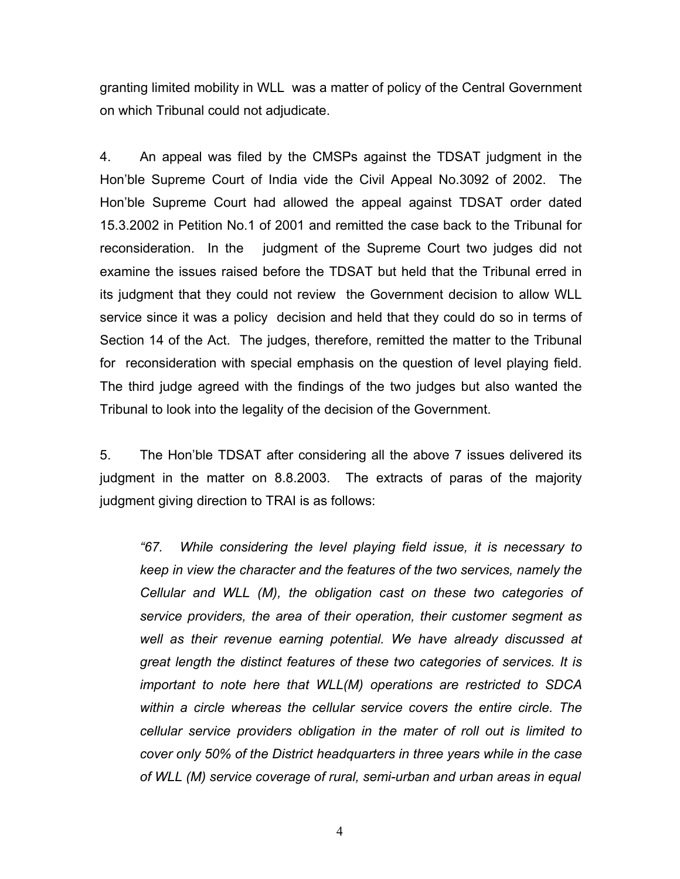granting limited mobility in WLL was a matter of policy of the Central Government on which Tribunal could not adjudicate.

4. An appeal was filed by the CMSPs against the TDSAT judgment in the Hon'ble Supreme Court of India vide the Civil Appeal No.3092 of 2002. The Hon'ble Supreme Court had allowed the appeal against TDSAT order dated 15.3.2002 in Petition No.1 of 2001 and remitted the case back to the Tribunal for reconsideration. In the judgment of the Supreme Court two judges did not examine the issues raised before the TDSAT but held that the Tribunal erred in its judgment that they could not review the Government decision to allow WLL service since it was a policy decision and held that they could do so in terms of Section 14 of the Act. The judges, therefore, remitted the matter to the Tribunal for reconsideration with special emphasis on the question of level playing field. The third judge agreed with the findings of the two judges but also wanted the Tribunal to look into the legality of the decision of the Government.

5. The Hon'ble TDSAT after considering all the above 7 issues delivered its judgment in the matter on 8.8.2003. The extracts of paras of the majority judgment giving direction to TRAI is as follows:

*"67. While considering the level playing field issue, it is necessary to keep in view the character and the features of the two services, namely the Cellular and WLL (M), the obligation cast on these two categories of service providers, the area of their operation, their customer segment as well as their revenue earning potential. We have already discussed at great length the distinct features of these two categories of services. It is important to note here that WLL(M) operations are restricted to SDCA within a circle whereas the cellular service covers the entire circle. The cellular service providers obligation in the mater of roll out is limited to cover only 50% of the District headquarters in three years while in the case of WLL (M) service coverage of rural, semi-urban and urban areas in equal*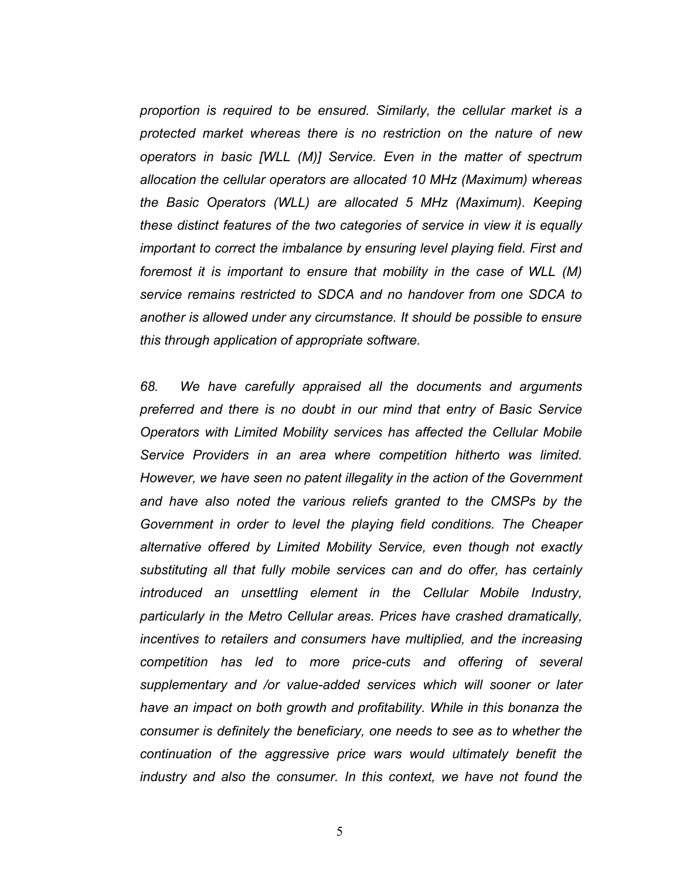*proportion is required to be ensured. Similarly, the cellular market is a protected market whereas there is no restriction on the nature of new operators in basic [WLL (M)] Service. Even in the matter of spectrum allocation the cellular operators are allocated 10 MHz (Maximum) whereas the Basic Operators (WLL) are allocated 5 MHz (Maximum). Keeping these distinct features of the two categories of service in view it is equally important to correct the imbalance by ensuring level playing field. First and foremost it is important to ensure that mobility in the case of WLL (M) service remains restricted to SDCA and no handover from one SDCA to another is allowed under any circumstance. It should be possible to ensure this through application of appropriate software.*

*68. We have carefully appraised all the documents and arguments preferred and there is no doubt in our mind that entry of Basic Service Operators with Limited Mobility services has affected the Cellular Mobile Service Providers in an area where competition hitherto was limited. However, we have seen no patent illegality in the action of the Government and have also noted the various reliefs granted to the CMSPs by the Government in order to level the playing field conditions. The Cheaper alternative offered by Limited Mobility Service, even though not exactly substituting all that fully mobile services can and do offer, has certainly introduced an unsettling element in the Cellular Mobile Industry, particularly in the Metro Cellular areas. Prices have crashed dramatically, incentives to retailers and consumers have multiplied, and the increasing competition has led to more price-cuts and offering of several supplementary and /or value-added services which will sooner or later have an impact on both growth and profitability. While in this bonanza the consumer is definitely the beneficiary, one needs to see as to whether the continuation of the aggressive price wars would ultimately benefit the industry and also the consumer. In this context, we have not found the*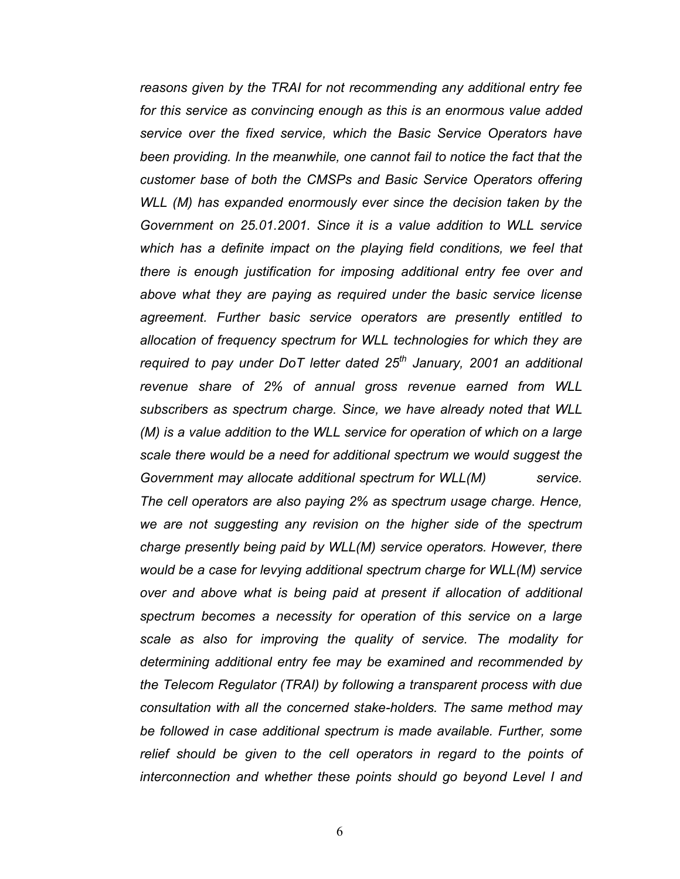*reasons given by the TRAI for not recommending any additional entry fee for this service as convincing enough as this is an enormous value added service over the fixed service, which the Basic Service Operators have*  been providing. In the meanwhile, one cannot fail to notice the fact that the *customer base of both the CMSPs and Basic Service Operators offering WLL (M) has expanded enormously ever since the decision taken by the Government on 25.01.2001. Since it is a value addition to WLL service*  which has a definite impact on the playing field conditions, we feel that *there is enough justification for imposing additional entry fee over and above what they are paying as required under the basic service license agreement. Further basic service operators are presently entitled to allocation of frequency spectrum for WLL technologies for which they are required to pay under DoT letter dated 25th January, 2001 an additional revenue share of 2% of annual gross revenue earned from WLL subscribers as spectrum charge. Since, we have already noted that WLL (M) is a value addition to the WLL service for operation of which on a large scale there would be a need for additional spectrum we would suggest the Government may allocate additional spectrum for WLL(M) service. The cell operators are also paying 2% as spectrum usage charge. Hence, we are not suggesting any revision on the higher side of the spectrum charge presently being paid by WLL(M) service operators. However, there would be a case for levying additional spectrum charge for WLL(M) service over and above what is being paid at present if allocation of additional spectrum becomes a necessity for operation of this service on a large scale as also for improving the quality of service. The modality for determining additional entry fee may be examined and recommended by the Telecom Regulator (TRAI) by following a transparent process with due consultation with all the concerned stake-holders. The same method may be followed in case additional spectrum is made available. Further, some* relief should be given to the cell operators in regard to the points of *interconnection and whether these points should go beyond Level I and*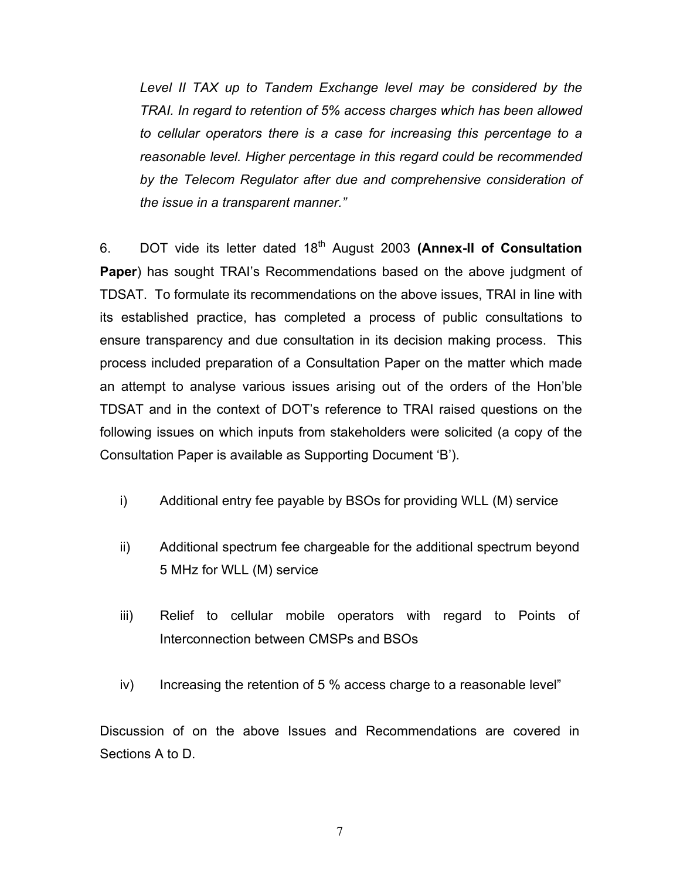*Level II TAX up to Tandem Exchange level may be considered by the TRAI. In regard to retention of 5% access charges which has been allowed to cellular operators there is a case for increasing this percentage to a reasonable level. Higher percentage in this regard could be recommended by the Telecom Regulator after due and comprehensive consideration of the issue in a transparent manner."* 

6. DOT vide its letter dated 18th August 2003 **(Annex-II of Consultation Paper**) has sought TRAI's Recommendations based on the above judgment of TDSAT. To formulate its recommendations on the above issues, TRAI in line with its established practice, has completed a process of public consultations to ensure transparency and due consultation in its decision making process. This process included preparation of a Consultation Paper on the matter which made an attempt to analyse various issues arising out of the orders of the Hon'ble TDSAT and in the context of DOT's reference to TRAI raised questions on the following issues on which inputs from stakeholders were solicited (a copy of the Consultation Paper is available as Supporting Document 'B').

- i) Additional entry fee payable by BSOs for providing WLL (M) service
- ii) Additional spectrum fee chargeable for the additional spectrum beyond 5 MHz for WLL (M) service
- iii) Relief to cellular mobile operators with regard to Points of Interconnection between CMSPs and BSOs
- iv) Increasing the retention of 5 % access charge to a reasonable level"

Discussion of on the above Issues and Recommendations are covered in Sections A to D.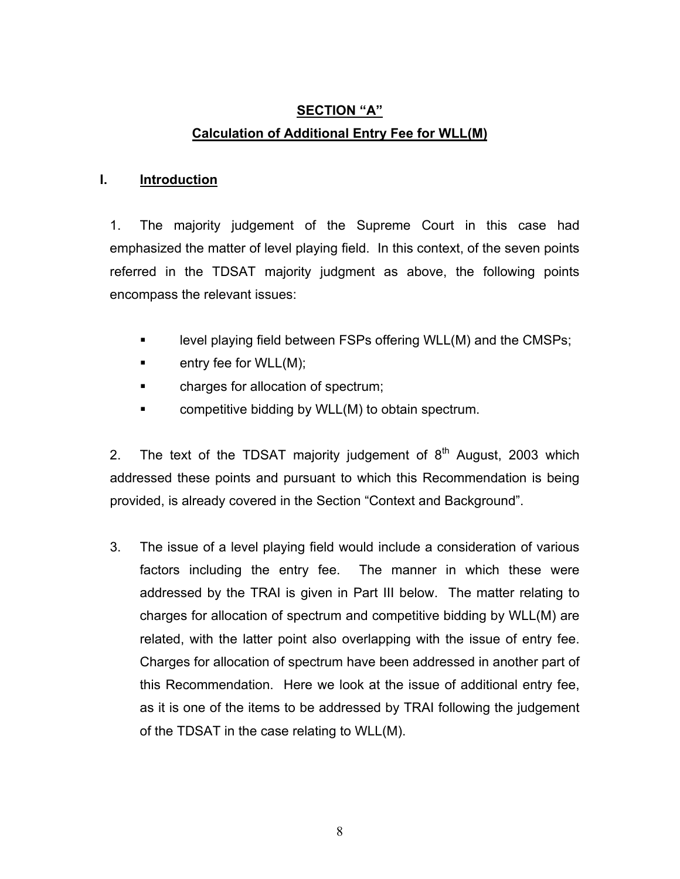# **SECTION "A" Calculation of Additional Entry Fee for WLL(M)**

# **I. Introduction**

1. The majority judgement of the Supreme Court in this case had emphasized the matter of level playing field. In this context, of the seven points referred in the TDSAT majority judgment as above, the following points encompass the relevant issues:

- **Example velocity playing field between FSPs offering WLL(M) and the CMSPs;**
- $\blacksquare$  entry fee for WLL $(M)$ ;
- **Example 3** charges for allocation of spectrum;
- competitive bidding by WLL(M) to obtain spectrum.

2. The text of the TDSAT majority judgement of  $8<sup>th</sup>$  August, 2003 which addressed these points and pursuant to which this Recommendation is being provided, is already covered in the Section "Context and Background".

3. The issue of a level playing field would include a consideration of various factors including the entry fee. The manner in which these were addressed by the TRAI is given in Part III below. The matter relating to charges for allocation of spectrum and competitive bidding by WLL(M) are related, with the latter point also overlapping with the issue of entry fee. Charges for allocation of spectrum have been addressed in another part of this Recommendation. Here we look at the issue of additional entry fee, as it is one of the items to be addressed by TRAI following the judgement of the TDSAT in the case relating to WLL(M).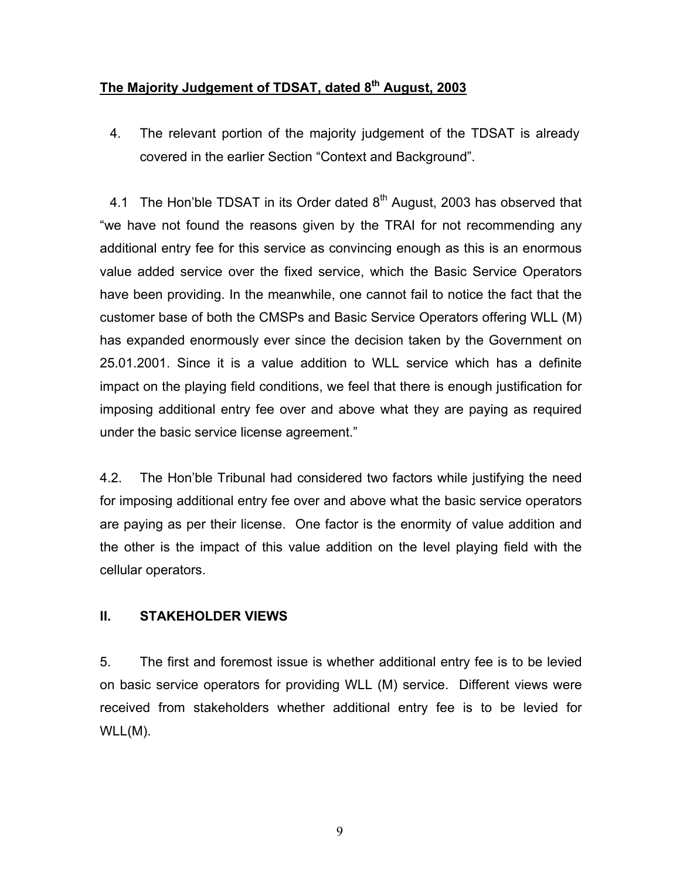# **The Majority Judgement of TDSAT, dated 8th August, 2003**

4. The relevant portion of the majority judgement of the TDSAT is already covered in the earlier Section "Context and Background".

4.1 The Hon'ble TDSAT in its Order dated  $8<sup>th</sup>$  August, 2003 has observed that "we have not found the reasons given by the TRAI for not recommending any additional entry fee for this service as convincing enough as this is an enormous value added service over the fixed service, which the Basic Service Operators have been providing. In the meanwhile, one cannot fail to notice the fact that the customer base of both the CMSPs and Basic Service Operators offering WLL (M) has expanded enormously ever since the decision taken by the Government on 25.01.2001. Since it is a value addition to WLL service which has a definite impact on the playing field conditions, we feel that there is enough justification for imposing additional entry fee over and above what they are paying as required under the basic service license agreement."

4.2. The Hon'ble Tribunal had considered two factors while justifying the need for imposing additional entry fee over and above what the basic service operators are paying as per their license. One factor is the enormity of value addition and the other is the impact of this value addition on the level playing field with the cellular operators.

#### **II. STAKEHOLDER VIEWS**

5. The first and foremost issue is whether additional entry fee is to be levied on basic service operators for providing WLL (M) service. Different views were received from stakeholders whether additional entry fee is to be levied for WLL(M).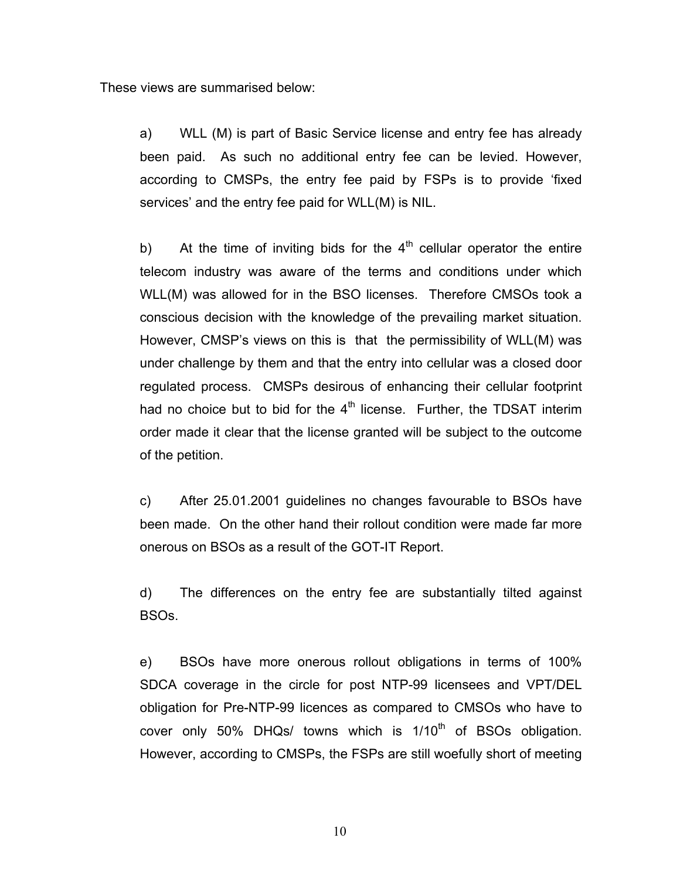These views are summarised below:

a) WLL (M) is part of Basic Service license and entry fee has already been paid. As such no additional entry fee can be levied. However, according to CMSPs, the entry fee paid by FSPs is to provide 'fixed services' and the entry fee paid for WLL(M) is NIL.

b) At the time of inviting bids for the  $4<sup>th</sup>$  cellular operator the entire telecom industry was aware of the terms and conditions under which WLL(M) was allowed for in the BSO licenses. Therefore CMSOs took a conscious decision with the knowledge of the prevailing market situation. However, CMSP's views on this is that the permissibility of WLL(M) was under challenge by them and that the entry into cellular was a closed door regulated process. CMSPs desirous of enhancing their cellular footprint had no choice but to bid for the  $4<sup>th</sup>$  license. Further, the TDSAT interim order made it clear that the license granted will be subject to the outcome of the petition.

c) After 25.01.2001 guidelines no changes favourable to BSOs have been made. On the other hand their rollout condition were made far more onerous on BSOs as a result of the GOT-IT Report.

d) The differences on the entry fee are substantially tilted against BSOs.

e) BSOs have more onerous rollout obligations in terms of 100% SDCA coverage in the circle for post NTP-99 licensees and VPT/DEL obligation for Pre-NTP-99 licences as compared to CMSOs who have to cover only 50% DHQs/ towns which is  $1/10<sup>th</sup>$  of BSOs obligation. However, according to CMSPs, the FSPs are still woefully short of meeting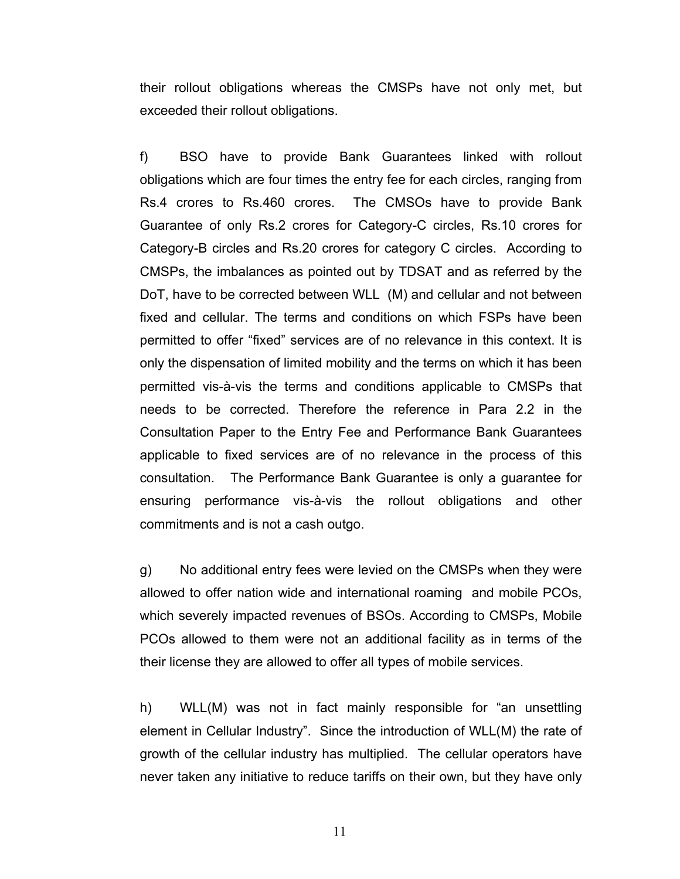their rollout obligations whereas the CMSPs have not only met, but exceeded their rollout obligations.

f) BSO have to provide Bank Guarantees linked with rollout obligations which are four times the entry fee for each circles, ranging from Rs.4 crores to Rs.460 crores. The CMSOs have to provide Bank Guarantee of only Rs.2 crores for Category-C circles, Rs.10 crores for Category-B circles and Rs.20 crores for category C circles. According to CMSPs, the imbalances as pointed out by TDSAT and as referred by the DoT, have to be corrected between WLL (M) and cellular and not between fixed and cellular. The terms and conditions on which FSPs have been permitted to offer "fixed" services are of no relevance in this context. It is only the dispensation of limited mobility and the terms on which it has been permitted vis-à-vis the terms and conditions applicable to CMSPs that needs to be corrected. Therefore the reference in Para 2.2 in the Consultation Paper to the Entry Fee and Performance Bank Guarantees applicable to fixed services are of no relevance in the process of this consultation. The Performance Bank Guarantee is only a guarantee for ensuring performance vis-à-vis the rollout obligations and other commitments and is not a cash outgo.

g) No additional entry fees were levied on the CMSPs when they were allowed to offer nation wide and international roaming and mobile PCOs, which severely impacted revenues of BSOs. According to CMSPs, Mobile PCOs allowed to them were not an additional facility as in terms of the their license they are allowed to offer all types of mobile services.

h) WLL(M) was not in fact mainly responsible for "an unsettling element in Cellular Industry". Since the introduction of WLL(M) the rate of growth of the cellular industry has multiplied. The cellular operators have never taken any initiative to reduce tariffs on their own, but they have only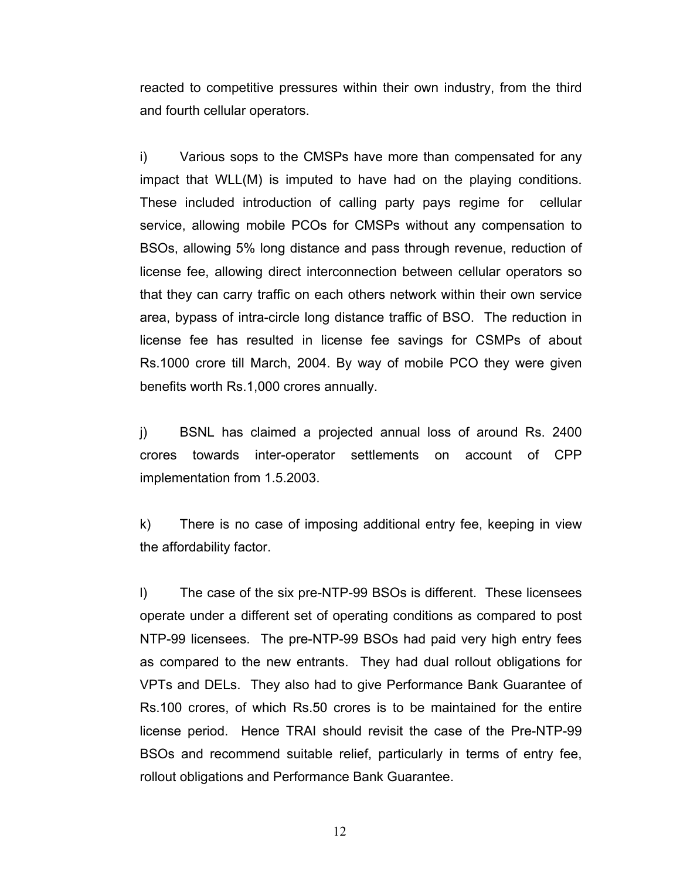reacted to competitive pressures within their own industry, from the third and fourth cellular operators.

i) Various sops to the CMSPs have more than compensated for any impact that WLL(M) is imputed to have had on the playing conditions. These included introduction of calling party pays regime for cellular service, allowing mobile PCOs for CMSPs without any compensation to BSOs, allowing 5% long distance and pass through revenue, reduction of license fee, allowing direct interconnection between cellular operators so that they can carry traffic on each others network within their own service area, bypass of intra-circle long distance traffic of BSO. The reduction in license fee has resulted in license fee savings for CSMPs of about Rs.1000 crore till March, 2004. By way of mobile PCO they were given benefits worth Rs.1,000 crores annually.

j) BSNL has claimed a projected annual loss of around Rs. 2400 crores towards inter-operator settlements on account of CPP implementation from 1.5.2003.

k) There is no case of imposing additional entry fee, keeping in view the affordability factor.

l) The case of the six pre-NTP-99 BSOs is different. These licensees operate under a different set of operating conditions as compared to post NTP-99 licensees. The pre-NTP-99 BSOs had paid very high entry fees as compared to the new entrants. They had dual rollout obligations for VPTs and DELs. They also had to give Performance Bank Guarantee of Rs.100 crores, of which Rs.50 crores is to be maintained for the entire license period. Hence TRAI should revisit the case of the Pre-NTP-99 BSOs and recommend suitable relief, particularly in terms of entry fee, rollout obligations and Performance Bank Guarantee.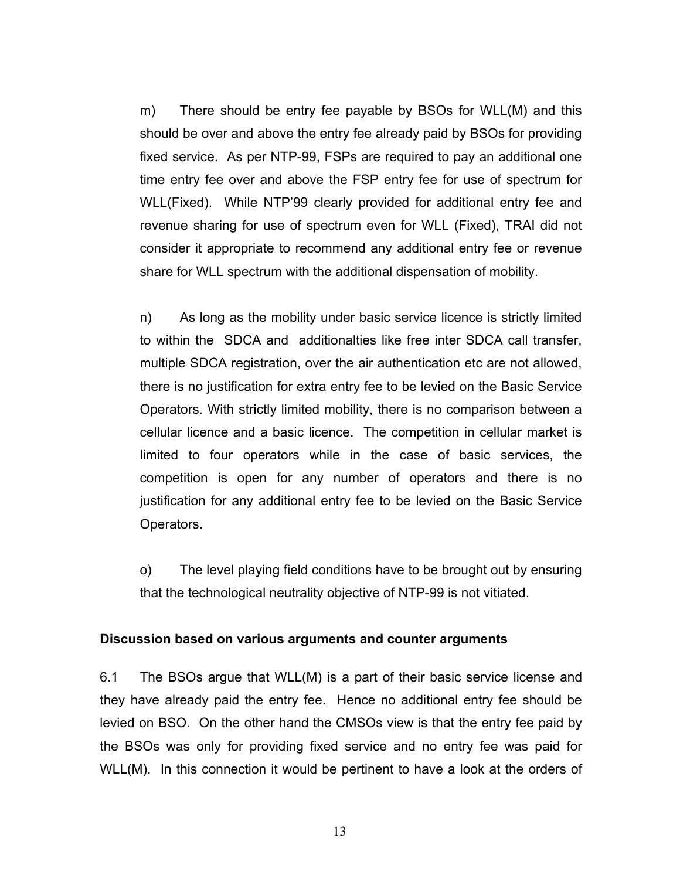m) There should be entry fee payable by BSOs for WLL(M) and this should be over and above the entry fee already paid by BSOs for providing fixed service. As per NTP-99, FSPs are required to pay an additional one time entry fee over and above the FSP entry fee for use of spectrum for WLL(Fixed). While NTP'99 clearly provided for additional entry fee and revenue sharing for use of spectrum even for WLL (Fixed), TRAI did not consider it appropriate to recommend any additional entry fee or revenue share for WLL spectrum with the additional dispensation of mobility.

n) As long as the mobility under basic service licence is strictly limited to within the SDCA and additionalties like free inter SDCA call transfer, multiple SDCA registration, over the air authentication etc are not allowed, there is no justification for extra entry fee to be levied on the Basic Service Operators. With strictly limited mobility, there is no comparison between a cellular licence and a basic licence. The competition in cellular market is limited to four operators while in the case of basic services, the competition is open for any number of operators and there is no justification for any additional entry fee to be levied on the Basic Service Operators.

o) The level playing field conditions have to be brought out by ensuring that the technological neutrality objective of NTP-99 is not vitiated.

#### **Discussion based on various arguments and counter arguments**

6.1 The BSOs argue that WLL(M) is a part of their basic service license and they have already paid the entry fee. Hence no additional entry fee should be levied on BSO. On the other hand the CMSOs view is that the entry fee paid by the BSOs was only for providing fixed service and no entry fee was paid for WLL(M). In this connection it would be pertinent to have a look at the orders of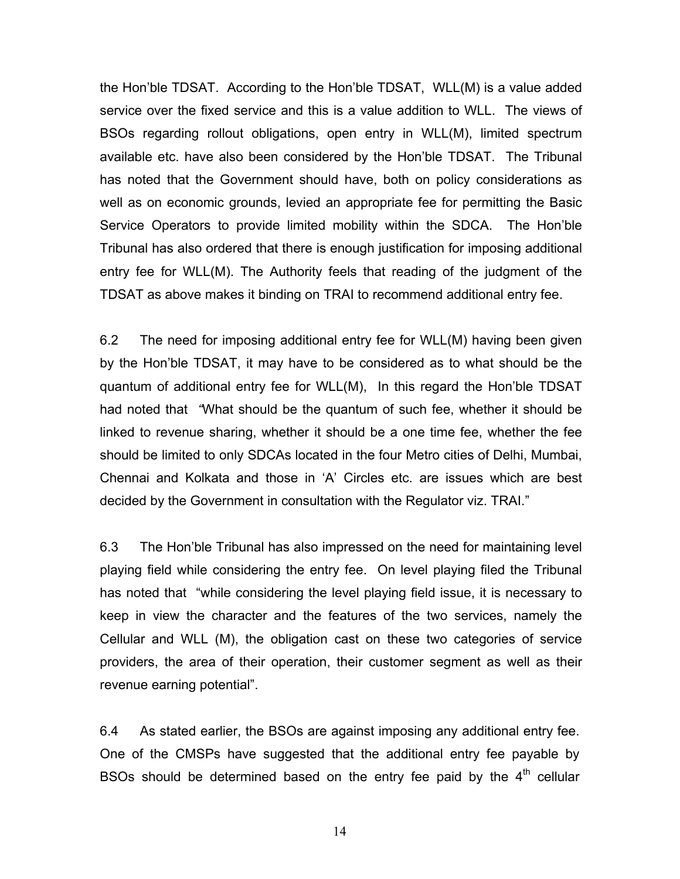the Hon'ble TDSAT. According to the Hon'ble TDSAT, WLL(M) is a value added service over the fixed service and this is a value addition to WLL. The views of BSOs regarding rollout obligations, open entry in WLL(M), limited spectrum available etc. have also been considered by the Hon'ble TDSAT. The Tribunal has noted that the Government should have, both on policy considerations as well as on economic grounds, levied an appropriate fee for permitting the Basic Service Operators to provide limited mobility within the SDCA. The Hon'ble Tribunal has also ordered that there is enough justification for imposing additional entry fee for WLL(M). The Authority feels that reading of the judgment of the TDSAT as above makes it binding on TRAI to recommend additional entry fee.

6.2 The need for imposing additional entry fee for WLL(M) having been given by the Hon'ble TDSAT, it may have to be considered as to what should be the quantum of additional entry fee for WLL(M), In this regard the Hon'ble TDSAT had noted that *"*What should be the quantum of such fee, whether it should be linked to revenue sharing, whether it should be a one time fee, whether the fee should be limited to only SDCAs located in the four Metro cities of Delhi, Mumbai, Chennai and Kolkata and those in 'A' Circles etc. are issues which are best decided by the Government in consultation with the Regulator viz. TRAI."

6.3 The Hon'ble Tribunal has also impressed on the need for maintaining level playing field while considering the entry fee. On level playing filed the Tribunal has noted that "while considering the level playing field issue, it is necessary to keep in view the character and the features of the two services, namely the Cellular and WLL (M), the obligation cast on these two categories of service providers, the area of their operation, their customer segment as well as their revenue earning potential".

6.4 As stated earlier, the BSOs are against imposing any additional entry fee. One of the CMSPs have suggested that the additional entry fee payable by BSOs should be determined based on the entry fee paid by the  $4<sup>th</sup>$  cellular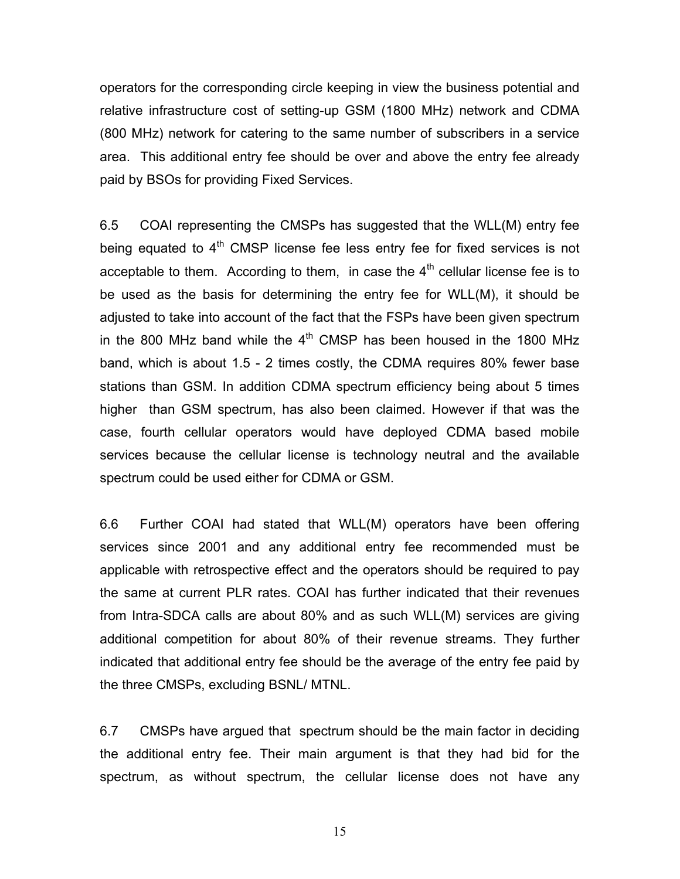operators for the corresponding circle keeping in view the business potential and relative infrastructure cost of setting-up GSM (1800 MHz) network and CDMA (800 MHz) network for catering to the same number of subscribers in a service area. This additional entry fee should be over and above the entry fee already paid by BSOs for providing Fixed Services.

6.5 COAI representing the CMSPs has suggested that the WLL(M) entry fee being equated to  $4<sup>th</sup>$  CMSP license fee less entry fee for fixed services is not acceptable to them. According to them, in case the  $4<sup>th</sup>$  cellular license fee is to be used as the basis for determining the entry fee for WLL(M), it should be adjusted to take into account of the fact that the FSPs have been given spectrum in the 800 MHz band while the  $4<sup>th</sup>$  CMSP has been housed in the 1800 MHz band, which is about 1.5 - 2 times costly, the CDMA requires 80% fewer base stations than GSM. In addition CDMA spectrum efficiency being about 5 times higher than GSM spectrum, has also been claimed. However if that was the case, fourth cellular operators would have deployed CDMA based mobile services because the cellular license is technology neutral and the available spectrum could be used either for CDMA or GSM.

6.6 Further COAI had stated that WLL(M) operators have been offering services since 2001 and any additional entry fee recommended must be applicable with retrospective effect and the operators should be required to pay the same at current PLR rates. COAI has further indicated that their revenues from Intra-SDCA calls are about 80% and as such WLL(M) services are giving additional competition for about 80% of their revenue streams. They further indicated that additional entry fee should be the average of the entry fee paid by the three CMSPs, excluding BSNL/ MTNL.

6.7 CMSPs have argued that spectrum should be the main factor in deciding the additional entry fee. Their main argument is that they had bid for the spectrum, as without spectrum, the cellular license does not have any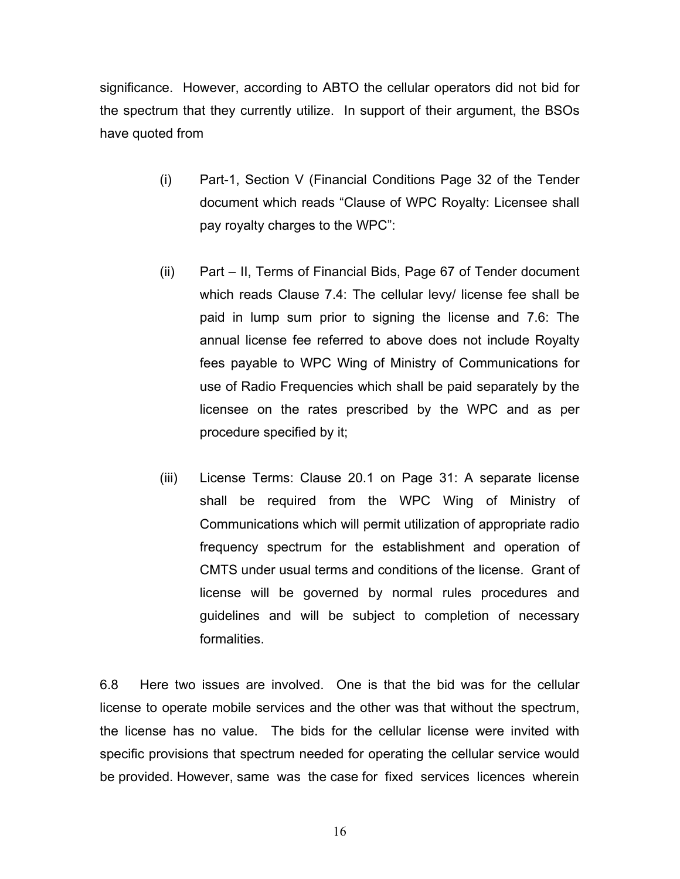significance. However, according to ABTO the cellular operators did not bid for the spectrum that they currently utilize. In support of their argument, the BSOs have quoted from

- (i) Part-1, Section V (Financial Conditions Page 32 of the Tender document which reads "Clause of WPC Royalty: Licensee shall pay royalty charges to the WPC":
- (ii) Part II, Terms of Financial Bids, Page 67 of Tender document which reads Clause 7.4: The cellular levy/ license fee shall be paid in lump sum prior to signing the license and 7.6: The annual license fee referred to above does not include Royalty fees payable to WPC Wing of Ministry of Communications for use of Radio Frequencies which shall be paid separately by the licensee on the rates prescribed by the WPC and as per procedure specified by it;
- (iii) License Terms: Clause 20.1 on Page 31: A separate license shall be required from the WPC Wing of Ministry of Communications which will permit utilization of appropriate radio frequency spectrum for the establishment and operation of CMTS under usual terms and conditions of the license. Grant of license will be governed by normal rules procedures and guidelines and will be subject to completion of necessary formalities.

6.8 Here two issues are involved. One is that the bid was for the cellular license to operate mobile services and the other was that without the spectrum, the license has no value. The bids for the cellular license were invited with specific provisions that spectrum needed for operating the cellular service would be provided. However, same was the case for fixed services licences wherein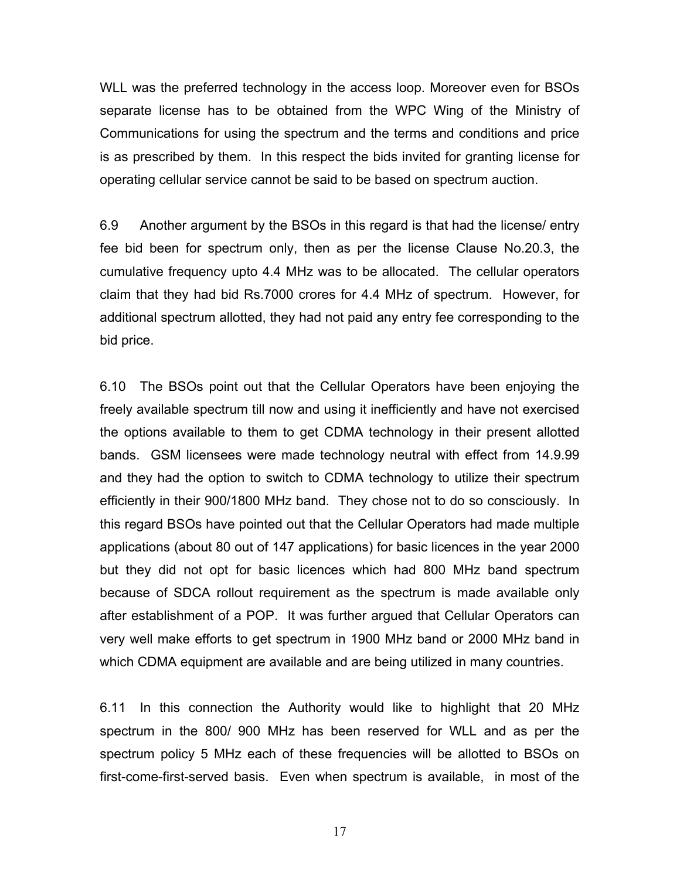WLL was the preferred technology in the access loop. Moreover even for BSOs separate license has to be obtained from the WPC Wing of the Ministry of Communications for using the spectrum and the terms and conditions and price is as prescribed by them. In this respect the bids invited for granting license for operating cellular service cannot be said to be based on spectrum auction.

6.9 Another argument by the BSOs in this regard is that had the license/ entry fee bid been for spectrum only, then as per the license Clause No.20.3, the cumulative frequency upto 4.4 MHz was to be allocated. The cellular operators claim that they had bid Rs.7000 crores for 4.4 MHz of spectrum. However, for additional spectrum allotted, they had not paid any entry fee corresponding to the bid price.

6.10 The BSOs point out that the Cellular Operators have been enjoying the freely available spectrum till now and using it inefficiently and have not exercised the options available to them to get CDMA technology in their present allotted bands. GSM licensees were made technology neutral with effect from 14.9.99 and they had the option to switch to CDMA technology to utilize their spectrum efficiently in their 900/1800 MHz band. They chose not to do so consciously. In this regard BSOs have pointed out that the Cellular Operators had made multiple applications (about 80 out of 147 applications) for basic licences in the year 2000 but they did not opt for basic licences which had 800 MHz band spectrum because of SDCA rollout requirement as the spectrum is made available only after establishment of a POP. It was further argued that Cellular Operators can very well make efforts to get spectrum in 1900 MHz band or 2000 MHz band in which CDMA equipment are available and are being utilized in many countries.

6.11 In this connection the Authority would like to highlight that 20 MHz spectrum in the 800/ 900 MHz has been reserved for WLL and as per the spectrum policy 5 MHz each of these frequencies will be allotted to BSOs on first-come-first-served basis. Even when spectrum is available, in most of the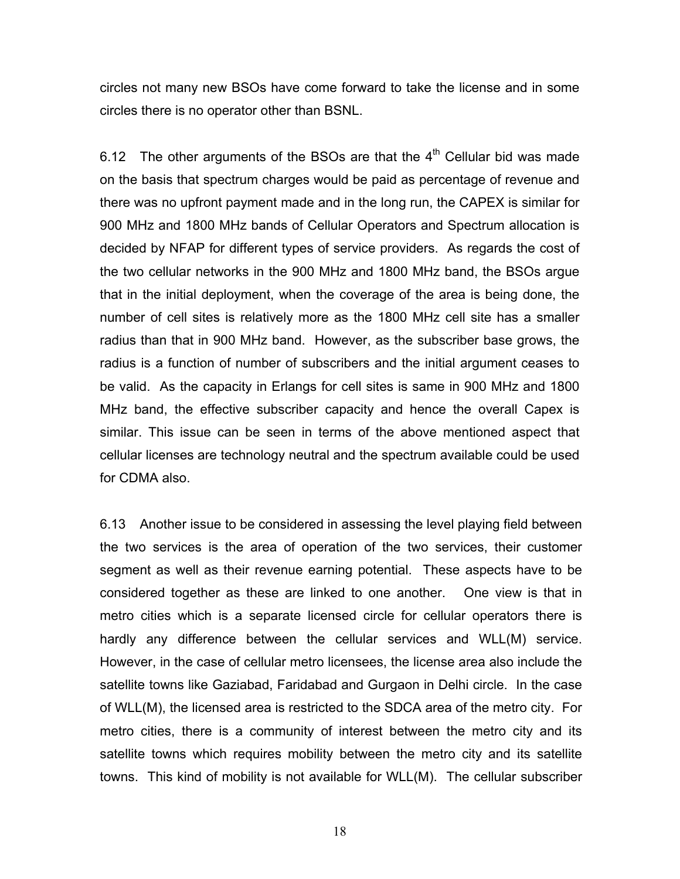circles not many new BSOs have come forward to take the license and in some circles there is no operator other than BSNL.

6.12 The other arguments of the BSOs are that the  $4<sup>th</sup>$  Cellular bid was made on the basis that spectrum charges would be paid as percentage of revenue and there was no upfront payment made and in the long run, the CAPEX is similar for 900 MHz and 1800 MHz bands of Cellular Operators and Spectrum allocation is decided by NFAP for different types of service providers. As regards the cost of the two cellular networks in the 900 MHz and 1800 MHz band, the BSOs argue that in the initial deployment, when the coverage of the area is being done, the number of cell sites is relatively more as the 1800 MHz cell site has a smaller radius than that in 900 MHz band. However, as the subscriber base grows, the radius is a function of number of subscribers and the initial argument ceases to be valid. As the capacity in Erlangs for cell sites is same in 900 MHz and 1800 MHz band, the effective subscriber capacity and hence the overall Capex is similar. This issue can be seen in terms of the above mentioned aspect that cellular licenses are technology neutral and the spectrum available could be used for CDMA also.

6.13 Another issue to be considered in assessing the level playing field between the two services is the area of operation of the two services, their customer segment as well as their revenue earning potential. These aspects have to be considered together as these are linked to one another. One view is that in metro cities which is a separate licensed circle for cellular operators there is hardly any difference between the cellular services and WLL(M) service. However, in the case of cellular metro licensees, the license area also include the satellite towns like Gaziabad, Faridabad and Gurgaon in Delhi circle. In the case of WLL(M), the licensed area is restricted to the SDCA area of the metro city. For metro cities, there is a community of interest between the metro city and its satellite towns which requires mobility between the metro city and its satellite towns. This kind of mobility is not available for WLL(M). The cellular subscriber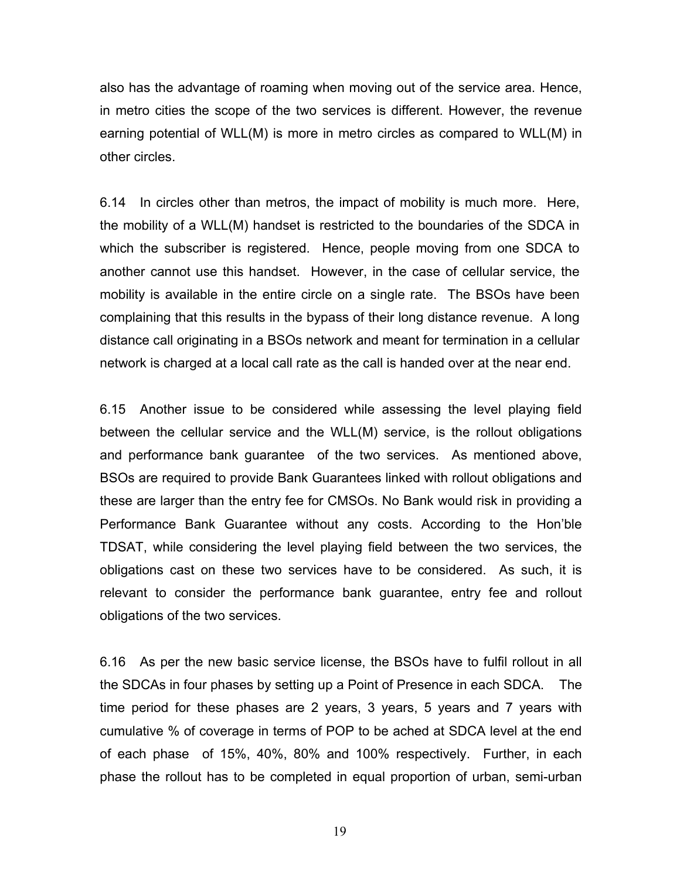also has the advantage of roaming when moving out of the service area. Hence, in metro cities the scope of the two services is different. However, the revenue earning potential of WLL(M) is more in metro circles as compared to WLL(M) in other circles.

6.14 In circles other than metros, the impact of mobility is much more. Here, the mobility of a WLL(M) handset is restricted to the boundaries of the SDCA in which the subscriber is registered. Hence, people moving from one SDCA to another cannot use this handset. However, in the case of cellular service, the mobility is available in the entire circle on a single rate. The BSOs have been complaining that this results in the bypass of their long distance revenue. A long distance call originating in a BSOs network and meant for termination in a cellular network is charged at a local call rate as the call is handed over at the near end.

6.15 Another issue to be considered while assessing the level playing field between the cellular service and the WLL(M) service, is the rollout obligations and performance bank guarantee of the two services. As mentioned above, BSOs are required to provide Bank Guarantees linked with rollout obligations and these are larger than the entry fee for CMSOs. No Bank would risk in providing a Performance Bank Guarantee without any costs. According to the Hon'ble TDSAT, while considering the level playing field between the two services, the obligations cast on these two services have to be considered. As such, it is relevant to consider the performance bank guarantee, entry fee and rollout obligations of the two services.

6.16 As per the new basic service license, the BSOs have to fulfil rollout in all the SDCAs in four phases by setting up a Point of Presence in each SDCA. The time period for these phases are 2 years, 3 years, 5 years and 7 years with cumulative % of coverage in terms of POP to be ached at SDCA level at the end of each phase of 15%, 40%, 80% and 100% respectively. Further, in each phase the rollout has to be completed in equal proportion of urban, semi-urban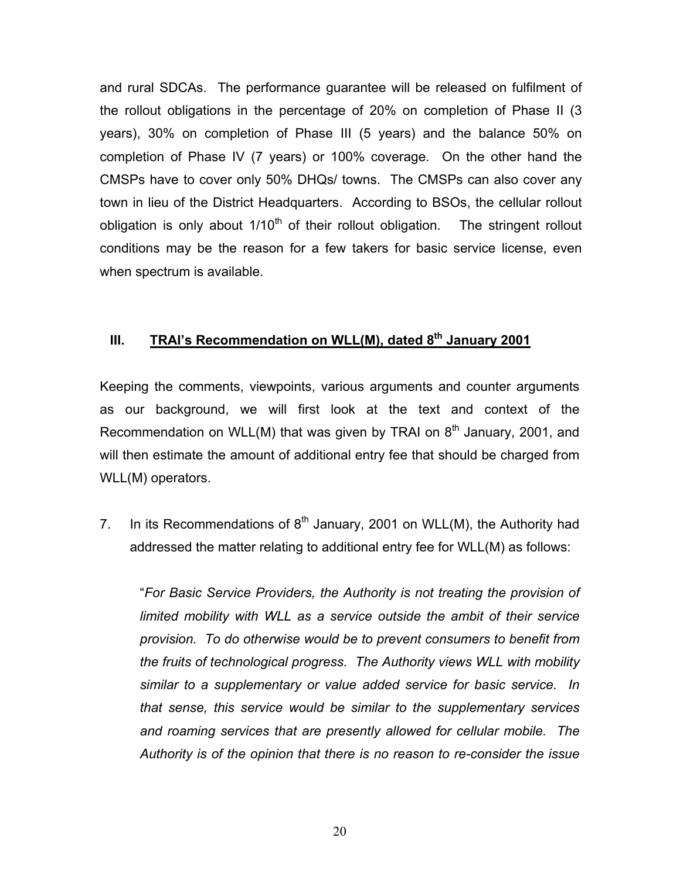and rural SDCAs. The performance guarantee will be released on fulfilment of the rollout obligations in the percentage of 20% on completion of Phase II (3 years), 30% on completion of Phase III (5 years) and the balance 50% on completion of Phase IV (7 years) or 100% coverage. On the other hand the CMSPs have to cover only 50% DHQs/ towns. The CMSPs can also cover any town in lieu of the District Headquarters. According to BSOs, the cellular rollout obligation is only about  $1/10<sup>th</sup>$  of their rollout obligation. The stringent rollout conditions may be the reason for a few takers for basic service license, even when spectrum is available.

# **III.** TRAI's Recommendation on WLL(M), dated 8<sup>th</sup> January 2001

Keeping the comments, viewpoints, various arguments and counter arguments as our background, we will first look at the text and context of the Recommendation on WLL(M) that was given by TRAI on  $8<sup>th</sup>$  January, 2001, and will then estimate the amount of additional entry fee that should be charged from WLL(M) operators.

7. In its Recommendations of  $8<sup>th</sup>$  January, 2001 on WLL(M), the Authority had addressed the matter relating to additional entry fee for WLL(M) as follows:

"*For Basic Service Providers, the Authority is not treating the provision of limited mobility with WLL as a service outside the ambit of their service provision. To do otherwise would be to prevent consumers to benefit from the fruits of technological progress. The Authority views WLL with mobility similar to a supplementary or value added service for basic service. In that sense, this service would be similar to the supplementary services and roaming services that are presently allowed for cellular mobile. The Authority is of the opinion that there is no reason to re-consider the issue*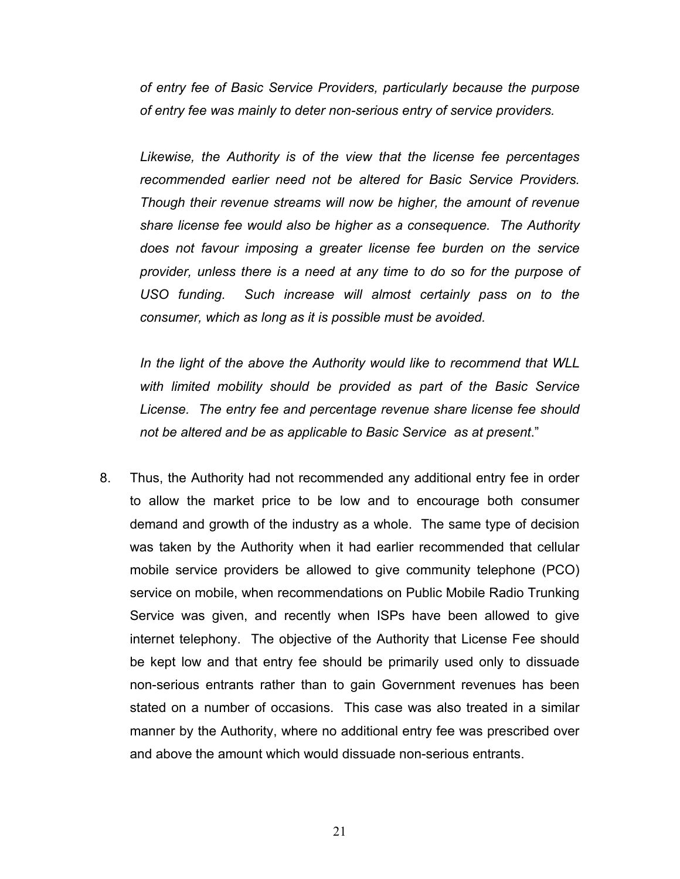*of entry fee of Basic Service Providers, particularly because the purpose of entry fee was mainly to deter non-serious entry of service providers.* 

*Likewise, the Authority is of the view that the license fee percentages recommended earlier need not be altered for Basic Service Providers. Though their revenue streams will now be higher, the amount of revenue share license fee would also be higher as a consequence. The Authority does not favour imposing a greater license fee burden on the service provider, unless there is a need at any time to do so for the purpose of USO funding. Such increase will almost certainly pass on to the consumer, which as long as it is possible must be avoided.* 

*In the light of the above the Authority would like to recommend that WLL with limited mobility should be provided as part of the Basic Service License. The entry fee and percentage revenue share license fee should not be altered and be as applicable to Basic Service as at present*."

8. Thus, the Authority had not recommended any additional entry fee in order to allow the market price to be low and to encourage both consumer demand and growth of the industry as a whole. The same type of decision was taken by the Authority when it had earlier recommended that cellular mobile service providers be allowed to give community telephone (PCO) service on mobile, when recommendations on Public Mobile Radio Trunking Service was given, and recently when ISPs have been allowed to give internet telephony. The objective of the Authority that License Fee should be kept low and that entry fee should be primarily used only to dissuade non-serious entrants rather than to gain Government revenues has been stated on a number of occasions. This case was also treated in a similar manner by the Authority, where no additional entry fee was prescribed over and above the amount which would dissuade non-serious entrants.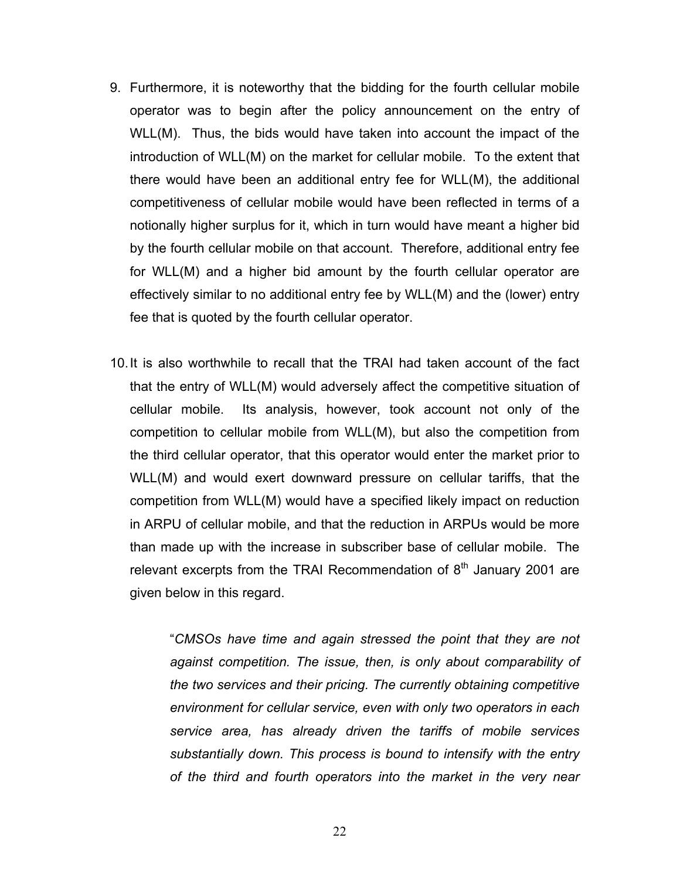- 9. Furthermore, it is noteworthy that the bidding for the fourth cellular mobile operator was to begin after the policy announcement on the entry of WLL(M). Thus, the bids would have taken into account the impact of the introduction of WLL(M) on the market for cellular mobile. To the extent that there would have been an additional entry fee for WLL(M), the additional competitiveness of cellular mobile would have been reflected in terms of a notionally higher surplus for it, which in turn would have meant a higher bid by the fourth cellular mobile on that account. Therefore, additional entry fee for WLL(M) and a higher bid amount by the fourth cellular operator are effectively similar to no additional entry fee by WLL(M) and the (lower) entry fee that is quoted by the fourth cellular operator.
- 10. It is also worthwhile to recall that the TRAI had taken account of the fact that the entry of WLL(M) would adversely affect the competitive situation of cellular mobile. Its analysis, however, took account not only of the competition to cellular mobile from WLL(M), but also the competition from the third cellular operator, that this operator would enter the market prior to WLL(M) and would exert downward pressure on cellular tariffs, that the competition from WLL(M) would have a specified likely impact on reduction in ARPU of cellular mobile, and that the reduction in ARPUs would be more than made up with the increase in subscriber base of cellular mobile. The relevant excerpts from the TRAI Recommendation of  $8<sup>th</sup>$  January 2001 are given below in this regard.

"*CMSOs have time and again stressed the point that they are not against competition. The issue, then, is only about comparability of the two services and their pricing. The currently obtaining competitive environment for cellular service, even with only two operators in each service area, has already driven the tariffs of mobile services substantially down. This process is bound to intensify with the entry of the third and fourth operators into the market in the very near*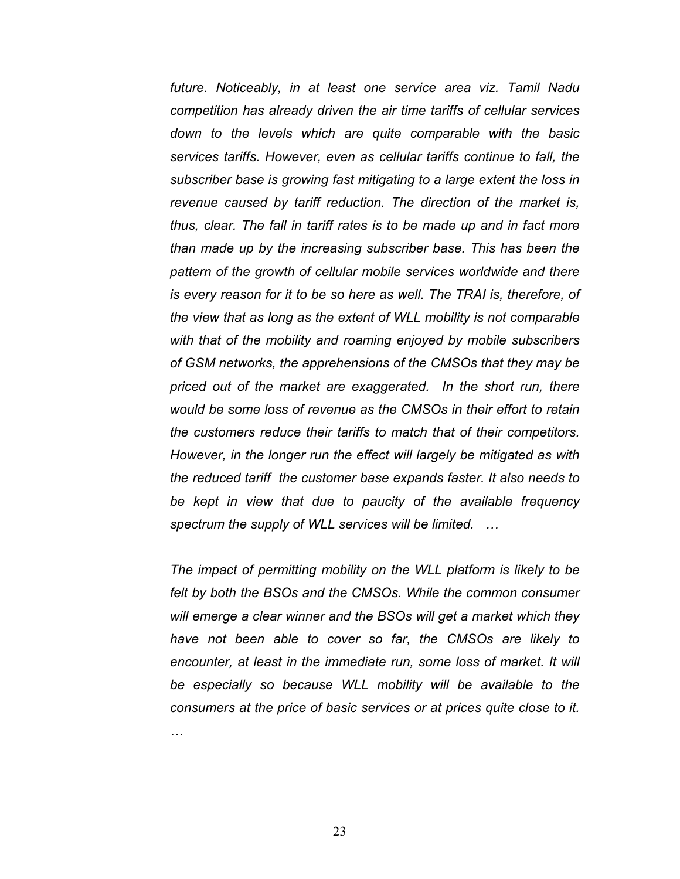*future. Noticeably, in at least one service area viz. Tamil Nadu competition has already driven the air time tariffs of cellular services down to the levels which are quite comparable with the basic services tariffs. However, even as cellular tariffs continue to fall, the subscriber base is growing fast mitigating to a large extent the loss in revenue caused by tariff reduction. The direction of the market is, thus, clear. The fall in tariff rates is to be made up and in fact more than made up by the increasing subscriber base. This has been the pattern of the growth of cellular mobile services worldwide and there is every reason for it to be so here as well. The TRAI is, therefore, of the view that as long as the extent of WLL mobility is not comparable with that of the mobility and roaming enjoyed by mobile subscribers of GSM networks, the apprehensions of the CMSOs that they may be priced out of the market are exaggerated. In the short run, there would be some loss of revenue as the CMSOs in their effort to retain the customers reduce their tariffs to match that of their competitors. However, in the longer run the effect will largely be mitigated as with the reduced tariff the customer base expands faster. It also needs to be kept in view that due to paucity of the available frequency spectrum the supply of WLL services will be limited. …* 

*The impact of permitting mobility on the WLL platform is likely to be felt by both the BSOs and the CMSOs. While the common consumer will emerge a clear winner and the BSOs will get a market which they have not been able to cover so far, the CMSOs are likely to encounter, at least in the immediate run, some loss of market. It will be especially so because WLL mobility will be available to the consumers at the price of basic services or at prices quite close to it. …*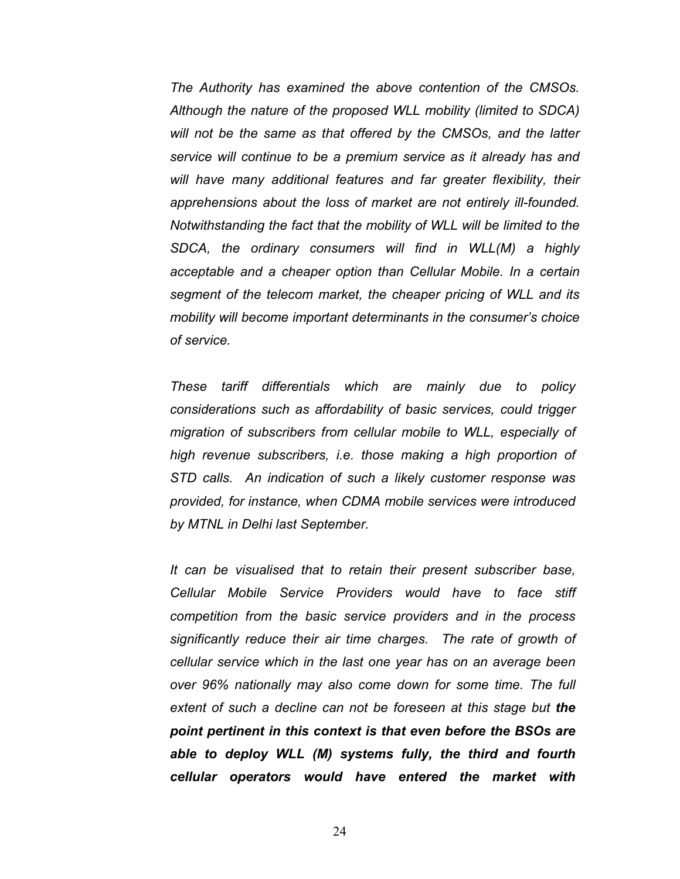*The Authority has examined the above contention of the CMSOs. Although the nature of the proposed WLL mobility (limited to SDCA) will not be the same as that offered by the CMSOs, and the latter service will continue to be a premium service as it already has and will have many additional features and far greater flexibility, their apprehensions about the loss of market are not entirely ill-founded. Notwithstanding the fact that the mobility of WLL will be limited to the SDCA, the ordinary consumers will find in WLL(M) a highly acceptable and a cheaper option than Cellular Mobile. In a certain segment of the telecom market, the cheaper pricing of WLL and its mobility will become important determinants in the consumer's choice of service.* 

*These tariff differentials which are mainly due to policy considerations such as affordability of basic services, could trigger migration of subscribers from cellular mobile to WLL, especially of high revenue subscribers, i.e. those making a high proportion of STD calls. An indication of such a likely customer response was provided, for instance, when CDMA mobile services were introduced by MTNL in Delhi last September.* 

*It can be visualised that to retain their present subscriber base, Cellular Mobile Service Providers would have to face stiff competition from the basic service providers and in the process significantly reduce their air time charges. The rate of growth of cellular service which in the last one year has on an average been over 96% nationally may also come down for some time. The full extent of such a decline can not be foreseen at this stage but the point pertinent in this context is that even before the BSOs are able to deploy WLL (M) systems fully, the third and fourth cellular operators would have entered the market with*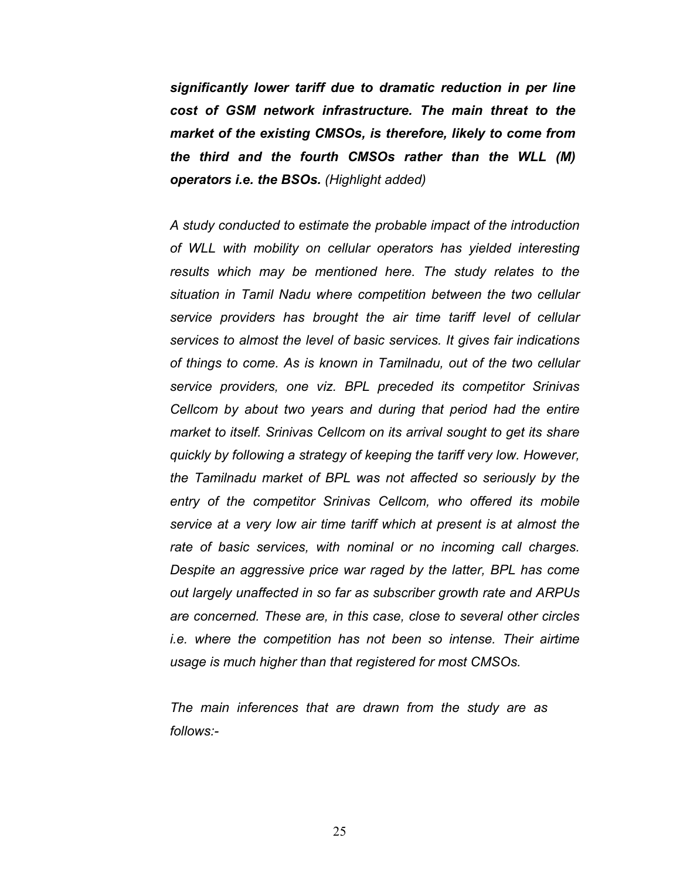*significantly lower tariff due to dramatic reduction in per line cost of GSM network infrastructure. The main threat to the market of the existing CMSOs, is therefore, likely to come from the third and the fourth CMSOs rather than the WLL (M) operators i.e. the BSOs. (Highlight added)*

*A study conducted to estimate the probable impact of the introduction of WLL with mobility on cellular operators has yielded interesting results which may be mentioned here. The study relates to the situation in Tamil Nadu where competition between the two cellular service providers has brought the air time tariff level of cellular services to almost the level of basic services. It gives fair indications of things to come. As is known in Tamilnadu, out of the two cellular service providers, one viz. BPL preceded its competitor Srinivas Cellcom by about two years and during that period had the entire market to itself. Srinivas Cellcom on its arrival sought to get its share quickly by following a strategy of keeping the tariff very low. However, the Tamilnadu market of BPL was not affected so seriously by the entry of the competitor Srinivas Cellcom, who offered its mobile service at a very low air time tariff which at present is at almost the rate of basic services, with nominal or no incoming call charges. Despite an aggressive price war raged by the latter, BPL has come out largely unaffected in so far as subscriber growth rate and ARPUs are concerned. These are, in this case, close to several other circles i.e. where the competition has not been so intense. Their airtime usage is much higher than that registered for most CMSOs.* 

*The main inferences that are drawn from the study are as follows:-*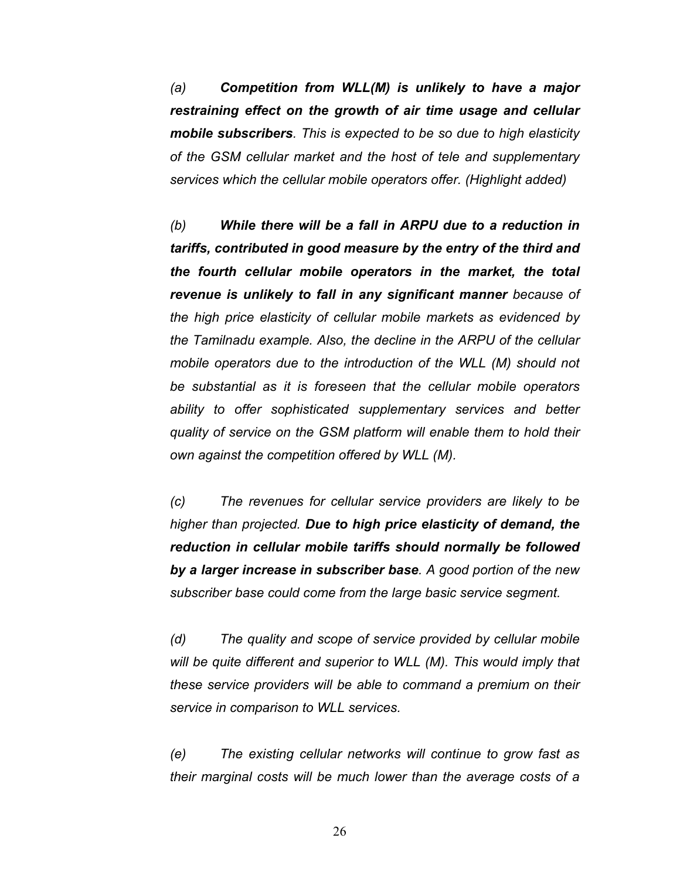*(a) Competition from WLL(M) is unlikely to have a major restraining effect on the growth of air time usage and cellular mobile subscribers. This is expected to be so due to high elasticity of the GSM cellular market and the host of tele and supplementary services which the cellular mobile operators offer. (Highlight added)* 

*(b) While there will be a fall in ARPU due to a reduction in tariffs, contributed in good measure by the entry of the third and the fourth cellular mobile operators in the market, the total revenue is unlikely to fall in any significant manner because of the high price elasticity of cellular mobile markets as evidenced by the Tamilnadu example. Also, the decline in the ARPU of the cellular*  mobile operators due to the introduction of the WLL (M) should not *be substantial as it is foreseen that the cellular mobile operators ability to offer sophisticated supplementary services and better quality of service on the GSM platform will enable them to hold their own against the competition offered by WLL (M).* 

*(c) The revenues for cellular service providers are likely to be higher than projected. Due to high price elasticity of demand, the reduction in cellular mobile tariffs should normally be followed by a larger increase in subscriber base. A good portion of the new subscriber base could come from the large basic service segment.* 

*(d) The quality and scope of service provided by cellular mobile will be quite different and superior to WLL (M). This would imply that these service providers will be able to command a premium on their service in comparison to WLL services.* 

*(e) The existing cellular networks will continue to grow fast as their marginal costs will be much lower than the average costs of a*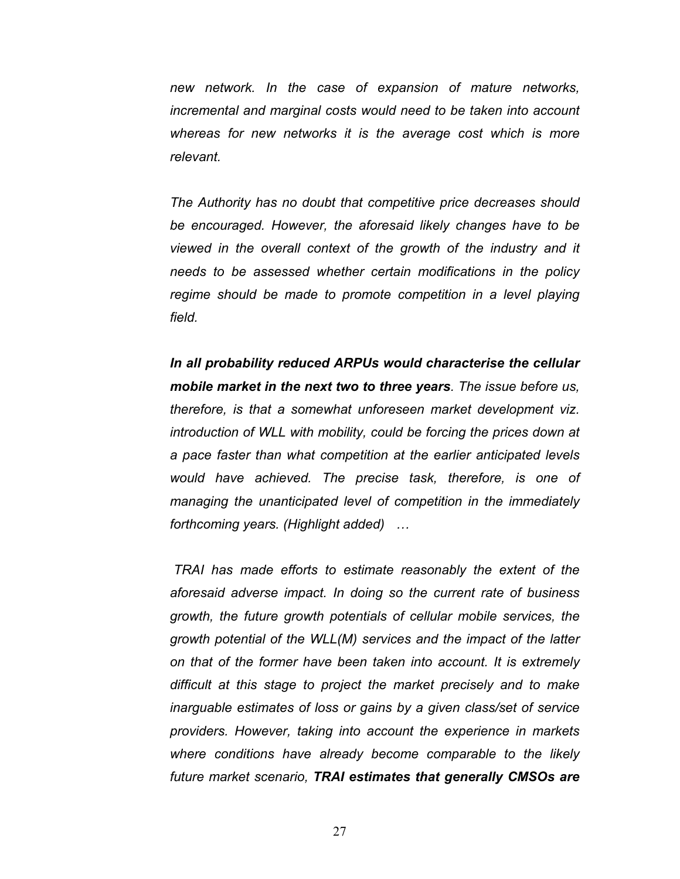*new network. In the case of expansion of mature networks, incremental and marginal costs would need to be taken into account whereas for new networks it is the average cost which is more relevant.* 

*The Authority has no doubt that competitive price decreases should be encouraged. However, the aforesaid likely changes have to be viewed in the overall context of the growth of the industry and it needs to be assessed whether certain modifications in the policy regime should be made to promote competition in a level playing field.* 

*In all probability reduced ARPUs would characterise the cellular mobile market in the next two to three years. The issue before us, therefore, is that a somewhat unforeseen market development viz. introduction of WLL with mobility, could be forcing the prices down at a pace faster than what competition at the earlier anticipated levels would have achieved. The precise task, therefore, is one of managing the unanticipated level of competition in the immediately forthcoming years. (Highlight added) …* 

*TRAI has made efforts to estimate reasonably the extent of the aforesaid adverse impact. In doing so the current rate of business growth, the future growth potentials of cellular mobile services, the growth potential of the WLL(M) services and the impact of the latter on that of the former have been taken into account. It is extremely difficult at this stage to project the market precisely and to make inarguable estimates of loss or gains by a given class/set of service providers. However, taking into account the experience in markets where conditions have already become comparable to the likely future market scenario, TRAI estimates that generally CMSOs are*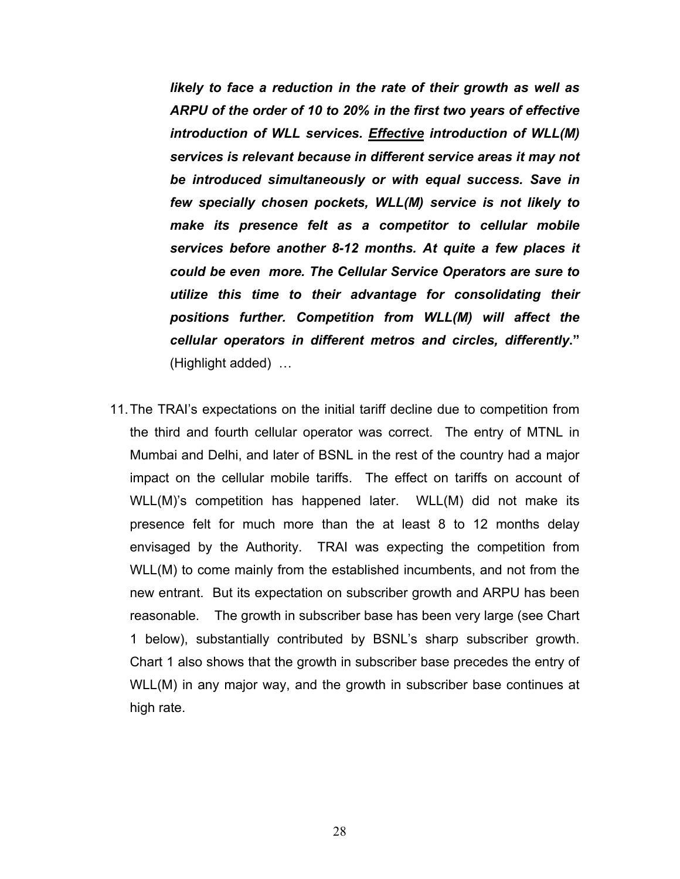*likely to face a reduction in the rate of their growth as well as ARPU of the order of 10 to 20% in the first two years of effective introduction of WLL services. Effective introduction of WLL(M) services is relevant because in different service areas it may not be introduced simultaneously or with equal success. Save in few specially chosen pockets, WLL(M) service is not likely to make its presence felt as a competitor to cellular mobile services before another 8-12 months. At quite a few places it could be even more. The Cellular Service Operators are sure to utilize this time to their advantage for consolidating their positions further. Competition from WLL(M) will affect the cellular operators in different metros and circles, differently***."**  (Highlight added) …

11. The TRAI's expectations on the initial tariff decline due to competition from the third and fourth cellular operator was correct. The entry of MTNL in Mumbai and Delhi, and later of BSNL in the rest of the country had a major impact on the cellular mobile tariffs. The effect on tariffs on account of WLL(M)'s competition has happened later. WLL(M) did not make its presence felt for much more than the at least 8 to 12 months delay envisaged by the Authority. TRAI was expecting the competition from WLL(M) to come mainly from the established incumbents, and not from the new entrant. But its expectation on subscriber growth and ARPU has been reasonable. The growth in subscriber base has been very large (see Chart 1 below), substantially contributed by BSNL's sharp subscriber growth. Chart 1 also shows that the growth in subscriber base precedes the entry of WLL(M) in any major way, and the growth in subscriber base continues at high rate.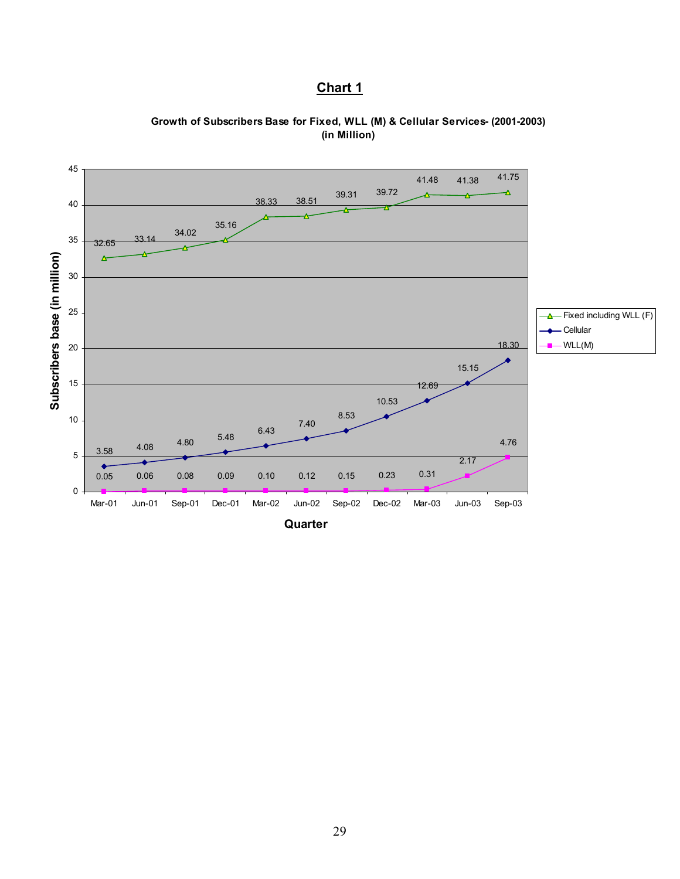# **Chart 1**



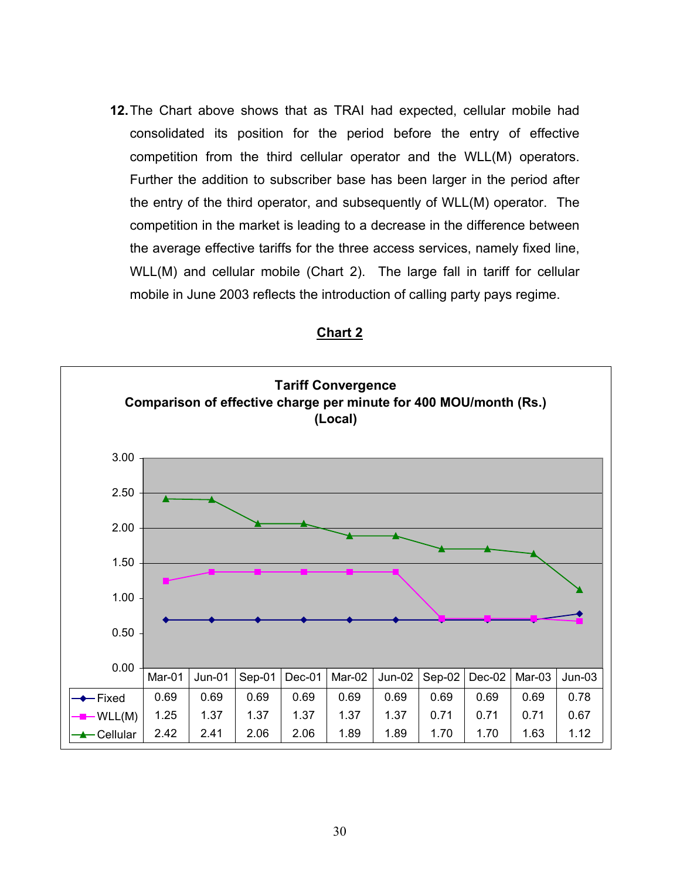**12.** The Chart above shows that as TRAI had expected, cellular mobile had consolidated its position for the period before the entry of effective competition from the third cellular operator and the WLL(M) operators. Further the addition to subscriber base has been larger in the period after the entry of the third operator, and subsequently of WLL(M) operator. The competition in the market is leading to a decrease in the difference between the average effective tariffs for the three access services, namely fixed line, WLL(M) and cellular mobile (Chart 2). The large fall in tariff for cellular mobile in June 2003 reflects the introduction of calling party pays regime.



| лaг |  |
|-----|--|
|     |  |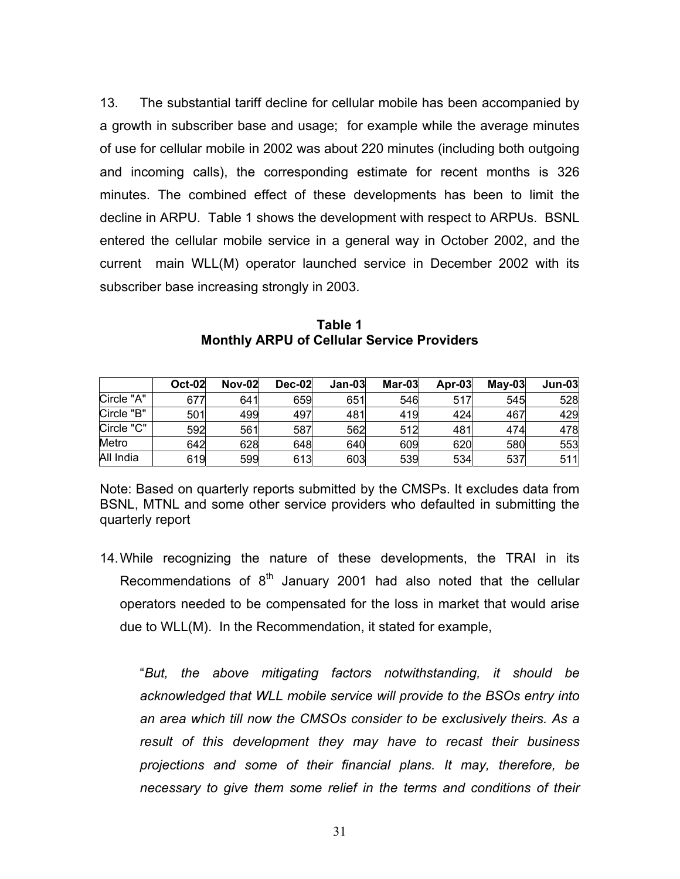13. The substantial tariff decline for cellular mobile has been accompanied by a growth in subscriber base and usage; for example while the average minutes of use for cellular mobile in 2002 was about 220 minutes (including both outgoing and incoming calls), the corresponding estimate for recent months is 326 minutes. The combined effect of these developments has been to limit the decline in ARPU. Table 1 shows the development with respect to ARPUs. BSNL entered the cellular mobile service in a general way in October 2002, and the current main WLL(M) operator launched service in December 2002 with its subscriber base increasing strongly in 2003.

|            | <b>Oct-02</b> | <b>Nov-02</b> | <b>Dec-02</b> | $Jan-03$ | Mar-03 | $Ar-03$ | $Mav-03$ | $Jun-03$ |
|------------|---------------|---------------|---------------|----------|--------|---------|----------|----------|
| Circle "A" | 677           | 641           | 659           | 651      | 546    | 517     | 545      | 528      |
| Circle "B" | 501           | 499           | 497           | 481      | 419    | 424     | 467      | 429      |
| Circle "C" | 592           | 561           | 587           | 562      | 512    | 481     | 474      | 478      |
| Metro      | 642           | 628           | 648           | 640      | 609    | 620     | 580      | 553      |
| All India  | 619           | 599           | 613           | 603      | 539    | 534     | 537      | 511      |

**Table 1 Monthly ARPU of Cellular Service Providers** 

Note: Based on quarterly reports submitted by the CMSPs. It excludes data from BSNL, MTNL and some other service providers who defaulted in submitting the quarterly report

14. While recognizing the nature of these developments, the TRAI in its Recommendations of  $8<sup>th</sup>$  January 2001 had also noted that the cellular operators needed to be compensated for the loss in market that would arise due to WLL(M). In the Recommendation, it stated for example,

"*But, the above mitigating factors notwithstanding, it should be acknowledged that WLL mobile service will provide to the BSOs entry into an area which till now the CMSOs consider to be exclusively theirs. As a result of this development they may have to recast their business projections and some of their financial plans. It may, therefore, be necessary to give them some relief in the terms and conditions of their*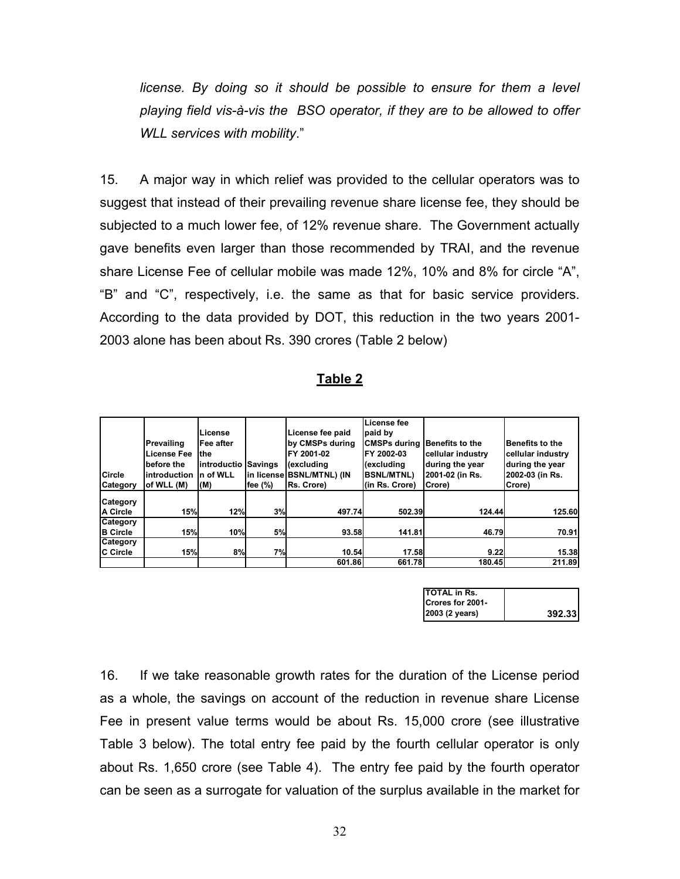*license. By doing so it should be possible to ensure for them a level playing field vis-à-vis the BSO operator, if they are to be allowed to offer WLL services with mobility*."

15. A major way in which relief was provided to the cellular operators was to suggest that instead of their prevailing revenue share license fee, they should be subjected to a much lower fee, of 12% revenue share. The Government actually gave benefits even larger than those recommended by TRAI, and the revenue share License Fee of cellular mobile was made 12%, 10% and 8% for circle "A", "B" and "C", respectively, i.e. the same as that for basic service providers. According to the data provided by DOT, this reduction in the two years 2001- 2003 alone has been about Rs. 390 crores (Table 2 below)

#### **Table 2**

|                  |              |             |         |                           | License fee         |                   |                        |
|------------------|--------------|-------------|---------|---------------------------|---------------------|-------------------|------------------------|
|                  |              | License     |         | License fee paid          | paid by             |                   |                        |
|                  | Prevailing   | Fee after   |         | by CMSPs during           | <b>CMSPs during</b> | lBenefits to the  | <b>Benefits to the</b> |
|                  | License Fee  | the         |         | FY 2001-02                | FY 2002-03          | cellular industry | cellular industry      |
|                  | before the   | introductio | Savings | (excluding                | (excluding          | during the year   | during the year        |
| Circle           | introduction | n of WLL    |         | in license BSNL/MTNL) (IN | <b>BSNL/MTNL)</b>   | 2001-02 (in Rs.   | 2002-03 (in Rs.        |
| Category         | of WLL (M)   | (M)         | fee (%) | Rs. Crore)                | (in Rs. Crore)      | Crore)            | Crore)                 |
| Category         |              |             |         |                           |                     |                   |                        |
| <b>IA Circle</b> | 15%          | 12%         | 3%      | 497.74                    | 502.39              | 124.44            | <b>125.60</b>          |
| Category         |              |             |         |                           |                     |                   |                        |
| <b>B</b> Circle  | 15%          | 10%         | 5%      | 93.58                     | 141.81              | 46.79             | 70.91                  |
| Category         |              |             |         |                           |                     |                   |                        |
| <b>IC Circle</b> | 15%          | 8%          | 7%      | 10.54                     | 17.58               | 9.22              | 15.38                  |
|                  |              |             |         | 601.86                    | 661.78              | 180.45            | 211.89                 |

| TOTAL in Rs.     |        |
|------------------|--------|
| Crores for 2001- |        |
| 2003 (2 years)   | 392.33 |

16. If we take reasonable growth rates for the duration of the License period as a whole, the savings on account of the reduction in revenue share License Fee in present value terms would be about Rs. 15,000 crore (see illustrative Table 3 below). The total entry fee paid by the fourth cellular operator is only about Rs. 1,650 crore (see Table 4). The entry fee paid by the fourth operator can be seen as a surrogate for valuation of the surplus available in the market for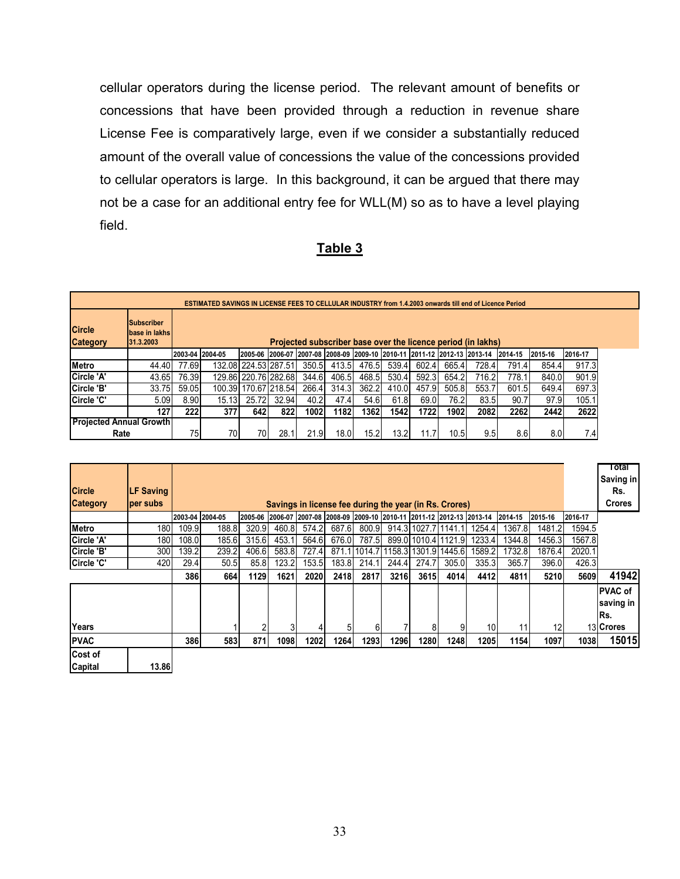cellular operators during the license period. The relevant amount of benefits or concessions that have been provided through a reduction in revenue share License Fee is comparatively large, even if we consider a substantially reduced amount of the overall value of concessions the value of the concessions provided to cellular operators is large. In this background, it can be argued that there may not be a case for an additional entry fee for WLL(M) so as to have a level playing field.

# **Table 3**

|                                  | <b>ESTIMATED SAVINGS IN LICENSE FEES TO CELLULAR INDUSTRY from 1.4.2003 onwards till end of Licence Period</b> |                 |                                                              |                      |       |       |             |                                                                                 |       |       |       |       |                  |         |         |
|----------------------------------|----------------------------------------------------------------------------------------------------------------|-----------------|--------------------------------------------------------------|----------------------|-------|-------|-------------|---------------------------------------------------------------------------------|-------|-------|-------|-------|------------------|---------|---------|
| <b>Circle</b><br><b>Category</b> | <b>Subscriber</b><br><b>Ibase in lakhs</b><br>31.3.2003                                                        |                 | Projected subscriber base over the licence period (in lakhs) |                      |       |       |             |                                                                                 |       |       |       |       |                  |         |         |
|                                  |                                                                                                                | 2003-04 2004-05 |                                                              |                      |       |       |             | 2005-06  2006-07  2007-08  2008-09  2009-10  2010-11  2011-12  2012-13  2013-14 |       |       |       |       | 2014-15          | 2015-16 | 2016-17 |
| <b>IMetro</b>                    | 44.40                                                                                                          | 77.69           |                                                              | 132.08 224.53 287.51 |       | 350.5 | 413.5       | 476.5                                                                           | 539.4 | 602.4 | 665.4 | 728.4 | 791.4            | 854.4   | 917.3   |
| Circle 'A'                       | 43.65                                                                                                          | 76.39           |                                                              | 129.86 220.76 282.68 |       | 344.6 | 406.5       | 468.5                                                                           | 530.4 | 592.3 | 654.2 | 716.2 | 778.1            | 840.0   | 901.9   |
| Circle 'B'                       | 33.75                                                                                                          | 59.05           |                                                              | 100.39 170.67 218.54 |       | 266.4 | 314.3       | 362.2                                                                           | 410.0 | 457.9 | 505.8 | 553.  | 601.5            | 649.4   | 697.3   |
| <b>ICircle 'C'</b>               | 5.09                                                                                                           | 8.90            | 15.13                                                        | 25.72                | 32.94 | 40.2  | 47.4        | 54.6                                                                            | 61.8  | 69.0  | 76.2  | 83.5  | 90.7             | 97.9    | 105.1   |
|                                  | 1271                                                                                                           | 2221            | 377                                                          | 642 I                | 8221  | 1002  | <b>1182</b> | 1362                                                                            | 1542  | 1722  | 1902  | 2082  | 2262             | 24421   | 2622    |
| <b>Projected Annual Growth</b>   |                                                                                                                |                 |                                                              |                      |       |       |             |                                                                                 |       |       |       |       |                  |         |         |
| Rate                             | 75                                                                                                             | 70              | 70I                                                          | 28.1                 | 21.9  | 18.0  | 15.2        | 13.21                                                                           |       | 10.5  | 9.51  | 8.6   | 8.0 <sub>l</sub> | 7.4     |         |

| <b>Circle</b>      | <b>LF Saving</b> |       |                 |       |                                                        |       |       |       |                            |                       |        |                                                                                          |        |         |         | Total<br>Saving in<br>Rs.           |
|--------------------|------------------|-------|-----------------|-------|--------------------------------------------------------|-------|-------|-------|----------------------------|-----------------------|--------|------------------------------------------------------------------------------------------|--------|---------|---------|-------------------------------------|
| <b>Category</b>    | per subs         |       |                 |       | Savings in license fee during the year (in Rs. Crores) |       |       |       |                            |                       |        |                                                                                          |        |         |         | <b>Crores</b>                       |
|                    |                  |       | 2003-04 2004-05 |       |                                                        |       |       |       |                            |                       |        | 2005-06  2006-07  2007-08  2008-09  2009-10  2010-11  2011-12  2012-13  2013-14  2014-15 |        | 2015-16 | 2016-17 |                                     |
| Metro              | 180              | 109.9 | 188.8           | 320.9 | 460.8                                                  | 574.2 | 687.6 | 800.9 |                            | 914.3 1027.7   1141.1 |        | 1254.4                                                                                   | 1367.8 | 1481.2  | 1594.5  |                                     |
| Circle 'A'         | 180              | 108.0 | 185.6           | 315.6 | 453.1                                                  | 564.6 | 676.0 | 787.5 |                            | 899.011010.411121.9   |        | 1233.4                                                                                   | 1344.8 | 1456.3  | 1567.8  |                                     |
| Circle 'B'         | 300              | 139.2 | 239.2           | 406.6 | 583.8                                                  | 727.4 |       |       | 871.1 1014.7 1158.3 1301.9 |                       | 1445.6 | 1589.2                                                                                   | 1732.8 | 1876.4  | 2020.1  |                                     |
| Circle 'C'         | 420              | 29.4  | 50.5            | 85.8  | 123.2                                                  | 153.5 | 183.8 | 214.1 | 244.4                      | 274.7                 | 305.0  | 335.3                                                                                    | 365.7  | 396.0   | 426.3   |                                     |
|                    |                  | 386   | 664             | 1129  | 1621                                                   | 2020  | 2418  | 2817  | 3216                       | 3615                  | 4014   | 4412                                                                                     | 4811   | 5210    | 5609    | 41942                               |
|                    |                  |       |                 |       |                                                        |       |       |       |                            |                       |        |                                                                                          |        |         |         | <b>PVAC</b> of<br>saving in<br>IRs. |
| Years              |                  |       |                 | っ     |                                                        |       | 5     | 6     |                            | 8                     | 9      | 10 <sup>1</sup>                                                                          | 11     | 12      |         | 13 Crores                           |
| <b>PVAC</b>        |                  | 386   | 583             | 8711  | <b>1098</b>                                            | 1202  | 1264  | 1293  | 1296                       | 1280                  | 1248   | 1205                                                                                     | 1154   | 1097    | 1038    | 15015                               |
| Cost of<br>Capital | 13.86            |       |                 |       |                                                        |       |       |       |                            |                       |        |                                                                                          |        |         |         |                                     |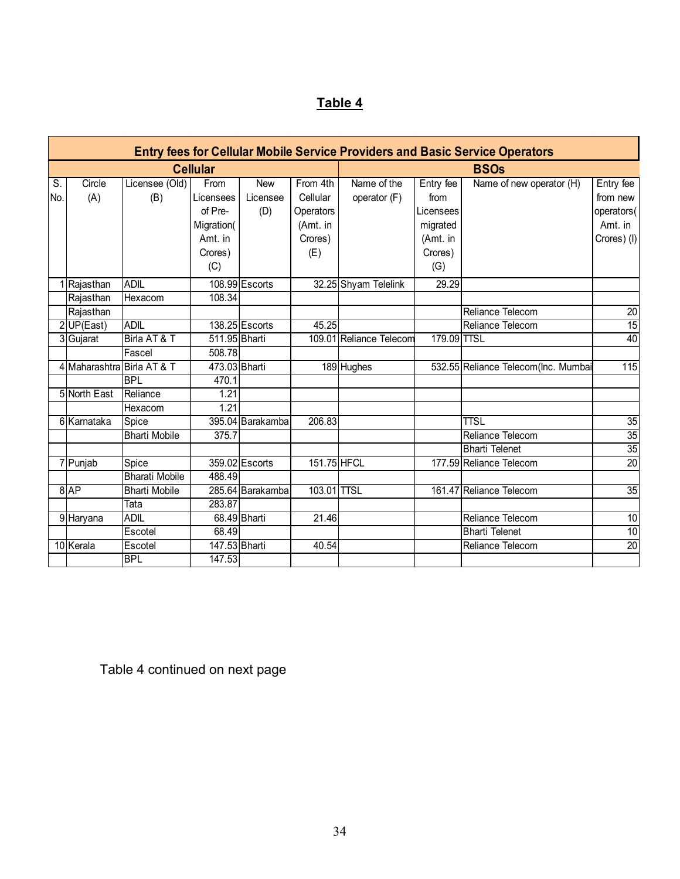# **Table 4**

|     |                            |                       |                 |                  |             |                         |             | <b>Entry fees for Cellular Mobile Service Providers and Basic Service Operators</b> |                   |  |  |  |
|-----|----------------------------|-----------------------|-----------------|------------------|-------------|-------------------------|-------------|-------------------------------------------------------------------------------------|-------------------|--|--|--|
|     |                            |                       | <b>Cellular</b> |                  |             | <b>BSOs</b>             |             |                                                                                     |                   |  |  |  |
| S.  | Circle                     | Licensee (Old)        | From            | <b>New</b>       | From 4th    | Name of the             | Entry fee   | Name of new operator (H)                                                            | Entry fee         |  |  |  |
| No. | (A)                        | (B)                   | Licensees       | Licensee         | Cellular    | operator (F)            | from        |                                                                                     | from new          |  |  |  |
|     |                            |                       | of Pre-         | (D)              | Operators   |                         | Licensees   |                                                                                     | operators(        |  |  |  |
|     |                            |                       | Migration(      |                  | (Amt. in    |                         | migrated    |                                                                                     | Amt. in           |  |  |  |
|     |                            |                       | Amt. in         |                  | Crores)     |                         | (Amt. in    |                                                                                     | Crores) (I)       |  |  |  |
|     |                            |                       | Crores)         |                  | (E)         |                         | Crores)     |                                                                                     |                   |  |  |  |
|     |                            |                       | (C)             |                  |             |                         | (G)         |                                                                                     |                   |  |  |  |
|     | 1 Rajasthan                | <b>ADIL</b>           |                 | 108.99 Escorts   |             | 32.25 Shyam Telelink    | 29.29       |                                                                                     |                   |  |  |  |
|     | Rajasthan                  | Hexacom               | 108.34          |                  |             |                         |             |                                                                                     |                   |  |  |  |
|     | Rajasthan                  |                       |                 |                  |             |                         |             | Reliance Telecom                                                                    | 20                |  |  |  |
|     | $2$ UP(East)               | <b>ADIL</b>           |                 | 138.25 Escorts   | 45.25       |                         |             | Reliance Telecom                                                                    | 15                |  |  |  |
|     | 3 Gujarat                  | Birla AT & T          | 511.95 Bharti   |                  |             | 109.01 Reliance Telecom | 179.09 TTSL |                                                                                     | 40                |  |  |  |
|     |                            | Fascel                | 508.78          |                  |             |                         |             |                                                                                     |                   |  |  |  |
|     | 4 Maharashtra Birla AT & T |                       | 473.03 Bharti   |                  |             | 189 Hughes              |             | 532.55 Reliance Telecom(Inc. Mumbai                                                 | $\frac{115}{115}$ |  |  |  |
|     |                            | <b>BPL</b>            | 470.1           |                  |             |                         |             |                                                                                     |                   |  |  |  |
|     | 5 North East               | Reliance              | 1.21            |                  |             |                         |             |                                                                                     |                   |  |  |  |
|     |                            | Hexacom               | 1.21            |                  |             |                         |             |                                                                                     |                   |  |  |  |
|     | 6 Karnataka                | Spice                 |                 | 395.04 Barakamba | 206.83      |                         |             | <b>TTSL</b>                                                                         | 35                |  |  |  |
|     |                            | <b>Bharti Mobile</b>  | 375.7           |                  |             |                         |             | Reliance Telecom                                                                    | $\overline{35}$   |  |  |  |
|     |                            |                       |                 |                  |             |                         |             | <b>Bharti Telenet</b>                                                               | 35                |  |  |  |
|     | 7 Punjab                   | Spice                 |                 | 359.02 Escorts   | 151.75 HFCL |                         |             | 177.59 Reliance Telecom                                                             | $\overline{20}$   |  |  |  |
|     |                            | <b>Bharati Mobile</b> | 488.49          |                  |             |                         |             |                                                                                     |                   |  |  |  |
|     | 8AP                        | <b>Bharti Mobile</b>  |                 | 285.64 Barakamba | 103.01 TTSL |                         |             | 161.47 Reliance Telecom                                                             | 35                |  |  |  |
|     |                            | Tata                  | 283.87          |                  |             |                         |             |                                                                                     |                   |  |  |  |
|     | 9 Haryana                  | <b>ADIL</b>           |                 | 68.49 Bharti     | 21.46       |                         |             | Reliance Telecom                                                                    | 10                |  |  |  |
|     |                            | Escotel               | 68.49           |                  |             |                         |             | <b>Bharti Telenet</b>                                                               | 10                |  |  |  |
|     | 10 Kerala                  | Escotel               | 147.53 Bharti   |                  | 40.54       |                         |             | Reliance Telecom                                                                    | 20                |  |  |  |
|     |                            | <b>BPL</b>            | 147.53          |                  |             |                         |             |                                                                                     |                   |  |  |  |

Table 4 continued on next page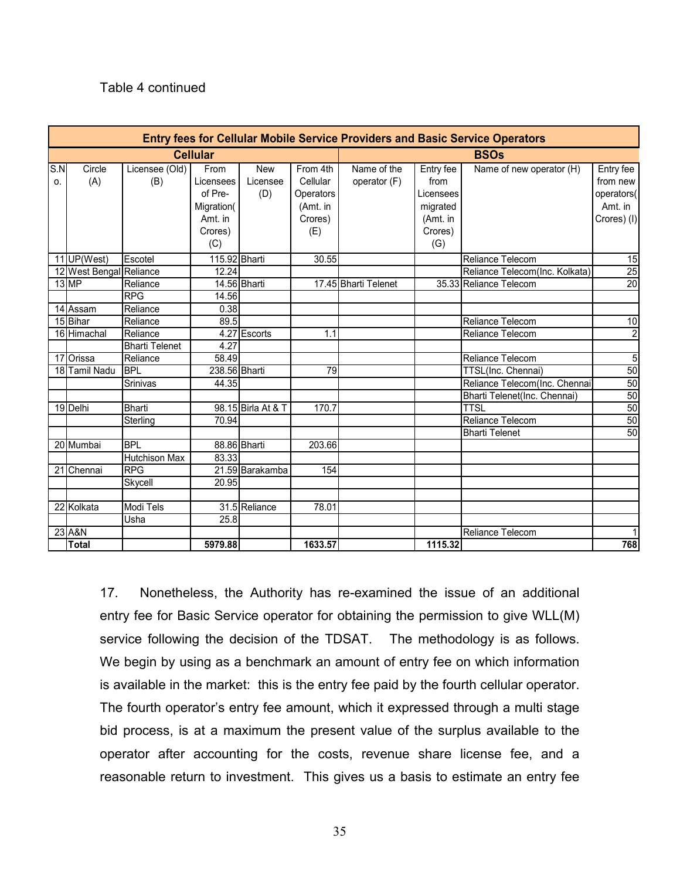#### Table 4 continued

|           |                         |                       |                   |                        |                      |                             |                   | <b>Entry fees for Cellular Mobile Service Providers and Basic Service Operators</b> |                       |  |  |  |
|-----------|-------------------------|-----------------------|-------------------|------------------------|----------------------|-----------------------------|-------------------|-------------------------------------------------------------------------------------|-----------------------|--|--|--|
|           |                         |                       | <b>Cellular</b>   |                        |                      | <b>BSOs</b>                 |                   |                                                                                     |                       |  |  |  |
| S.N<br>0. | Circle<br>(A)           | Licensee (Old)<br>(B) | From<br>Licensees | <b>New</b><br>Licensee | From 4th<br>Cellular | Name of the<br>operator (F) | Entry fee<br>from | Name of new operator (H)                                                            | Entry fee<br>from new |  |  |  |
|           |                         |                       | of Pre-           | (D)                    | <b>Operators</b>     |                             | Licensees         |                                                                                     | operators(            |  |  |  |
|           |                         |                       | Migration(        |                        | (Amt. in             |                             | migrated          |                                                                                     | Amt. in               |  |  |  |
|           |                         |                       | Amt. in           |                        | Crores)              |                             | (Amt. in          |                                                                                     | Crores) (I)           |  |  |  |
|           |                         |                       | Crores)           |                        | (E)                  |                             | Crores)           |                                                                                     |                       |  |  |  |
|           |                         |                       | (C)               |                        |                      |                             | (G)               |                                                                                     |                       |  |  |  |
|           | 11 UP(West)             | Escotel               | 115.92 Bharti     |                        | 30.55                |                             |                   | <b>Reliance Telecom</b>                                                             | 15                    |  |  |  |
|           | 12 West Bengal Reliance |                       | 12.24             |                        |                      |                             |                   | Reliance Telecom(Inc. Kolkata)                                                      | 25                    |  |  |  |
|           | 13 MP                   | Reliance              |                   | 14.56 Bharti           |                      | 17.45 Bharti Telenet        |                   | 35.33 Reliance Telecom                                                              | 20                    |  |  |  |
|           |                         | RPG                   | 14.56             |                        |                      |                             |                   |                                                                                     |                       |  |  |  |
|           | 14 Assam                | Reliance              | 0.38              |                        |                      |                             |                   |                                                                                     |                       |  |  |  |
|           | 15 Bihar                | Reliance              | 89.5              |                        |                      |                             |                   | Reliance Telecom                                                                    | $\overline{10}$       |  |  |  |
|           | 16 Himachal             | Reliance              |                   | 4.27 Escorts           | 1.1                  |                             |                   | Reliance Telecom                                                                    | $\overline{2}$        |  |  |  |
|           |                         | <b>Bharti Telenet</b> | 4.27              |                        |                      |                             |                   |                                                                                     |                       |  |  |  |
|           | 17 Orissa               | Reliance              | 58.49             |                        |                      |                             |                   | Reliance Telecom                                                                    | 5                     |  |  |  |
|           | 18 Tamil Nadu           | <b>BPL</b>            | 238.56 Bharti     |                        | 79                   |                             |                   | TTSL(Inc. Chennai)                                                                  | 50                    |  |  |  |
|           |                         | Srinivas              | 44.35             |                        |                      |                             |                   | Reliance Telecom(Inc. Chennai                                                       | 50                    |  |  |  |
|           |                         |                       |                   |                        |                      |                             |                   | Bharti Telenet(Inc. Chennai)                                                        | 50                    |  |  |  |
|           | 19 Delhi                | <b>Bharti</b>         |                   | 98.15 Birla At & T     | 170.7                |                             |                   | <b>TTSL</b>                                                                         | 50                    |  |  |  |
|           |                         | Sterling              | 70.94             |                        |                      |                             |                   | Reliance Telecom                                                                    | 50                    |  |  |  |
|           |                         |                       |                   |                        |                      |                             |                   | <b>Bharti Telenet</b>                                                               | 50                    |  |  |  |
|           | 20 Mumbai               | <b>BPL</b>            |                   | 88.86 Bharti           | 203.66               |                             |                   |                                                                                     |                       |  |  |  |
|           |                         | <b>Hutchison Max</b>  | 83.33             |                        |                      |                             |                   |                                                                                     |                       |  |  |  |
| 21        | Chennai                 | <b>RPG</b>            |                   | 21.59 Barakamba        | 154                  |                             |                   |                                                                                     |                       |  |  |  |
|           |                         | Skycell               | 20.95             |                        |                      |                             |                   |                                                                                     |                       |  |  |  |
|           |                         |                       |                   |                        |                      |                             |                   |                                                                                     |                       |  |  |  |
|           | 22 Kolkata              | Modi Tels             |                   | 31.5 Reliance          | 78.01                |                             |                   |                                                                                     |                       |  |  |  |
|           |                         | Usha                  | 25.8              |                        |                      |                             |                   |                                                                                     |                       |  |  |  |
|           | 23 A&N                  |                       |                   |                        |                      |                             |                   | Reliance Telecom                                                                    | 1                     |  |  |  |
|           | <b>Total</b>            |                       | 5979.88           |                        | 1633.57              |                             | 1115.32           |                                                                                     | 768                   |  |  |  |

17. Nonetheless, the Authority has re-examined the issue of an additional entry fee for Basic Service operator for obtaining the permission to give WLL(M) service following the decision of the TDSAT. The methodology is as follows. We begin by using as a benchmark an amount of entry fee on which information is available in the market: this is the entry fee paid by the fourth cellular operator. The fourth operator's entry fee amount, which it expressed through a multi stage bid process, is at a maximum the present value of the surplus available to the operator after accounting for the costs, revenue share license fee, and a reasonable return to investment. This gives us a basis to estimate an entry fee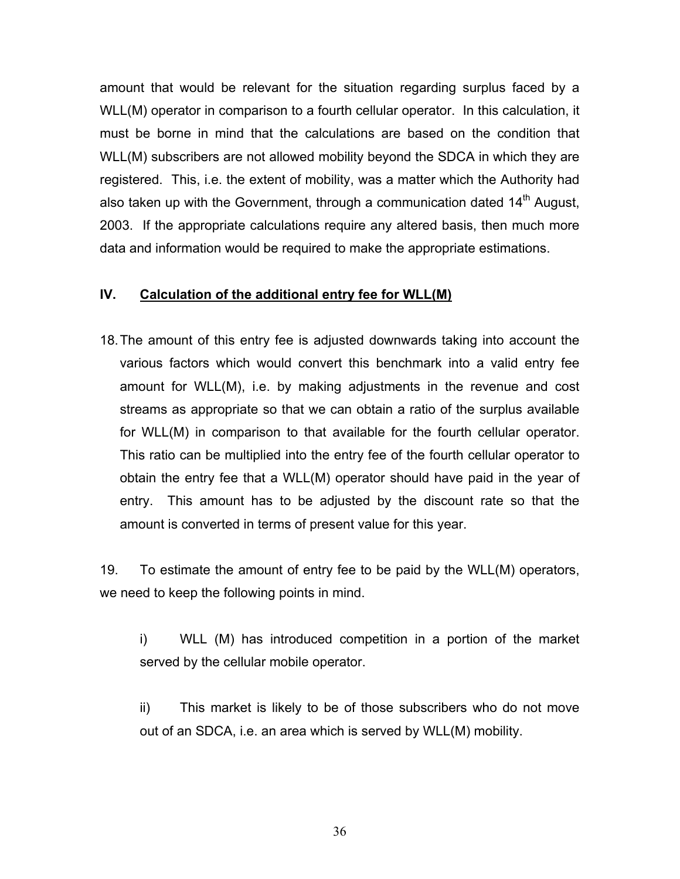amount that would be relevant for the situation regarding surplus faced by a WLL(M) operator in comparison to a fourth cellular operator. In this calculation, it must be borne in mind that the calculations are based on the condition that WLL(M) subscribers are not allowed mobility beyond the SDCA in which they are registered. This, i.e. the extent of mobility, was a matter which the Authority had also taken up with the Government, through a communication dated  $14<sup>th</sup>$  August, 2003. If the appropriate calculations require any altered basis, then much more data and information would be required to make the appropriate estimations.

#### **IV. Calculation of the additional entry fee for WLL(M)**

18. The amount of this entry fee is adjusted downwards taking into account the various factors which would convert this benchmark into a valid entry fee amount for WLL(M), i.e. by making adjustments in the revenue and cost streams as appropriate so that we can obtain a ratio of the surplus available for WLL(M) in comparison to that available for the fourth cellular operator. This ratio can be multiplied into the entry fee of the fourth cellular operator to obtain the entry fee that a WLL(M) operator should have paid in the year of entry. This amount has to be adjusted by the discount rate so that the amount is converted in terms of present value for this year.

19. To estimate the amount of entry fee to be paid by the WLL(M) operators, we need to keep the following points in mind.

i) WLL (M) has introduced competition in a portion of the market served by the cellular mobile operator.

ii) This market is likely to be of those subscribers who do not move out of an SDCA, i.e. an area which is served by WLL(M) mobility.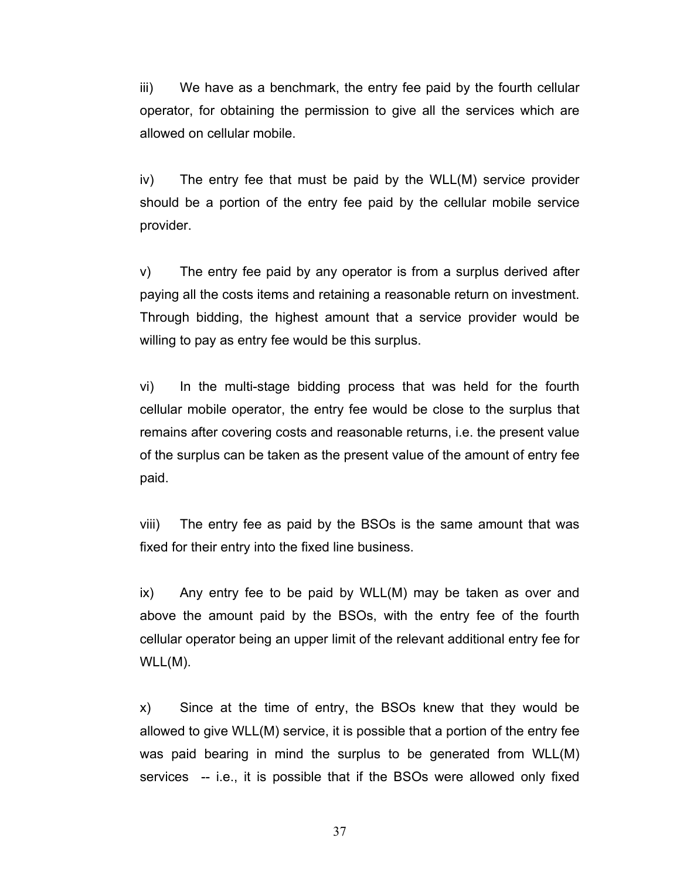iii) We have as a benchmark, the entry fee paid by the fourth cellular operator, for obtaining the permission to give all the services which are allowed on cellular mobile.

iv) The entry fee that must be paid by the WLL(M) service provider should be a portion of the entry fee paid by the cellular mobile service provider.

v) The entry fee paid by any operator is from a surplus derived after paying all the costs items and retaining a reasonable return on investment. Through bidding, the highest amount that a service provider would be willing to pay as entry fee would be this surplus.

vi) In the multi-stage bidding process that was held for the fourth cellular mobile operator, the entry fee would be close to the surplus that remains after covering costs and reasonable returns, i.e. the present value of the surplus can be taken as the present value of the amount of entry fee paid.

viii) The entry fee as paid by the BSOs is the same amount that was fixed for their entry into the fixed line business.

ix) Any entry fee to be paid by WLL(M) may be taken as over and above the amount paid by the BSOs, with the entry fee of the fourth cellular operator being an upper limit of the relevant additional entry fee for WLL(M).

x) Since at the time of entry, the BSOs knew that they would be allowed to give WLL(M) service, it is possible that a portion of the entry fee was paid bearing in mind the surplus to be generated from WLL(M) services -- i.e., it is possible that if the BSOs were allowed only fixed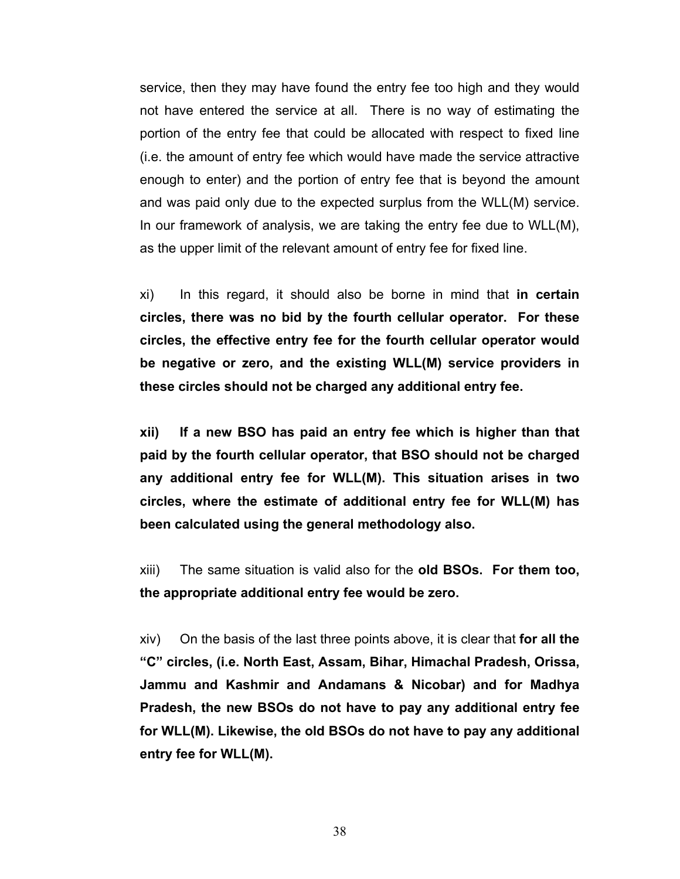service, then they may have found the entry fee too high and they would not have entered the service at all. There is no way of estimating the portion of the entry fee that could be allocated with respect to fixed line (i.e. the amount of entry fee which would have made the service attractive enough to enter) and the portion of entry fee that is beyond the amount and was paid only due to the expected surplus from the WLL(M) service. In our framework of analysis, we are taking the entry fee due to WLL(M), as the upper limit of the relevant amount of entry fee for fixed line.

xi) In this regard, it should also be borne in mind that **in certain circles, there was no bid by the fourth cellular operator. For these circles, the effective entry fee for the fourth cellular operator would be negative or zero, and the existing WLL(M) service providers in these circles should not be charged any additional entry fee.**

**xii) If a new BSO has paid an entry fee which is higher than that paid by the fourth cellular operator, that BSO should not be charged any additional entry fee for WLL(M). This situation arises in two circles, where the estimate of additional entry fee for WLL(M) has been calculated using the general methodology also.** 

xiii) The same situation is valid also for the **old BSOs. For them too, the appropriate additional entry fee would be zero.**

xiv) On the basis of the last three points above, it is clear that **for all the "C" circles, (i.e. North East, Assam, Bihar, Himachal Pradesh, Orissa, Jammu and Kashmir and Andamans & Nicobar) and for Madhya Pradesh, the new BSOs do not have to pay any additional entry fee for WLL(M). Likewise, the old BSOs do not have to pay any additional entry fee for WLL(M).**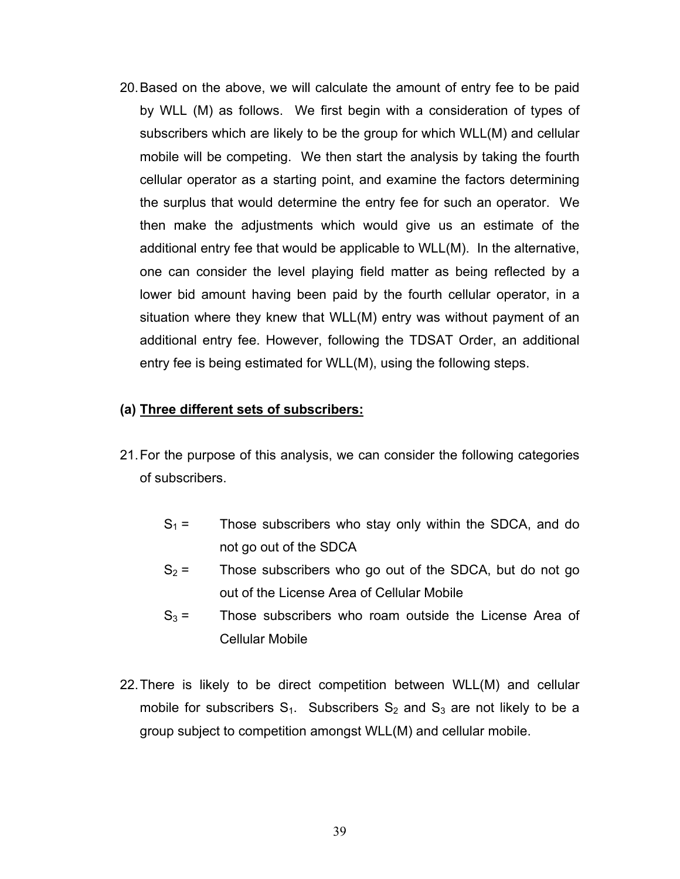20. Based on the above, we will calculate the amount of entry fee to be paid by WLL (M) as follows. We first begin with a consideration of types of subscribers which are likely to be the group for which WLL(M) and cellular mobile will be competing. We then start the analysis by taking the fourth cellular operator as a starting point, and examine the factors determining the surplus that would determine the entry fee for such an operator. We then make the adjustments which would give us an estimate of the additional entry fee that would be applicable to WLL(M). In the alternative, one can consider the level playing field matter as being reflected by a lower bid amount having been paid by the fourth cellular operator, in a situation where they knew that WLL(M) entry was without payment of an additional entry fee. However, following the TDSAT Order, an additional entry fee is being estimated for WLL(M), using the following steps.

### **(a) Three different sets of subscribers:**

- 21. For the purpose of this analysis, we can consider the following categories of subscribers.
	- $S_1 =$  Those subscribers who stay only within the SDCA, and do not go out of the SDCA
	- $S_2$  = Those subscribers who go out of the SDCA, but do not go out of the License Area of Cellular Mobile
	- $S_3$  = Those subscribers who roam outside the License Area of Cellular Mobile
- 22. There is likely to be direct competition between WLL(M) and cellular mobile for subscribers  $S_1$ . Subscribers  $S_2$  and  $S_3$  are not likely to be a group subject to competition amongst WLL(M) and cellular mobile.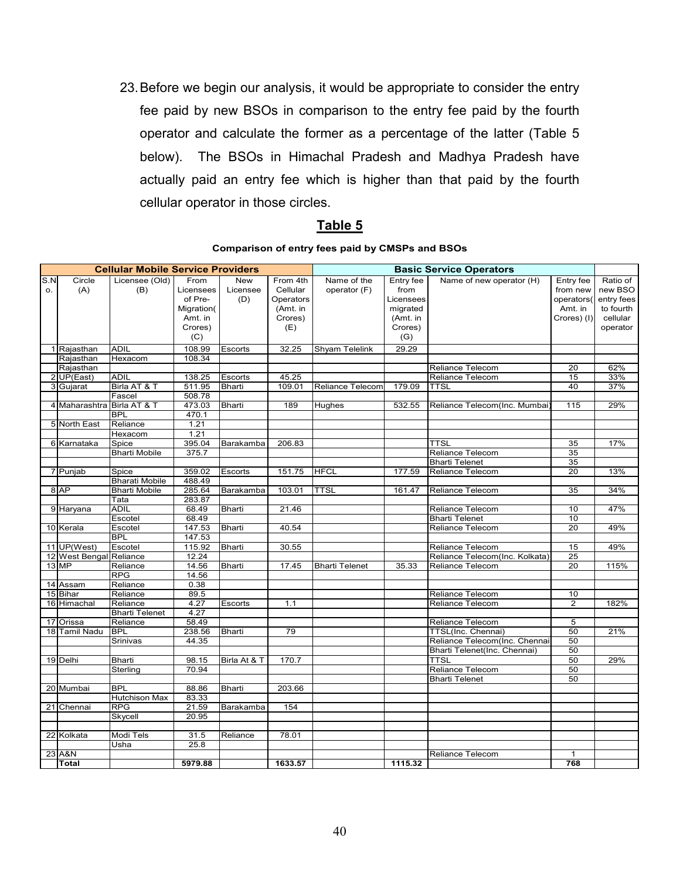23. Before we begin our analysis, it would be appropriate to consider the entry fee paid by new BSOs in comparison to the entry fee paid by the fourth operator and calculate the former as a percentage of the latter (Table 5 below). The BSOs in Himachal Pradesh and Madhya Pradesh have actually paid an entry fee which is higher than that paid by the fourth cellular operator in those circles.

### **Table 5**

#### **Comparison of entry fees paid by CMSPs and BSOs**

|     |                            | <b>Cellular Mobile Service Providers</b> |                 |               |           |                         |           | <b>Basic Service Operators</b>         |                |            |
|-----|----------------------------|------------------------------------------|-----------------|---------------|-----------|-------------------------|-----------|----------------------------------------|----------------|------------|
| S.N | Circle                     | Licensee (Old)                           | From            | New           | From 4th  | Name of the             | Entry fee | Name of new operator (H)               | Entry fee      | Ratio of   |
| o.  | (A)                        | (B)                                      | Licensees       | Licensee      | Cellular  | operator (F)            | from      |                                        | from new       | new BSO    |
|     |                            |                                          | of Pre-         | (D)           | Operators |                         | Licensees |                                        | operators(     | entry fees |
|     |                            |                                          | Migration(      |               | (Amt. in  |                         | migrated  |                                        | Amt. in        | to fourth  |
|     |                            |                                          | Amt. in         |               | Crores)   |                         | (Amt. in  |                                        | Crores) (I)    | cellular   |
|     |                            |                                          | Crores)         |               | (E)       |                         | Crores)   |                                        |                | operator   |
|     |                            |                                          | (C)             |               |           |                         | (G)       |                                        |                |            |
|     | 1 Rajasthan                | <b>ADIL</b>                              | 108.99          | Escorts       | 32.25     | Shyam Telelink          | 29.29     |                                        |                |            |
|     | Rajasthan                  | Hexacom                                  | 108.34          |               |           |                         |           |                                        |                |            |
|     | Rajasthan                  |                                          |                 |               |           |                         |           | Reliance Telecom                       | 20             | 62%        |
|     | 2 UP(East)                 | <b>ADIL</b>                              | 138.25          | Escorts       | 45.25     |                         |           | Reliance Telecom                       | 15             | 33%        |
|     | 3 Gujarat                  | Birla AT & T                             | 511.95          | Bharti        | 109.01    | <b>Reliance Telecom</b> | 179.09    | <b>TTSL</b>                            | 40             | 37%        |
|     |                            | Fascel                                   | 508.78          |               |           |                         |           |                                        |                |            |
|     | 4 Maharashtra              | Birla AT & T                             | 473.03          | Bharti        | 189       | Hughes                  | 532.55    | Reliance Telecom(Inc. Mumbai           | 115            | 29%        |
|     |                            | <b>BPL</b>                               | 470.1           |               |           |                         |           |                                        |                |            |
|     | 5 North East               | Reliance                                 | 1.21            |               |           |                         |           |                                        |                |            |
|     |                            | Hexacom                                  | 1.21            |               |           |                         |           |                                        |                |            |
|     | 6 Karnataka                | Spice                                    | 395.04          | Barakamba     | 206.83    |                         |           | <b>TTSL</b>                            | 35             | 17%        |
|     |                            | <b>Bharti Mobile</b>                     | 375.7           |               |           |                         |           | Reliance Telecom                       | 35             |            |
|     |                            |                                          |                 |               |           |                         |           | <b>Bharti Telenet</b>                  | 35             |            |
|     | 7 Punjab                   | Spice                                    | 359.02          | Escorts       | 151.75    | <b>HFCL</b>             | 177.59    | Reliance Telecom                       | 20             | 13%        |
|     |                            | <b>Bharati Mobile</b>                    | 488.49          |               |           |                         |           |                                        |                |            |
|     | 8 AP                       | <b>Bharti Mobile</b>                     | 285.64          | Barakamba     | 103.01    | <b>TTSL</b>             | 161.47    | Reliance Telecom                       | 35             | 34%        |
|     |                            | Tata                                     | 283.87          |               |           |                         |           |                                        |                |            |
|     | 9 Haryana                  | <b>ADIL</b>                              | 68.49           | Bharti        | 21.46     |                         |           | Reliance Telecom                       | 10             | 47%        |
|     |                            | Escotel                                  | 68.49           |               |           |                         |           | <b>Bharti Telenet</b>                  | 10             |            |
|     | 10 Kerala                  | Escotel                                  | 147.53          | Bharti        | 40.54     |                         |           | Reliance Telecom                       | 20             | 49%        |
|     |                            | <b>BPL</b>                               | 147.53          |               |           |                         |           |                                        |                |            |
|     | 11 UP(West)                | Escotel                                  | 115.92          | <b>Bharti</b> | 30.55     |                         |           | Reliance Telecom                       | 15             | 49%        |
|     | 12 West Bengal Reliance    |                                          | 12.24           |               |           |                         |           | Reliance Telecom(Inc. Kolkata)         | 25             |            |
|     | 13 MP                      | Reliance                                 | 14.56           | <b>Bharti</b> | 17.45     | <b>Bharti Telenet</b>   | 35.33     | Reliance Telecom                       | 20             | 115%       |
|     |                            | <b>RPG</b>                               | 14.56           |               |           |                         |           |                                        |                |            |
|     | 14 Assam                   | Reliance                                 | 0.38            |               |           |                         |           |                                        |                |            |
|     | 15 Bihar                   | Reliance                                 | 89.5            |               |           |                         |           | Reliance Telecom                       | 10             |            |
|     | 16 Himachal                | Reliance                                 | 4.27            | Escorts       | 1.1       |                         |           | Reliance Telecom                       | $\overline{2}$ | 182%       |
|     |                            | <b>Bharti Telenet</b>                    | 4.27            |               |           |                         |           |                                        |                |            |
|     | 17 Orissa<br>18 Tamil Nadu | Reliance<br><b>BPL</b>                   | 58.49<br>238.56 | Bharti        | 79        |                         |           | Reliance Telecom<br>TTSL(Inc. Chennai) | 5<br>50        | 21%        |
|     |                            | Srinivas                                 | 44.35           |               |           |                         |           | Reliance Telecom(Inc. Chennai          | 50             |            |
|     |                            |                                          |                 |               |           |                         |           | Bharti Telenet(Inc. Chennai)           | 50             |            |
|     | 19 Delhi                   | Bharti                                   | 98.15           | Birla At & T  | 170.7     |                         |           | <b>TTSL</b>                            | 50             | 29%        |
|     |                            | Sterling                                 | 70.94           |               |           |                         |           | Reliance Telecom                       | 50             |            |
|     |                            |                                          |                 |               |           |                         |           | <b>Bharti Telenet</b>                  | 50             |            |
|     | 20 Mumbai                  | <b>BPL</b>                               | 88.86           | <b>Bharti</b> | 203.66    |                         |           |                                        |                |            |
|     |                            | <b>Hutchison Max</b>                     | 83.33           |               |           |                         |           |                                        |                |            |
|     | 21 Chennai                 | <b>RPG</b>                               | 21.59           | Barakamba     | 154       |                         |           |                                        |                |            |
|     |                            | Skycell                                  | 20.95           |               |           |                         |           |                                        |                |            |
|     |                            |                                          |                 |               |           |                         |           |                                        |                |            |
|     | 22 Kolkata                 | Modi Tels                                | 31.5            | Reliance      | 78.01     |                         |           |                                        |                |            |
|     |                            | Usha                                     | 25.8            |               |           |                         |           |                                        |                |            |
|     | 23 A&N                     |                                          |                 |               |           |                         |           | Reliance Telecom                       | $\mathbf{1}$   |            |
|     | <b>Total</b>               |                                          | 5979.88         |               | 1633.57   |                         | 1115.32   |                                        | 768            |            |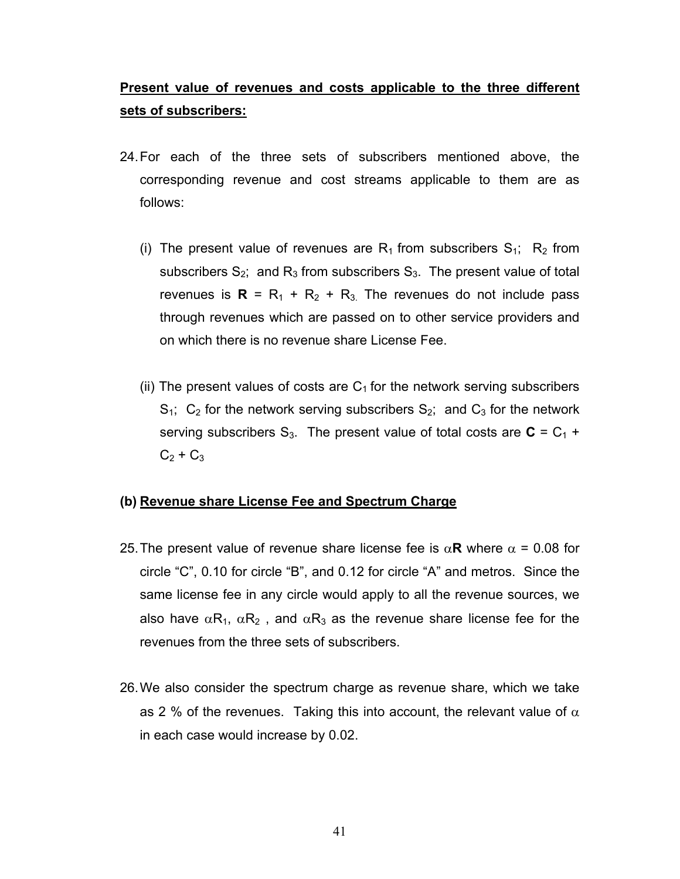# **Present value of revenues and costs applicable to the three different sets of subscribers:**

- 24. For each of the three sets of subscribers mentioned above, the corresponding revenue and cost streams applicable to them are as follows:
	- (i) The present value of revenues are  $R_1$  from subscribers  $S_1$ ;  $R_2$  from subscribers  $S_2$ ; and  $R_3$  from subscribers  $S_3$ . The present value of total revenues is  $R = R_1 + R_2 + R_3$ . The revenues do not include pass through revenues which are passed on to other service providers and on which there is no revenue share License Fee.
	- (ii) The present values of costs are  $C_1$  for the network serving subscribers  $S_1$ ;  $C_2$  for the network serving subscribers  $S_2$ ; and  $C_3$  for the network serving subscribers  $S_3$ . The present value of total costs are  $C = C_1 + C_2$  $C_2 + C_3$

### **(b) Revenue share License Fee and Spectrum Charge**

- 25. The present value of revenue share license fee is  $\alpha$ **R** where  $\alpha$  = 0.08 for circle "C", 0.10 for circle "B", and 0.12 for circle "A" and metros. Since the same license fee in any circle would apply to all the revenue sources, we also have  $\alpha R_1$ ,  $\alpha R_2$ , and  $\alpha R_3$  as the revenue share license fee for the revenues from the three sets of subscribers.
- 26. We also consider the spectrum charge as revenue share, which we take as 2 % of the revenues. Taking this into account, the relevant value of  $\alpha$ in each case would increase by 0.02.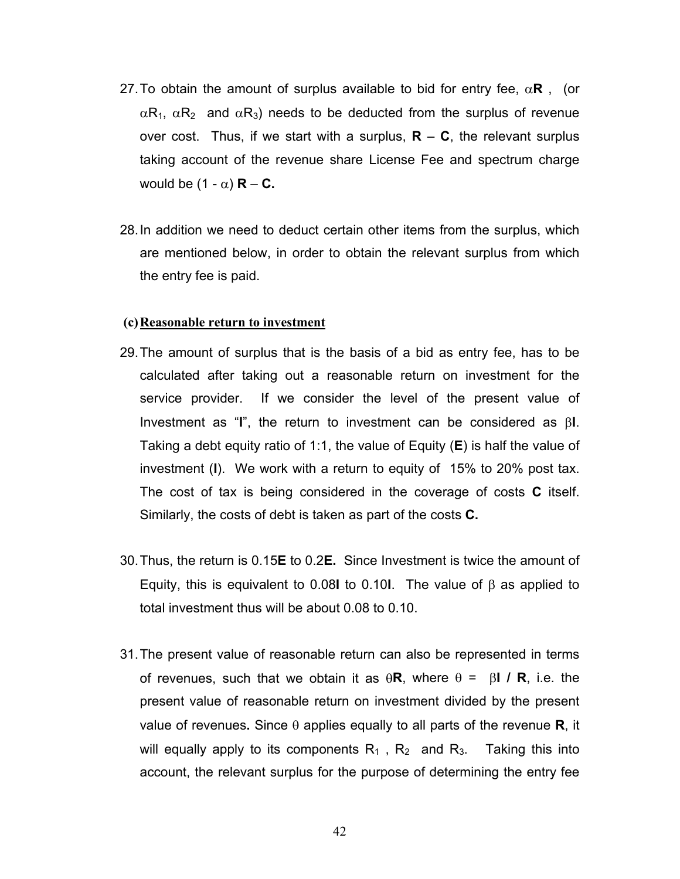- 27. To obtain the amount of surplus available to bid for entry fee,  $\alpha \mathbf{R}$ , (or  $\alpha$ R<sub>1</sub>,  $\alpha$ R<sub>2</sub> and  $\alpha$ R<sub>3</sub>) needs to be deducted from the surplus of revenue over cost. Thus, if we start with a surplus,  $R - C$ , the relevant surplus taking account of the revenue share License Fee and spectrum charge would be  $(1 - \alpha)$  **R** – **C**.
- 28. In addition we need to deduct certain other items from the surplus, which are mentioned below, in order to obtain the relevant surplus from which the entry fee is paid.

#### **(c) Reasonable return to investment**

- 29. The amount of surplus that is the basis of a bid as entry fee, has to be calculated after taking out a reasonable return on investment for the service provider. If we consider the level of the present value of Investment as "**I**", the return to investment can be considered as β**I**. Taking a debt equity ratio of 1:1, the value of Equity (**E**) is half the value of investment (**I**). We work with a return to equity of 15% to 20% post tax. The cost of tax is being considered in the coverage of costs **C** itself. Similarly, the costs of debt is taken as part of the costs **C.**
- 30. Thus, the return is 0.15**E** to 0.2**E.** Since Investment is twice the amount of Equity, this is equivalent to 0.08**I** to 0.10**I**. The value of β as applied to total investment thus will be about 0.08 to 0.10.
- 31. The present value of reasonable return can also be represented in terms of revenues, such that we obtain it as θ**R**, where θ = β**I / R**, i.e. the present value of reasonable return on investment divided by the present value of revenues**.** Since θ applies equally to all parts of the revenue **R**, it will equally apply to its components  $R_1$ ,  $R_2$  and  $R_3$ . Taking this into account, the relevant surplus for the purpose of determining the entry fee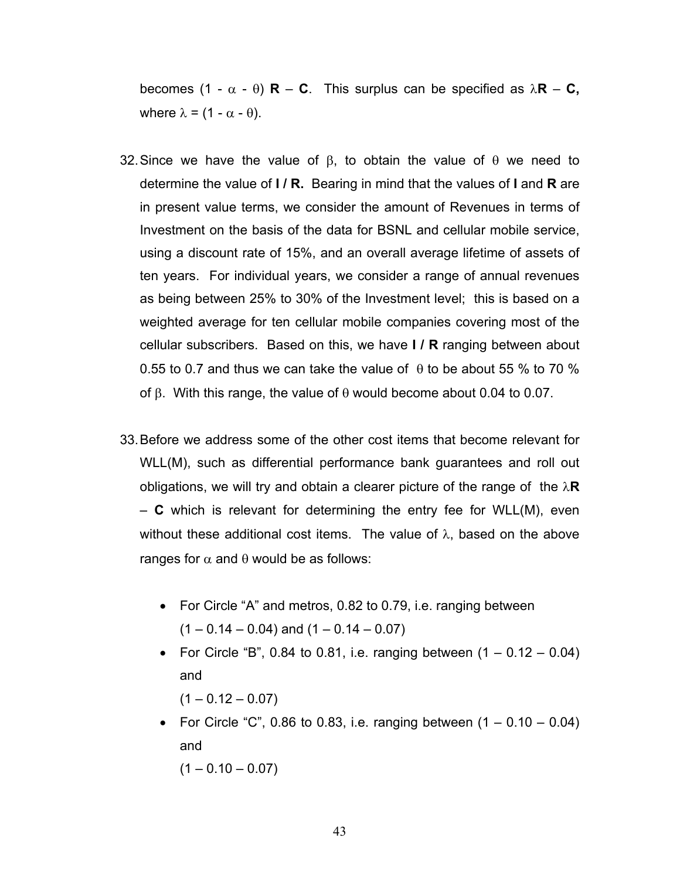becomes (1 - α - θ) **R** – **C**. This surplus can be specified as λ**R** – **C,** where  $\lambda = (1 - \alpha - \theta)$ .

- 32. Since we have the value of  $β$ , to obtain the value of  $θ$  we need to determine the value of **I / R.** Bearing in mind that the values of **I** and **R** are in present value terms, we consider the amount of Revenues in terms of Investment on the basis of the data for BSNL and cellular mobile service, using a discount rate of 15%, and an overall average lifetime of assets of ten years. For individual years, we consider a range of annual revenues as being between 25% to 30% of the Investment level; this is based on a weighted average for ten cellular mobile companies covering most of the cellular subscribers. Based on this, we have **I / R** ranging between about 0.55 to 0.7 and thus we can take the value of  $\theta$  to be about 55 % to 70 % of β. With this range, the value of θ would become about 0.04 to 0.07.
- 33. Before we address some of the other cost items that become relevant for WLL(M), such as differential performance bank guarantees and roll out obligations, we will try and obtain a clearer picture of the range of the  $\lambda \mathbf{R}$ – **C** which is relevant for determining the entry fee for WLL(M), even without these additional cost items. The value of  $\lambda$ , based on the above ranges for  $\alpha$  and  $\theta$  would be as follows:
	- For Circle "A" and metros, 0.82 to 0.79, i.e. ranging between  $(1 - 0.14 - 0.04)$  and  $(1 - 0.14 - 0.07)$
	- For Circle "B", 0.84 to 0.81, i.e. ranging between  $(1 0.12 0.04)$ and

 $(1 - 0.12 - 0.07)$ 

• For Circle "C", 0.86 to 0.83, i.e. ranging between  $(1 - 0.10 - 0.04)$ and

 $(1 - 0.10 - 0.07)$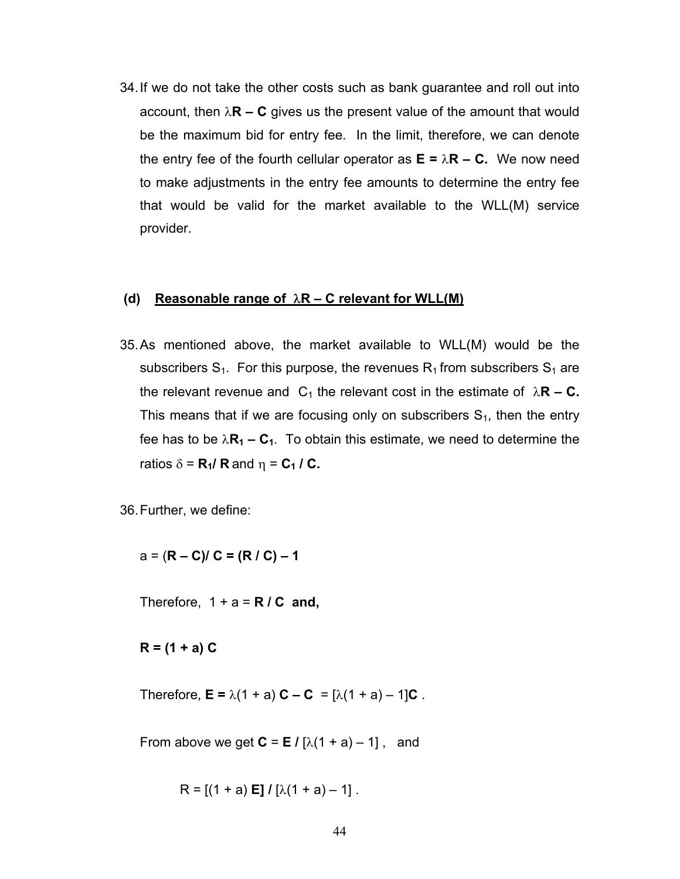34. If we do not take the other costs such as bank guarantee and roll out into account, then  $\lambda \mathbf{R} - \mathbf{C}$  gives us the present value of the amount that would be the maximum bid for entry fee. In the limit, therefore, we can denote the entry fee of the fourth cellular operator as  $E = \lambda R - C$ . We now need to make adjustments in the entry fee amounts to determine the entry fee that would be valid for the market available to the WLL(M) service provider.

#### **(d) Reasonable range of** λ**R – C relevant for WLL(M)**

35. As mentioned above, the market available to WLL(M) would be the subscribers  $S_1$ . For this purpose, the revenues  $R_1$  from subscribers  $S_1$  are the relevant revenue and  $C_1$  the relevant cost in the estimate of  $\lambda \mathbf{R} - \mathbf{C}$ . This means that if we are focusing only on subscribers  $S<sub>1</sub>$ , then the entry fee has to be  $\lambda$ **R<sub>1</sub> – C<sub>1</sub>**. To obtain this estimate, we need to determine the ratios  $\delta = \mathbf{R}_1 / \mathbf{R}$  and  $\eta = \mathbf{C}_1 / \mathbf{C}$ .

36. Further, we define:

a = (**R – C)/ C = (R / C) – 1** 

Therefore,  $1 + a = R / C$  and,

**R = (1 + a) C**

Therefore,  $E = \lambda(1 + a) C - C = [\lambda(1 + a) - 1]C$ .

From above we get  $C = E / [\lambda(1 + a) - 1]$ , and

 $R = [(1 + a) E]/ [ \lambda(1 + a) - 1].$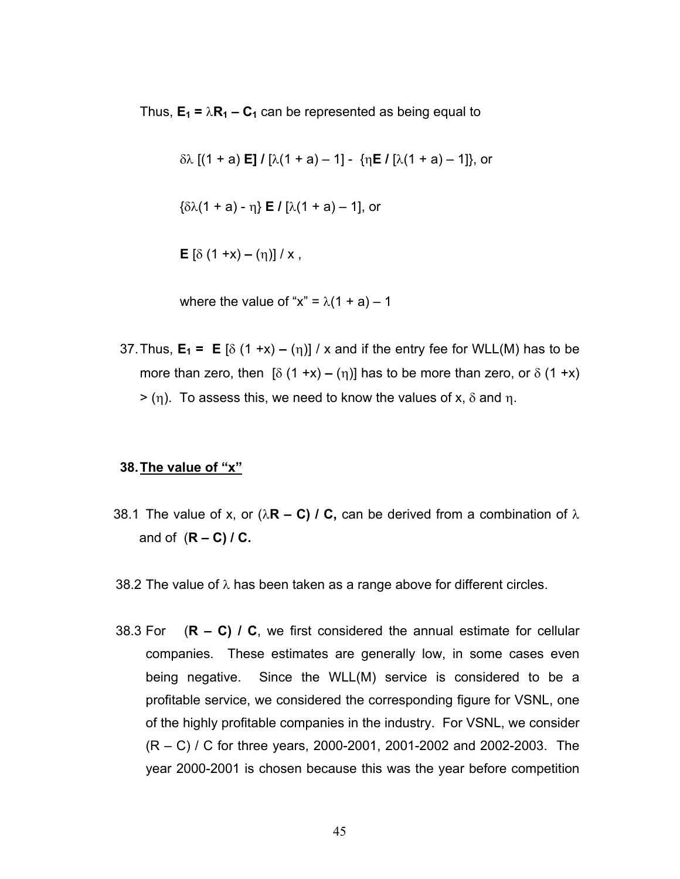Thus,  $E_1 = \lambda R_1 - C_1$  can be represented as being equal to

δλ [(1 + a) **E] /** [λ(1 + a) – 1] - {η**E /** [λ(1 + a) – 1]}, or

{δλ(1 + a) - η} **E /** [λ(1 + a) – 1], or

$$
E [\delta (1 + x) - (\eta)] / x
$$
,

where the value of " $x$ " =  $\lambda$ (1 + a) – 1

37. Thus,  $E_1 = E [\delta (1 + x) - (\eta)] / x$  and if the entry fee for WLL(M) has to be more than zero, then  $\lceil \delta (1 + x) - (\eta) \rceil$  has to be more than zero, or  $\delta (1 + x)$  $>$  (η). To assess this, we need to know the values of x,  $\delta$  and n.

#### **38. The value of "x"**

- 38.1 The value of x, or  $(\lambda \mathbf{R} \mathbf{C}) / \mathbf{C}$ , can be derived from a combination of  $\lambda$ and of (**R – C) / C.**
- 38.2 The value of  $\lambda$  has been taken as a range above for different circles.
- 38.3 For (**R C) / C**, we first considered the annual estimate for cellular companies. These estimates are generally low, in some cases even being negative. Since the WLL(M) service is considered to be a profitable service, we considered the corresponding figure for VSNL, one of the highly profitable companies in the industry. For VSNL, we consider (R – C) / C for three years, 2000-2001, 2001-2002 and 2002-2003. The year 2000-2001 is chosen because this was the year before competition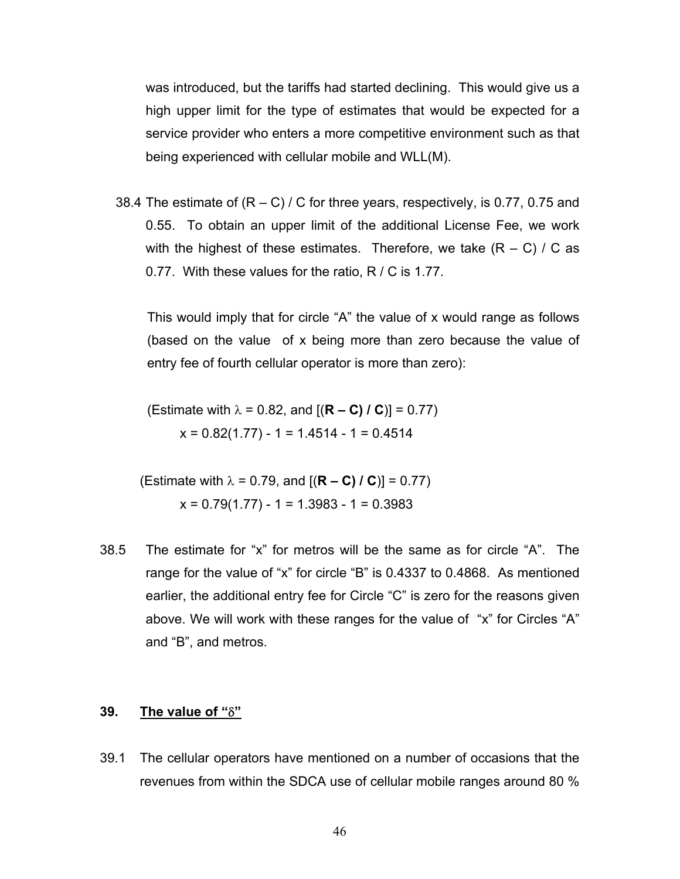was introduced, but the tariffs had started declining. This would give us a high upper limit for the type of estimates that would be expected for a service provider who enters a more competitive environment such as that being experienced with cellular mobile and WLL(M).

38.4 The estimate of  $(R - C) / C$  for three years, respectively, is 0.77, 0.75 and 0.55. To obtain an upper limit of the additional License Fee, we work with the highest of these estimates. Therefore, we take  $(R - C) / C$  as 0.77. With these values for the ratio, R / C is 1.77.

This would imply that for circle "A" the value of x would range as follows (based on the value of x being more than zero because the value of entry fee of fourth cellular operator is more than zero):

(Estimate with  $\lambda = 0.82$ , and  $[(R – C) / C] = 0.77$ )  $x = 0.82(1.77) - 1 = 1.4514 - 1 = 0.4514$ 

(Estimate with  $\lambda = 0.79$ , and  $[(R – C) / C] = 0.77$ )  $x = 0.79(1.77) - 1 = 1.3983 - 1 = 0.3983$ 

38.5 The estimate for "x" for metros will be the same as for circle "A". The range for the value of "x" for circle "B" is 0.4337 to 0.4868. As mentioned earlier, the additional entry fee for Circle "C" is zero for the reasons given above. We will work with these ranges for the value of "x" for Circles "A" and "B", and metros.

### **39. The value of "**δ**"**

39.1 The cellular operators have mentioned on a number of occasions that the revenues from within the SDCA use of cellular mobile ranges around 80 %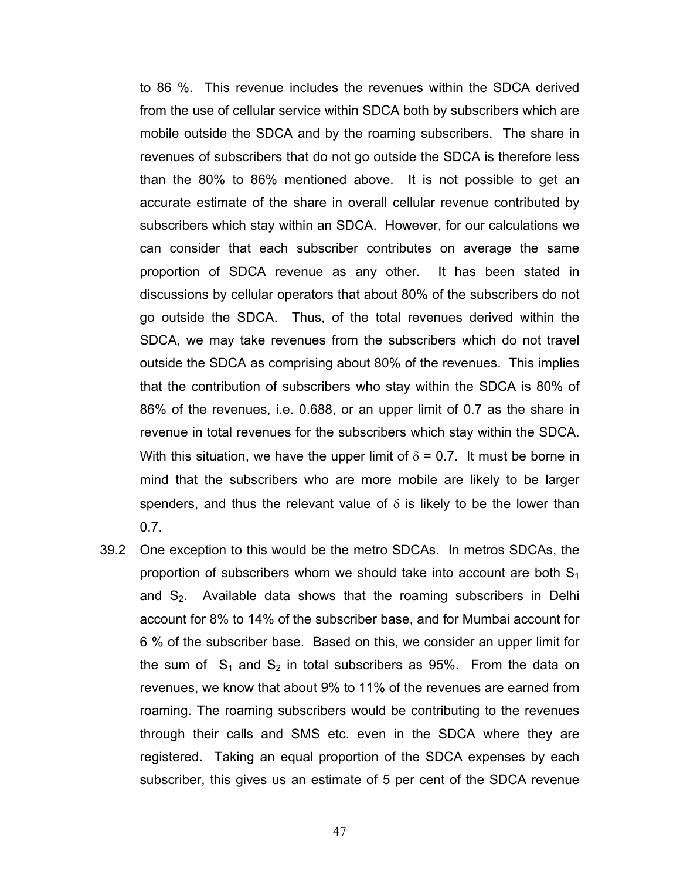to 86 %. This revenue includes the revenues within the SDCA derived from the use of cellular service within SDCA both by subscribers which are mobile outside the SDCA and by the roaming subscribers. The share in revenues of subscribers that do not go outside the SDCA is therefore less than the 80% to 86% mentioned above. It is not possible to get an accurate estimate of the share in overall cellular revenue contributed by subscribers which stay within an SDCA. However, for our calculations we can consider that each subscriber contributes on average the same proportion of SDCA revenue as any other. It has been stated in discussions by cellular operators that about 80% of the subscribers do not go outside the SDCA. Thus, of the total revenues derived within the SDCA, we may take revenues from the subscribers which do not travel outside the SDCA as comprising about 80% of the revenues. This implies that the contribution of subscribers who stay within the SDCA is 80% of 86% of the revenues, i.e. 0.688, or an upper limit of 0.7 as the share in revenue in total revenues for the subscribers which stay within the SDCA. With this situation, we have the upper limit of  $\delta$  = 0.7. It must be borne in mind that the subscribers who are more mobile are likely to be larger spenders, and thus the relevant value of  $\delta$  is likely to be the lower than 0.7.

39.2 One exception to this would be the metro SDCAs. In metros SDCAs, the proportion of subscribers whom we should take into account are both  $S_1$ and  $S_2$ . Available data shows that the roaming subscribers in Delhi account for 8% to 14% of the subscriber base, and for Mumbai account for 6 % of the subscriber base. Based on this, we consider an upper limit for the sum of  $S_1$  and  $S_2$  in total subscribers as 95%. From the data on revenues, we know that about 9% to 11% of the revenues are earned from roaming. The roaming subscribers would be contributing to the revenues through their calls and SMS etc. even in the SDCA where they are registered. Taking an equal proportion of the SDCA expenses by each subscriber, this gives us an estimate of 5 per cent of the SDCA revenue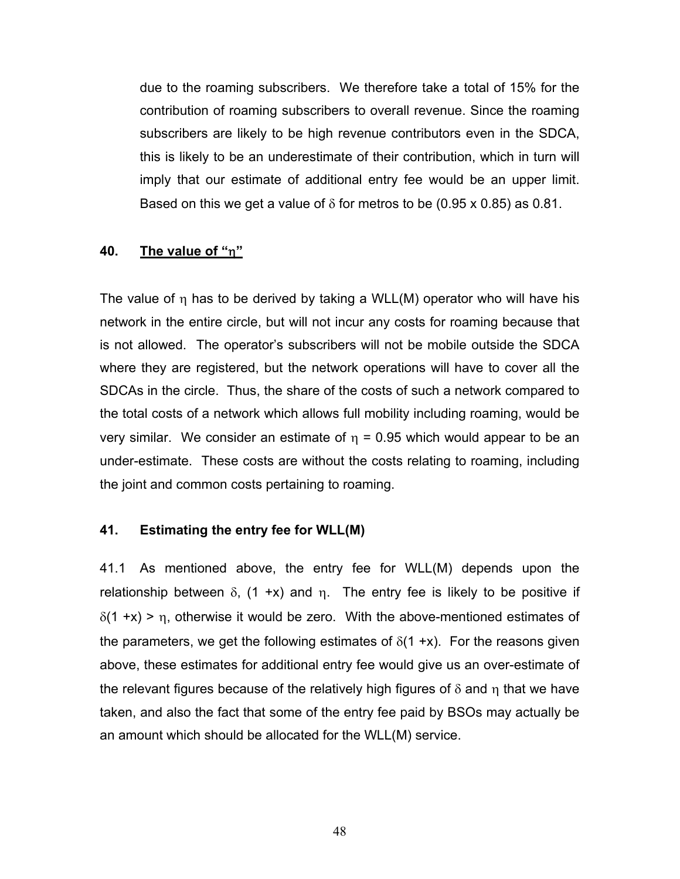due to the roaming subscribers. We therefore take a total of 15% for the contribution of roaming subscribers to overall revenue. Since the roaming subscribers are likely to be high revenue contributors even in the SDCA, this is likely to be an underestimate of their contribution, which in turn will imply that our estimate of additional entry fee would be an upper limit. Based on this we get a value of  $\delta$  for metros to be (0.95 x 0.85) as 0.81.

### **40. The value of "**η**"**

The value of  $\eta$  has to be derived by taking a WLL(M) operator who will have his network in the entire circle, but will not incur any costs for roaming because that is not allowed. The operator's subscribers will not be mobile outside the SDCA where they are registered, but the network operations will have to cover all the SDCAs in the circle. Thus, the share of the costs of such a network compared to the total costs of a network which allows full mobility including roaming, would be very similar. We consider an estimate of  $η = 0.95$  which would appear to be an under-estimate. These costs are without the costs relating to roaming, including the joint and common costs pertaining to roaming.

### **41. Estimating the entry fee for WLL(M)**

41.1 As mentioned above, the entry fee for WLL(M) depends upon the relationship between  $\delta$ , (1 +x) and  $\eta$ . The entry fee is likely to be positive if  $\delta(1 + x)$  > η, otherwise it would be zero. With the above-mentioned estimates of the parameters, we get the following estimates of  $\delta(1 + x)$ . For the reasons given above, these estimates for additional entry fee would give us an over-estimate of the relevant figures because of the relatively high figures of  $\delta$  and  $\eta$  that we have taken, and also the fact that some of the entry fee paid by BSOs may actually be an amount which should be allocated for the WLL(M) service.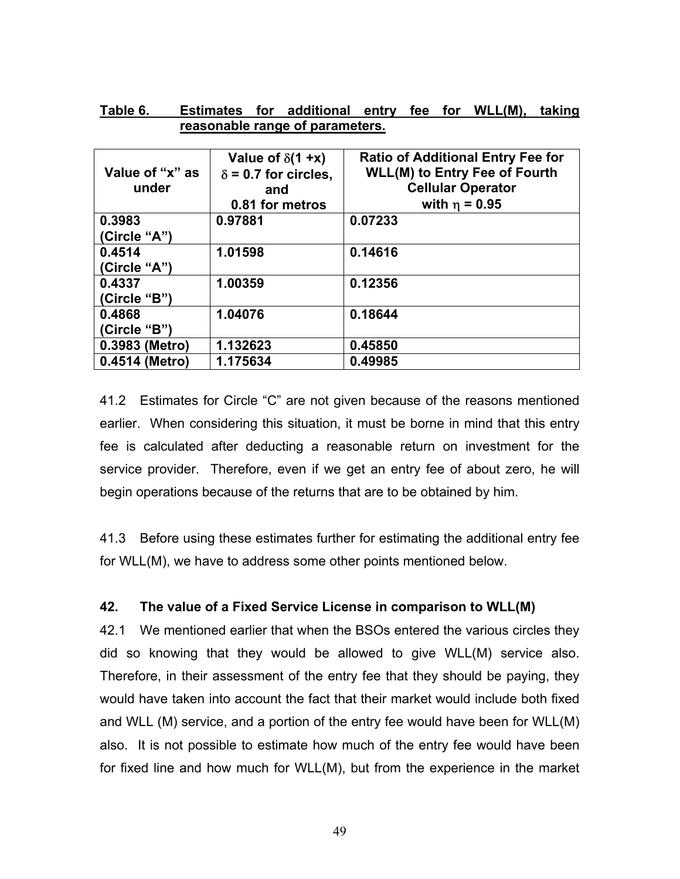|                 | Value of $\delta$ (1+x)     | <b>Ratio of Additional Entry Fee for</b> |
|-----------------|-----------------------------|------------------------------------------|
| Value of "x" as | $\delta$ = 0.7 for circles, | <b>WLL(M) to Entry Fee of Fourth</b>     |
| under           | and                         | <b>Cellular Operator</b>                 |
|                 | 0.81 for metros             | with $η = 0.95$                          |
| 0.3983          | 0.97881                     | 0.07233                                  |
| (Circle "A")    |                             |                                          |
| 0.4514          | 1.01598                     | 0.14616                                  |
| (Circle "A")    |                             |                                          |
| 0.4337          | 1.00359                     | 0.12356                                  |
| (Circle "B")    |                             |                                          |
| 0.4868          | 1.04076                     | 0.18644                                  |
| (Circle "B")    |                             |                                          |
| 0.3983 (Metro)  | 1.132623                    | 0.45850                                  |
| 0.4514 (Metro)  | 1.175634                    | 0.49985                                  |

| Table 6. |  | Estimates for additional entry fee for WLL(M), taking |  |  |  |
|----------|--|-------------------------------------------------------|--|--|--|
|          |  | reasonable range of parameters.                       |  |  |  |

41.2 Estimates for Circle "C" are not given because of the reasons mentioned earlier. When considering this situation, it must be borne in mind that this entry fee is calculated after deducting a reasonable return on investment for the service provider. Therefore, even if we get an entry fee of about zero, he will begin operations because of the returns that are to be obtained by him.

41.3 Before using these estimates further for estimating the additional entry fee for WLL(M), we have to address some other points mentioned below.

### **42. The value of a Fixed Service License in comparison to WLL(M)**

42.1 We mentioned earlier that when the BSOs entered the various circles they did so knowing that they would be allowed to give WLL(M) service also. Therefore, in their assessment of the entry fee that they should be paying, they would have taken into account the fact that their market would include both fixed and WLL (M) service, and a portion of the entry fee would have been for WLL(M) also. It is not possible to estimate how much of the entry fee would have been for fixed line and how much for WLL(M), but from the experience in the market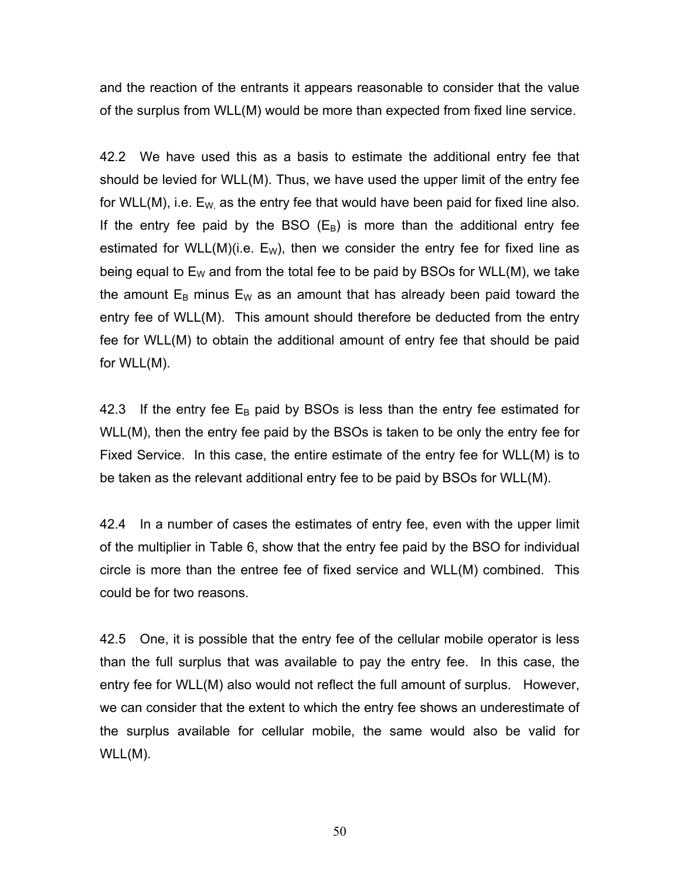and the reaction of the entrants it appears reasonable to consider that the value of the surplus from WLL(M) would be more than expected from fixed line service.

42.2 We have used this as a basis to estimate the additional entry fee that should be levied for WLL(M). Thus, we have used the upper limit of the entry fee for WLL(M), i.e.  $E_W$  as the entry fee that would have been paid for fixed line also. If the entry fee paid by the BSO  $(E_B)$  is more than the additional entry fee estimated for WLL(M)(i.e.  $E_W$ ), then we consider the entry fee for fixed line as being equal to  $E_W$  and from the total fee to be paid by BSOs for WLL(M), we take the amount  $E_B$  minus  $E_W$  as an amount that has already been paid toward the entry fee of WLL(M). This amount should therefore be deducted from the entry fee for WLL(M) to obtain the additional amount of entry fee that should be paid for WLL(M).

42.3 If the entry fee  $E_B$  paid by BSOs is less than the entry fee estimated for WLL(M), then the entry fee paid by the BSOs is taken to be only the entry fee for Fixed Service. In this case, the entire estimate of the entry fee for WLL(M) is to be taken as the relevant additional entry fee to be paid by BSOs for WLL(M).

42.4 In a number of cases the estimates of entry fee, even with the upper limit of the multiplier in Table 6, show that the entry fee paid by the BSO for individual circle is more than the entree fee of fixed service and WLL(M) combined. This could be for two reasons.

42.5 One, it is possible that the entry fee of the cellular mobile operator is less than the full surplus that was available to pay the entry fee. In this case, the entry fee for WLL(M) also would not reflect the full amount of surplus. However, we can consider that the extent to which the entry fee shows an underestimate of the surplus available for cellular mobile, the same would also be valid for WLL(M).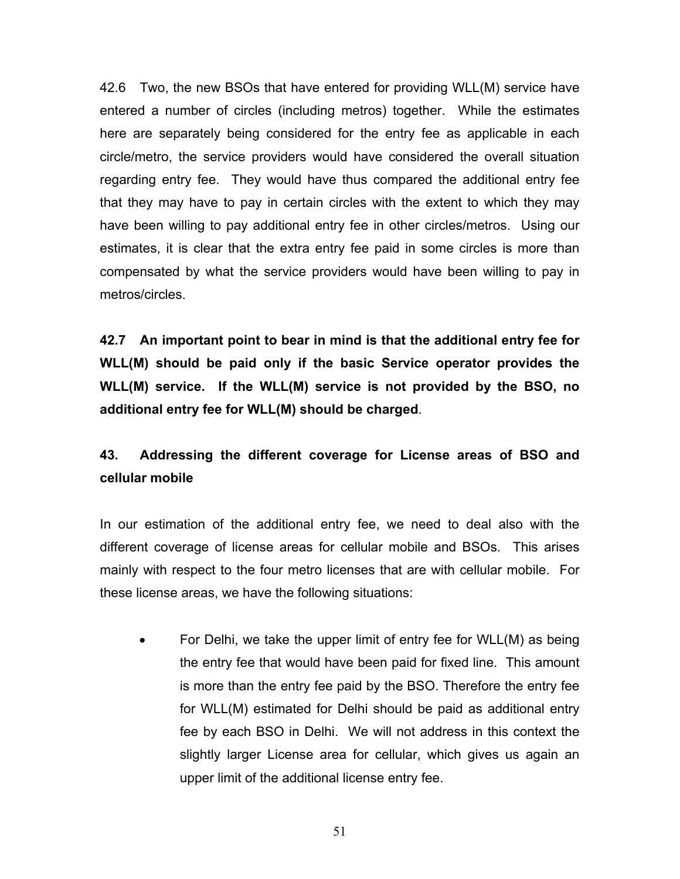42.6 Two, the new BSOs that have entered for providing WLL(M) service have entered a number of circles (including metros) together. While the estimates here are separately being considered for the entry fee as applicable in each circle/metro, the service providers would have considered the overall situation regarding entry fee. They would have thus compared the additional entry fee that they may have to pay in certain circles with the extent to which they may have been willing to pay additional entry fee in other circles/metros. Using our estimates, it is clear that the extra entry fee paid in some circles is more than compensated by what the service providers would have been willing to pay in metros/circles.

**42.7 An important point to bear in mind is that the additional entry fee for WLL(M) should be paid only if the basic Service operator provides the WLL(M) service. If the WLL(M) service is not provided by the BSO, no additional entry fee for WLL(M) should be charged**.

# **43. Addressing the different coverage for License areas of BSO and cellular mobile**

In our estimation of the additional entry fee, we need to deal also with the different coverage of license areas for cellular mobile and BSOs. This arises mainly with respect to the four metro licenses that are with cellular mobile. For these license areas, we have the following situations:

• For Delhi, we take the upper limit of entry fee for WLL(M) as being the entry fee that would have been paid for fixed line. This amount is more than the entry fee paid by the BSO. Therefore the entry fee for WLL(M) estimated for Delhi should be paid as additional entry fee by each BSO in Delhi. We will not address in this context the slightly larger License area for cellular, which gives us again an upper limit of the additional license entry fee.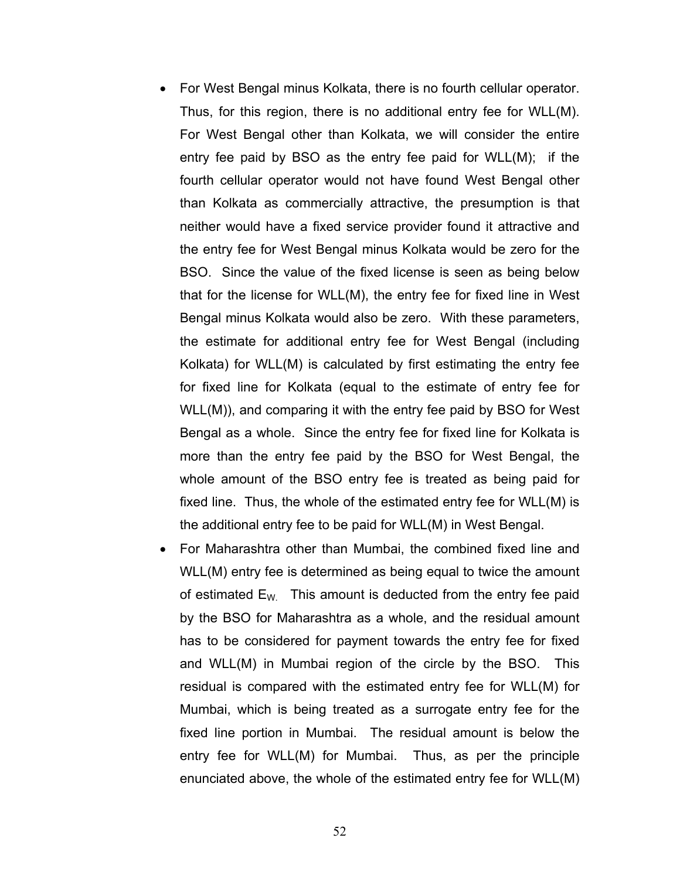- For West Bengal minus Kolkata, there is no fourth cellular operator. Thus, for this region, there is no additional entry fee for WLL(M). For West Bengal other than Kolkata, we will consider the entire entry fee paid by BSO as the entry fee paid for WLL(M); if the fourth cellular operator would not have found West Bengal other than Kolkata as commercially attractive, the presumption is that neither would have a fixed service provider found it attractive and the entry fee for West Bengal minus Kolkata would be zero for the BSO. Since the value of the fixed license is seen as being below that for the license for WLL(M), the entry fee for fixed line in West Bengal minus Kolkata would also be zero. With these parameters, the estimate for additional entry fee for West Bengal (including Kolkata) for WLL(M) is calculated by first estimating the entry fee for fixed line for Kolkata (equal to the estimate of entry fee for WLL(M)), and comparing it with the entry fee paid by BSO for West Bengal as a whole. Since the entry fee for fixed line for Kolkata is more than the entry fee paid by the BSO for West Bengal, the whole amount of the BSO entry fee is treated as being paid for fixed line. Thus, the whole of the estimated entry fee for WLL(M) is the additional entry fee to be paid for WLL(M) in West Bengal.
- For Maharashtra other than Mumbai, the combined fixed line and WLL(M) entry fee is determined as being equal to twice the amount of estimated  $E_W$ . This amount is deducted from the entry fee paid by the BSO for Maharashtra as a whole, and the residual amount has to be considered for payment towards the entry fee for fixed and WLL(M) in Mumbai region of the circle by the BSO. This residual is compared with the estimated entry fee for WLL(M) for Mumbai, which is being treated as a surrogate entry fee for the fixed line portion in Mumbai. The residual amount is below the entry fee for WLL(M) for Mumbai. Thus, as per the principle enunciated above, the whole of the estimated entry fee for WLL(M)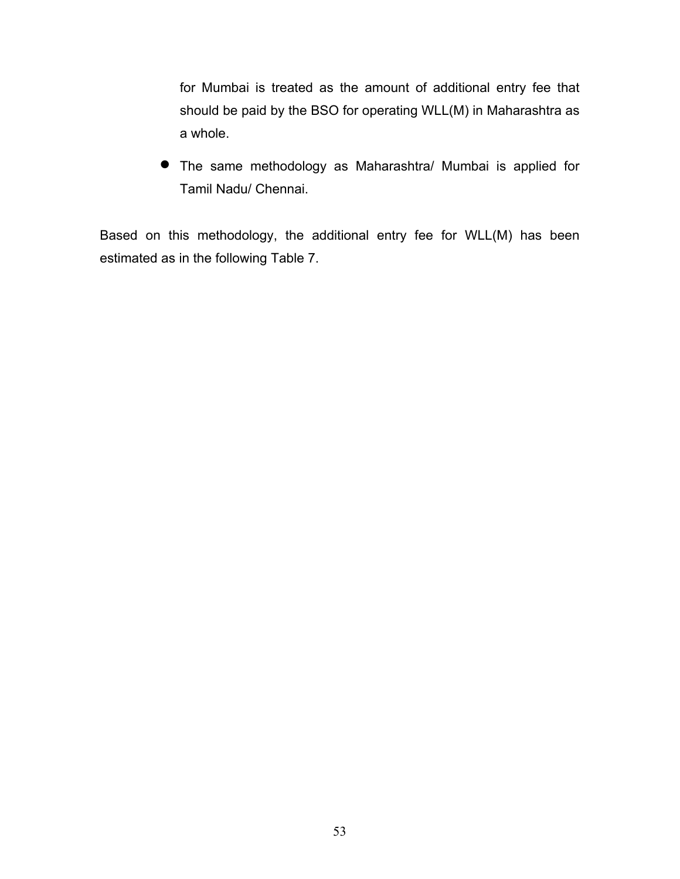for Mumbai is treated as the amount of additional entry fee that should be paid by the BSO for operating WLL(M) in Maharashtra as a whole.

• The same methodology as Maharashtra/ Mumbai is applied for Tamil Nadu/ Chennai.

Based on this methodology, the additional entry fee for WLL(M) has been estimated as in the following Table 7.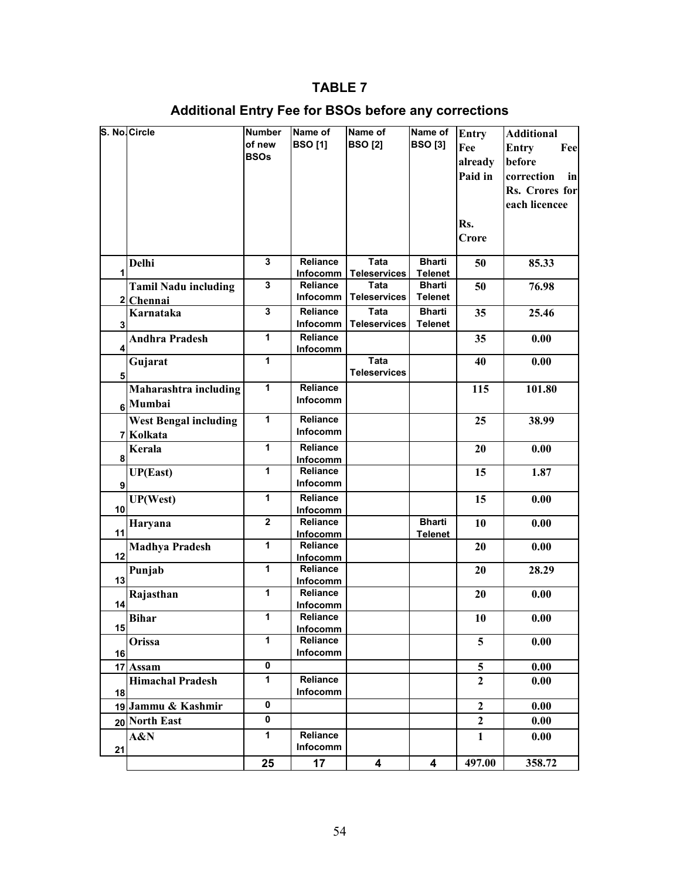## **TABLE 7**

# **Additional Entry Fee for BSOs before any corrections**

|                 | S. No. Circle                | <b>Number</b><br>of new | Name of                     | Name of             | Name of        | <b>Entry</b>   | <b>Additional</b>   |
|-----------------|------------------------------|-------------------------|-----------------------------|---------------------|----------------|----------------|---------------------|
|                 |                              |                         | <b>BSO[1]</b>               | <b>BSO [2]</b>      | <b>BSO[3]</b>  | Fee            | <b>Entry</b><br>Fee |
|                 |                              | <b>BSOs</b>             |                             |                     |                | already        | before              |
|                 |                              |                         |                             |                     |                | Paid in        | correction<br>in    |
|                 |                              |                         |                             |                     |                |                | Rs. Crores for      |
|                 |                              |                         |                             |                     |                |                | each licencee       |
|                 |                              |                         |                             |                     |                |                |                     |
|                 |                              |                         |                             |                     |                | Rs.            |                     |
|                 |                              |                         |                             |                     |                | Crore          |                     |
|                 | Delhi                        | 3                       | <b>Reliance</b>             | Tata                | <b>Bharti</b>  | 50             | 85.33               |
| 1               |                              |                         | Infocomm                    | <b>Teleservices</b> | <b>Telenet</b> |                |                     |
|                 | <b>Tamil Nadu including</b>  | 3                       | Reliance                    | Tata                | <b>Bharti</b>  | 50             | 76.98               |
|                 | 2 Chennai                    |                         | Infocomm                    | <b>Teleservices</b> | <b>Telenet</b> |                |                     |
|                 | Karnataka                    | 3                       | Reliance                    | Tata                | <b>Bharti</b>  | 35             | 25.46               |
| 3               |                              |                         | Infocomm                    | <b>Teleservices</b> | <b>Telenet</b> |                |                     |
|                 | <b>Andhra Pradesh</b>        | $\mathbf{1}$            | Reliance                    |                     |                | 35             | 0.00                |
| 4               |                              |                         | <b>Infocomm</b>             |                     |                |                |                     |
|                 | Gujarat                      | $\mathbf{1}$            |                             | Tata                |                | 40             | 0.00                |
| 5               |                              |                         |                             | <b>Teleservices</b> |                |                |                     |
|                 | Maharashtra including        | 1                       | Reliance                    |                     |                | 115            | 101.80              |
|                 | 6 Mumbai                     |                         | Infocomm                    |                     |                |                |                     |
|                 | <b>West Bengal including</b> | $\mathbf{1}$            | <b>Reliance</b>             |                     |                | 25             | 38.99               |
|                 | 7 Kolkata                    |                         | Infocomm                    |                     |                |                |                     |
|                 | Kerala                       | 1                       | <b>Reliance</b>             |                     |                | 20             | 0.00                |
| 8               |                              |                         | Infocomm                    |                     |                |                |                     |
|                 | <b>UP(East)</b>              | 1                       | <b>Reliance</b>             |                     |                | 15             | 1.87                |
| 9               |                              |                         | Infocomm                    |                     |                |                |                     |
|                 | <b>UP(West)</b>              | $\mathbf{1}$            | <b>Reliance</b>             |                     |                | 15             | 0.00                |
| 10 <sub>1</sub> |                              |                         | Infocomm                    |                     |                |                |                     |
|                 | Haryana                      | $\overline{\mathbf{2}}$ | Reliance                    |                     | <b>Bharti</b>  | 10             | 0.00                |
| 11              |                              |                         | Infocomm                    |                     | <b>Telenet</b> |                |                     |
| 12              | <b>Madhya Pradesh</b>        | $\mathbf{1}$            | <b>Reliance</b>             |                     |                | 20             | 0.00                |
|                 | Punjab                       | $\mathbf{1}$            | <b>Infocomm</b><br>Reliance |                     |                | 20             | 28.29               |
| 13              |                              |                         | <b>Infocomm</b>             |                     |                |                |                     |
|                 | Rajasthan                    | 1                       | Reliance                    |                     |                | 20             | 0.00                |
| 14              |                              |                         | Infocomm                    |                     |                |                |                     |
|                 | <b>Bihar</b>                 | 1                       | Reliance                    |                     |                | 10             | 0.00                |
| 15              |                              |                         | <b>Infocomm</b>             |                     |                |                |                     |
|                 | Orissa                       | $\mathbf{1}$            | Reliance                    |                     |                | 5              | 0.00                |
| 16              |                              |                         | Infocomm                    |                     |                |                |                     |
|                 | 17 Assam                     | $\mathbf 0$             |                             |                     |                | 5              | 0.00                |
|                 | <b>Himachal Pradesh</b>      | 1                       | Reliance                    |                     |                | $\mathbf{2}$   | 0.00                |
| 18              |                              |                         | Infocomm                    |                     |                |                |                     |
|                 | 19 Jammu & Kashmir           | 0                       |                             |                     |                | $\overline{2}$ | 0.00                |
|                 | 20 North East                | $\mathbf 0$             |                             |                     |                | $\overline{2}$ | 0.00                |
|                 | A&N                          | $\mathbf{1}$            | Reliance                    |                     |                | $\mathbf{1}$   | 0.00                |
| 21              |                              |                         | Infocomm                    |                     |                |                |                     |
|                 |                              | 25                      | 17                          | 4                   | 4              | 497.00         | 358.72              |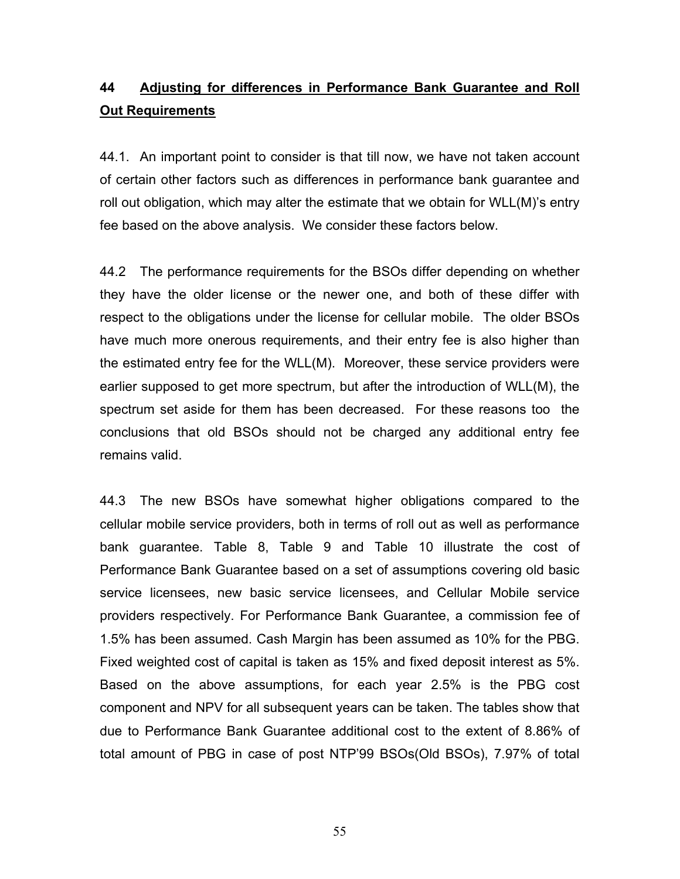# **44 Adjusting for differences in Performance Bank Guarantee and Roll Out Requirements**

44.1. An important point to consider is that till now, we have not taken account of certain other factors such as differences in performance bank guarantee and roll out obligation, which may alter the estimate that we obtain for WLL(M)'s entry fee based on the above analysis. We consider these factors below.

44.2 The performance requirements for the BSOs differ depending on whether they have the older license or the newer one, and both of these differ with respect to the obligations under the license for cellular mobile. The older BSOs have much more onerous requirements, and their entry fee is also higher than the estimated entry fee for the WLL(M). Moreover, these service providers were earlier supposed to get more spectrum, but after the introduction of WLL(M), the spectrum set aside for them has been decreased. For these reasons too the conclusions that old BSOs should not be charged any additional entry fee remains valid.

44.3 The new BSOs have somewhat higher obligations compared to the cellular mobile service providers, both in terms of roll out as well as performance bank guarantee. Table 8, Table 9 and Table 10 illustrate the cost of Performance Bank Guarantee based on a set of assumptions covering old basic service licensees, new basic service licensees, and Cellular Mobile service providers respectively. For Performance Bank Guarantee, a commission fee of 1.5% has been assumed. Cash Margin has been assumed as 10% for the PBG. Fixed weighted cost of capital is taken as 15% and fixed deposit interest as 5%. Based on the above assumptions, for each year 2.5% is the PBG cost component and NPV for all subsequent years can be taken. The tables show that due to Performance Bank Guarantee additional cost to the extent of 8.86% of total amount of PBG in case of post NTP'99 BSOs(Old BSOs), 7.97% of total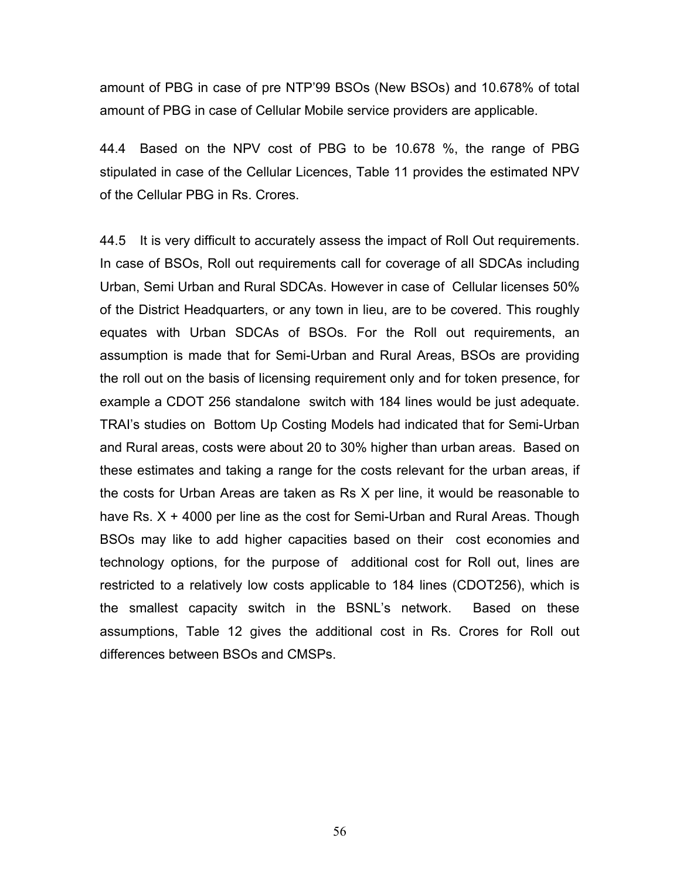amount of PBG in case of pre NTP'99 BSOs (New BSOs) and 10.678% of total amount of PBG in case of Cellular Mobile service providers are applicable.

44.4 Based on the NPV cost of PBG to be 10.678 %, the range of PBG stipulated in case of the Cellular Licences, Table 11 provides the estimated NPV of the Cellular PBG in Rs. Crores.

44.5 It is very difficult to accurately assess the impact of Roll Out requirements. In case of BSOs, Roll out requirements call for coverage of all SDCAs including Urban, Semi Urban and Rural SDCAs. However in case of Cellular licenses 50% of the District Headquarters, or any town in lieu, are to be covered. This roughly equates with Urban SDCAs of BSOs. For the Roll out requirements, an assumption is made that for Semi-Urban and Rural Areas, BSOs are providing the roll out on the basis of licensing requirement only and for token presence, for example a CDOT 256 standalone switch with 184 lines would be just adequate. TRAI's studies on Bottom Up Costing Models had indicated that for Semi-Urban and Rural areas, costs were about 20 to 30% higher than urban areas. Based on these estimates and taking a range for the costs relevant for the urban areas, if the costs for Urban Areas are taken as Rs X per line, it would be reasonable to have Rs. X + 4000 per line as the cost for Semi-Urban and Rural Areas. Though BSOs may like to add higher capacities based on their cost economies and technology options, for the purpose of additional cost for Roll out, lines are restricted to a relatively low costs applicable to 184 lines (CDOT256), which is the smallest capacity switch in the BSNL's network. Based on these assumptions, Table 12 gives the additional cost in Rs. Crores for Roll out differences between BSOs and CMSPs.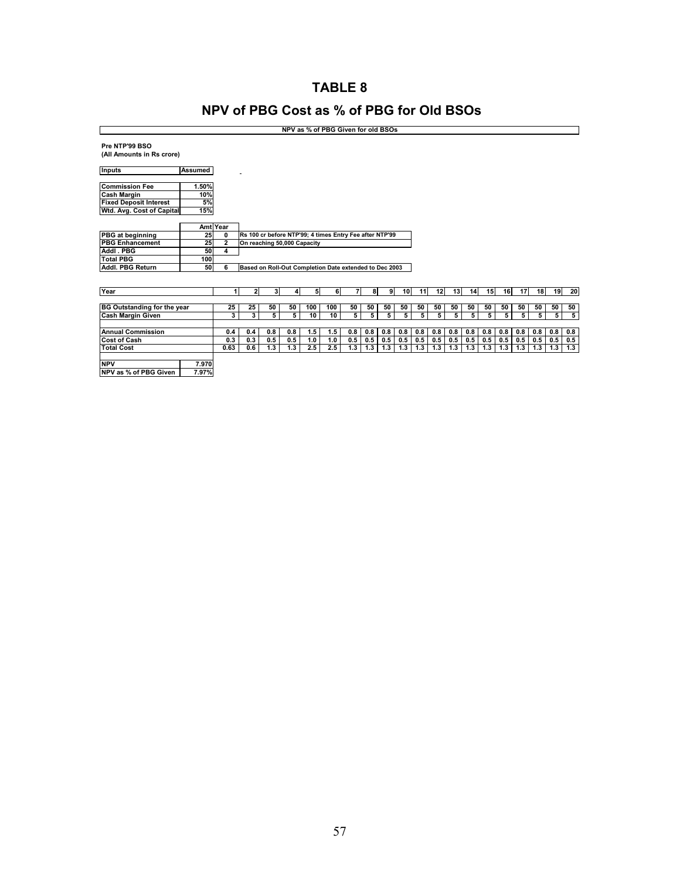## **TABLE 8**

## **NPV of PBG Cost as % of PBG for Old BSOs**

|                                             | NPV as % of PBG Given for old BSOs |                         |                                                         |              |     |     |     |     |     |     |     |     |                 |     |     |     |                 |     |     |     |                |
|---------------------------------------------|------------------------------------|-------------------------|---------------------------------------------------------|--------------|-----|-----|-----|-----|-----|-----|-----|-----|-----------------|-----|-----|-----|-----------------|-----|-----|-----|----------------|
| Pre NTP'99 BSO<br>(All Amounts in Rs crore) |                                    |                         |                                                         |              |     |     |     |     |     |     |     |     |                 |     |     |     |                 |     |     |     |                |
| <b>Inputs</b>                               | <b>Assumed</b>                     |                         |                                                         |              |     |     |     |     |     |     |     |     |                 |     |     |     |                 |     |     |     |                |
| <b>Commission Fee</b>                       | 1.50%                              |                         |                                                         |              |     |     |     |     |     |     |     |     |                 |     |     |     |                 |     |     |     |                |
| <b>Cash Margin</b>                          | 10%                                |                         |                                                         |              |     |     |     |     |     |     |     |     |                 |     |     |     |                 |     |     |     |                |
| <b>Fixed Deposit Interest</b>               | 5%                                 |                         |                                                         |              |     |     |     |     |     |     |     |     |                 |     |     |     |                 |     |     |     |                |
| Wtd. Avg. Cost of Capital                   | 15%                                |                         |                                                         |              |     |     |     |     |     |     |     |     |                 |     |     |     |                 |     |     |     |                |
|                                             |                                    |                         |                                                         |              |     |     |     |     |     |     |     |     |                 |     |     |     |                 |     |     |     |                |
|                                             |                                    | Amt Year                |                                                         |              |     |     |     |     |     |     |     |     |                 |     |     |     |                 |     |     |     |                |
| <b>PBG</b> at beginning                     | 25                                 | $\mathbf 0$             | Rs 100 cr before NTP'99; 4 times Entry Fee after NTP'99 |              |     |     |     |     |     |     |     |     |                 |     |     |     |                 |     |     |     |                |
| <b>PBG Enhancement</b>                      | 25                                 | $\overline{\mathbf{2}}$ | On reaching 50,000 Capacity                             |              |     |     |     |     |     |     |     |     |                 |     |     |     |                 |     |     |     |                |
| Addl . PBG                                  | 50                                 | 4                       |                                                         |              |     |     |     |     |     |     |     |     |                 |     |     |     |                 |     |     |     |                |
| <b>Total PBG</b>                            | 100                                |                         |                                                         |              |     |     |     |     |     |     |     |     |                 |     |     |     |                 |     |     |     |                |
| Addl. PBG Return                            | 50                                 | 6                       | Based on Roll-Out Completion Date extended to Dec 2003  |              |     |     |     |     |     |     |     |     |                 |     |     |     |                 |     |     |     |                |
|                                             |                                    |                         |                                                         |              |     |     |     |     |     |     |     |     |                 |     |     |     |                 |     |     |     |                |
|                                             |                                    |                         |                                                         |              |     |     |     |     |     |     |     |     |                 |     |     |     |                 |     |     |     |                |
| Year                                        |                                    |                         | $\mathbf{2}$                                            | $\mathbf{3}$ | 4   | 5   | 61  | 7   | 8   | 9   | 10  | 11  | 12 <sup>1</sup> | 13  | 14  | 15  | 16 <sup>1</sup> | 17  | 18  | 19  | 20             |
|                                             |                                    |                         |                                                         |              |     |     |     |     |     |     |     |     |                 |     |     |     |                 |     |     |     |                |
| <b>BG Outstanding for the year</b>          |                                    | 25                      | 25                                                      | 50           | 50  | 100 | 100 | 50  | 50  | 50  | 50  | 50  | 50              | 50  | 50  | 50  | 50              | 50  | 50  | 50  | 50             |
| <b>Cash Margin Given</b>                    |                                    | 3                       | 3                                                       | 5            | 5   | 10  | 10  | 5   | 5   | 5   | 5   | 5   | 5               | 5   | 5   | 5   | 5               | 5   | 5   | 5   | $\overline{5}$ |
|                                             |                                    |                         |                                                         |              |     |     |     |     |     |     |     |     |                 |     |     |     |                 |     |     |     |                |
| <b>Annual Commission</b>                    |                                    | 0.4                     | 0.4                                                     | 0.8          | 0.8 | 1.5 | 1.5 | 0.8 | 0.8 | 0.8 | 0.8 | 0.8 | 0.8             | 0.8 | 0.8 | 0.8 | 0.8             | 0.8 | 0.8 | 0.8 | 0.8            |
| <b>Cost of Cash</b>                         |                                    | 0.3                     | 0.3                                                     | 0.5          | 0.5 | 1.0 | 1.0 | 0.5 | 0.5 | 0.5 | 0.5 | 0.5 | 0.5             | 0.5 | 0.5 | 0.5 | 0.5             | 0.5 | 0.5 | 0.5 | 0.5            |
| <b>Total Cost</b>                           |                                    | 0.63                    | 0.6                                                     | 1.3          | 1.3 | 2.5 | 2.5 | 1.3 | 1.3 | 1.3 | 1.3 | 1.3 | 1.3             | 1.3 | 1.3 | 1.3 | 1.3             | 1.3 | 1.3 | 1.3 | 1.3            |
|                                             |                                    |                         |                                                         |              |     |     |     |     |     |     |     |     |                 |     |     |     |                 |     |     |     |                |
| <b>NPV</b>                                  | 7.970                              |                         |                                                         |              |     |     |     |     |     |     |     |     |                 |     |     |     |                 |     |     |     |                |
| NPV as % of PBG Given                       | 7.97%                              |                         |                                                         |              |     |     |     |     |     |     |     |     |                 |     |     |     |                 |     |     |     |                |
|                                             |                                    |                         |                                                         |              |     |     |     |     |     |     |     |     |                 |     |     |     |                 |     |     |     |                |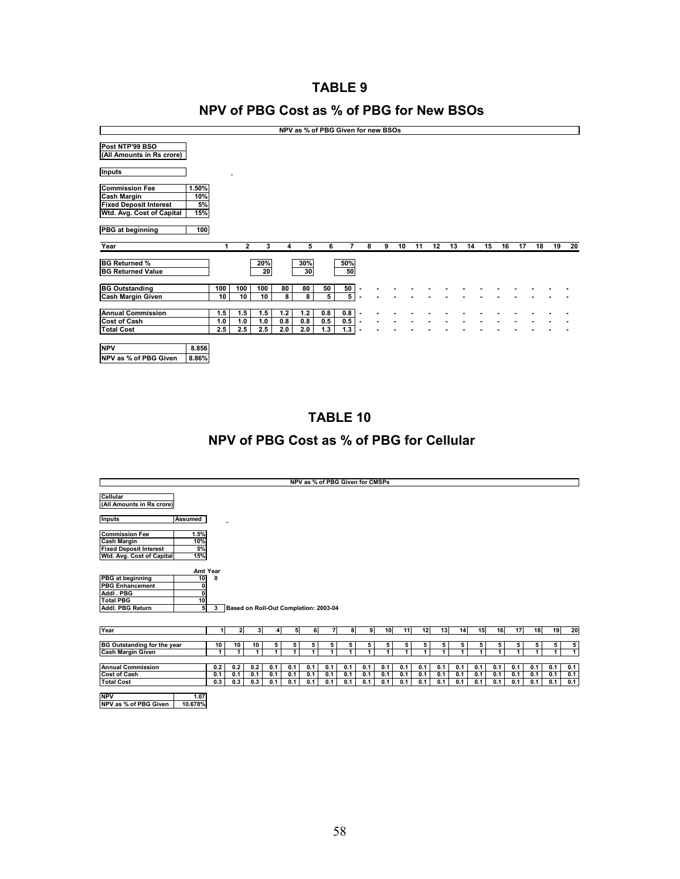## **TABLE 9**

## **NPV of PBG Cost as % of PBG for New BSOs**

| NPV as % of PBG Given for new BSOs                                                                        |                           |            |              |            |            |            |                |                         |                |  |   |    |    |    |    |    |    |    |    |    |    |    |
|-----------------------------------------------------------------------------------------------------------|---------------------------|------------|--------------|------------|------------|------------|----------------|-------------------------|----------------|--|---|----|----|----|----|----|----|----|----|----|----|----|
| Post NTP'99 BSO<br>(All Amounts in Rs crore)                                                              |                           |            |              |            |            |            |                |                         |                |  |   |    |    |    |    |    |    |    |    |    |    |    |
| <b>Inputs</b>                                                                                             |                           |            |              |            |            |            |                |                         |                |  |   |    |    |    |    |    |    |    |    |    |    |    |
| <b>Commission Fee</b><br><b>Cash Margin</b><br><b>Fixed Deposit Interest</b><br>Wtd. Avg. Cost of Capital | 1.50%<br>10%<br>5%<br>15% |            |              |            |            |            |                |                         |                |  |   |    |    |    |    |    |    |    |    |    |    |    |
| PBG at beginning                                                                                          | 100                       |            |              |            |            |            |                |                         |                |  |   |    |    |    |    |    |    |    |    |    |    |    |
| Year                                                                                                      |                           | 1          | $\mathbf{2}$ | 3          | 4          | 5          | 6              | 7                       | 8              |  | 9 | 10 | 11 | 12 | 13 | 14 | 15 | 16 | 17 | 18 | 19 | 20 |
| <b>BG Returned %</b><br><b>BG Returned Value</b>                                                          |                           |            |              | 20%<br>20  |            | 30%<br>30  |                | 50%<br>50               |                |  |   |    |    |    |    |    |    |    |    |    |    |    |
| <b>BG Outstanding</b>                                                                                     |                           | 100        | 100          | 100        | 80         | 80         | 50             | 50                      |                |  |   |    |    |    |    |    |    |    |    |    |    |    |
| <b>Cash Margin Given</b>                                                                                  |                           | 10         | 10           | 10         | 8          | 8          | 5 <sup>1</sup> | $\overline{\mathbf{5}}$ | $\blacksquare$ |  |   |    |    |    |    |    |    |    |    |    |    |    |
| <b>Annual Commission</b><br><b>Cost of Cash</b>                                                           |                           | 1.5<br>1.0 | 1.5<br>1.0   | 1.5<br>1.0 | 1.2<br>0.8 | 1.2<br>0.8 | 0.8<br>0.5     | 0.8<br>0.5              | $\blacksquare$ |  |   |    |    |    |    |    |    |    |    |    |    |    |
| <b>Total Cost</b>                                                                                         |                           | 2.5        | 2.5          | 2.5        | 2.0        | 2.0        | 1.3            | 1.3                     |                |  |   |    |    |    |    |    |    |    |    |    |    |    |
| <b>NPV</b><br>NPV as % of PBG Given                                                                       | 8.856<br>8.86%            |            |              |            |            |            |                |                         |                |  |   |    |    |    |    |    |    |    |    |    |    |    |

**TABLE 10** 

# **NPV of PBG Cost as % of PBG for Cellular**

|                                                                                                           |                                                                        |                   |                   |                                       |                   |                   |                   |                   |                   | NPV as % of PBG Given for CMSPs |                   |                   |                   |                   |                   |                   |                   |                   |                   |                   |                   |
|-----------------------------------------------------------------------------------------------------------|------------------------------------------------------------------------|-------------------|-------------------|---------------------------------------|-------------------|-------------------|-------------------|-------------------|-------------------|---------------------------------|-------------------|-------------------|-------------------|-------------------|-------------------|-------------------|-------------------|-------------------|-------------------|-------------------|-------------------|
|                                                                                                           |                                                                        |                   |                   |                                       |                   |                   |                   |                   |                   |                                 |                   |                   |                   |                   |                   |                   |                   |                   |                   |                   |                   |
| Cellular<br>(All Amounts in Rs crore)                                                                     |                                                                        |                   |                   |                                       |                   |                   |                   |                   |                   |                                 |                   |                   |                   |                   |                   |                   |                   |                   |                   |                   |                   |
| <b>Inputs</b>                                                                                             | Assumed                                                                |                   |                   |                                       |                   |                   |                   |                   |                   |                                 |                   |                   |                   |                   |                   |                   |                   |                   |                   |                   |                   |
| <b>Commission Fee</b><br><b>Cash Margin</b><br><b>Fixed Deposit Interest</b><br>Wtd. Avg. Cost of Capital | 1.5%<br>10%<br>5%<br>15%                                               |                   |                   |                                       |                   |                   |                   |                   |                   |                                 |                   |                   |                   |                   |                   |                   |                   |                   |                   |                   |                   |
| <b>PBG</b> at beginning<br><b>PBG Enhancement</b><br>Addl . PBG<br><b>Total PBG</b><br>Addl. PBG Return   | Amt Year<br>10 <sup>1</sup><br>0<br>$\overline{\mathbf{0}}$<br>10<br>5 | U<br>$\mathbf{3}$ |                   | Based on Roll-Out Completion: 2003-04 |                   |                   |                   |                   |                   |                                 |                   |                   |                   |                   |                   |                   |                   |                   |                   |                   |                   |
| Year                                                                                                      |                                                                        | 11                | $\mathbf{z}$      | 3                                     | 41                | 5                 | 6                 | 71                | 81                | 9                               | 10                | 11                | 12                | 13                | 14                | 15                | 16                | 17                | 18                | 19                | 20                |
| <b>BG Outstanding for the year</b><br><b>Cash Margin Given</b>                                            |                                                                        | 10<br>1           | 10<br>1           | 10<br>1                               | 5<br>1            | 5<br>1            | 5<br>1            | 5<br>4            | 5<br>1            | 5<br>1                          | 5<br>1            | 5<br>1            | 5<br>1            | 5<br>1            | 5<br>1            | 5<br>1            | 5<br>1            | 5<br>4            | 5<br>1.           | 5<br>1            | 5<br>$\mathbf{1}$ |
| <b>Annual Commission</b><br>Cost of Cash<br><b>Total Cost</b>                                             |                                                                        | 0.2<br>0.1<br>0.3 | 0.2<br>0.1<br>0.3 | 0.2<br>0.1<br>0.3                     | 0.1<br>0.1<br>0.1 | 0.1<br>0.1<br>0.1 | 0.1<br>0.1<br>0.1 | 0.1<br>0.1<br>0.1 | 0.1<br>0.1<br>0.1 | 0.1<br>0.1<br>0.1               | 0.1<br>0.1<br>0.1 | 0.1<br>0.1<br>0.1 | 0.1<br>0.1<br>0.1 | 0.1<br>0.1<br>0.1 | 0.1<br>0.1<br>0.1 | 0.1<br>0.1<br>0.1 | 0.1<br>0.1<br>0.1 | 0.1<br>0.1<br>0.1 | 0.1<br>0.1<br>0.1 | 0.1<br>0.1<br>0.1 | 0.1<br>0.1<br>0.1 |
| <b>NPV</b><br>NPV as % of PBG Given                                                                       | 1.07<br>10.678%                                                        |                   |                   |                                       |                   |                   |                   |                   |                   |                                 |                   |                   |                   |                   |                   |                   |                   |                   |                   |                   |                   |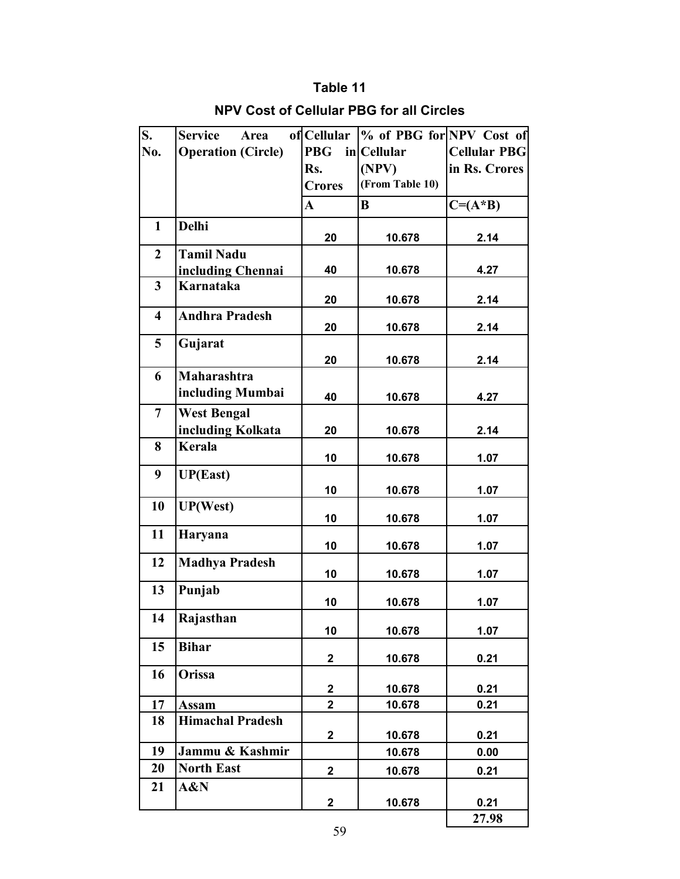## **Table 11**

| S.                      | <b>Service</b><br>Area                  | of Cellular   | % of PBG for NPV Cost of |                     |
|-------------------------|-----------------------------------------|---------------|--------------------------|---------------------|
| No.                     | <b>Operation (Circle)</b>               | <b>PBG</b>    | in Cellular              | <b>Cellular PBG</b> |
|                         |                                         | Rs.           | (NPV)                    | in Rs. Crores       |
|                         |                                         | <b>Crores</b> | (From Table 10)          |                     |
|                         |                                         | $\mathbf{A}$  | $\bf{B}$                 | $C = (A * B)$       |
| $\mathbf{1}$            | <b>Delhi</b>                            | 20            | 10.678                   | 2.14                |
| $\overline{2}$          | <b>Tamil Nadu</b><br>including Chennai  | 40            | 10.678                   | 4.27                |
| $\overline{\mathbf{3}}$ | Karnataka                               | 20            | 10.678                   | 2.14                |
| $\overline{\mathbf{4}}$ | <b>Andhra Pradesh</b>                   | 20            | 10.678                   | 2.14                |
| 5                       | Gujarat                                 | 20            | 10.678                   | 2.14                |
| 6                       | <b>Maharashtra</b>                      |               |                          |                     |
|                         | including Mumbai                        | 40            | 10.678                   | 4.27                |
| $\overline{7}$          | <b>West Bengal</b><br>including Kolkata | 20            | 10.678                   | 2.14                |
| 8                       | Kerala                                  | 10            | 10.678                   | 1.07                |
| 9                       | <b>UP(East)</b>                         |               |                          |                     |
|                         |                                         | 10            | 10.678                   | 1.07                |
| 10                      | <b>UP(West)</b>                         | 10            | 10.678                   | 1.07                |
| 11                      | Haryana                                 | 10            | 10.678                   | 1.07                |
| 12                      | <b>Madhya Pradesh</b>                   | 10            | 10.678                   | 1.07                |
| 13                      | Punjab                                  | 10            | 10.678                   | 1.07                |
| 14                      | Rajasthan                               | 10            | 10.678                   | 1.07                |
| 15                      | <b>Bihar</b>                            | $\mathbf 2$   | 10.678                   | 0.21                |
| 16                      | Orissa                                  | $\mathbf 2$   | 10.678                   | 0.21                |
| 17                      | <b>Assam</b>                            | $\mathbf{2}$  | 10.678                   | 0.21                |
| 18                      | <b>Himachal Pradesh</b>                 | $\mathbf 2$   | 10.678                   | 0.21                |
| 19                      | Jammu & Kashmir                         |               | 10.678                   | 0.00                |
| 20                      | <b>North East</b>                       | $\mathbf 2$   | 10.678                   | 0.21                |
| 21                      | A&N                                     |               |                          |                     |
|                         |                                         | $\mathbf 2$   | 10.678                   | 0.21<br>27.98       |

## **NPV Cost of Cellular PBG for all Circles**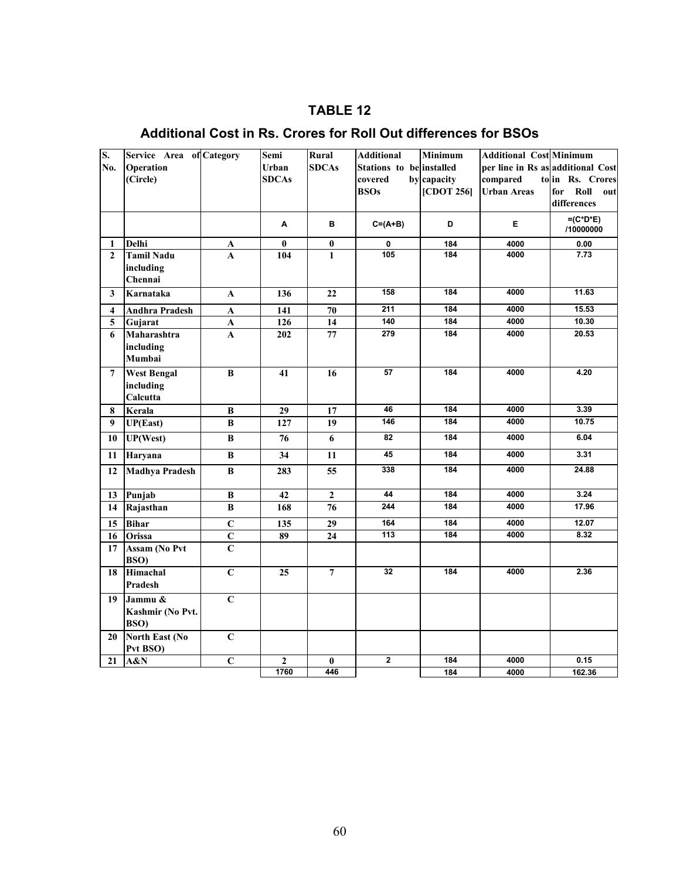## **TABLE 12**

## **Additional Cost in Rs. Crores for Roll Out differences for BSOs**

| S.                      | Service Area of Category |                | Semi         | Rural           | <b>Additional</b>        | <b>Minimum</b> | <b>Additional Cost Minimum</b>    |                    |
|-------------------------|--------------------------|----------------|--------------|-----------------|--------------------------|----------------|-----------------------------------|--------------------|
| No.                     | <b>Operation</b>         |                | <b>Urban</b> | <b>SDCAs</b>    | Stations to be installed |                | per line in Rs as additional Cost |                    |
|                         | (Circle)                 |                | <b>SDCAs</b> |                 | covered                  | by capacity    | compared                          | to in Rs. Crores   |
|                         |                          |                |              |                 | <b>BSOs</b>              | [CDOT 256]     | <b>Urban Areas</b>                | Roll<br>for<br>out |
|                         |                          |                |              |                 |                          |                |                                   | differences        |
|                         |                          |                | A            | в               | $C = (A + B)$            | D              | Е                                 | $=(C^*D^*E)$       |
|                         |                          |                |              |                 |                          |                |                                   | /10000000          |
| $\mathbf{1}$            | Delhi                    | A              | $\bf{0}$     | $\bf{0}$        | 0                        | 184            | 4000                              | 0.00               |
| $\mathbf{2}$            | <b>Tamil Nadu</b>        | A              | 104          | 1               | 105                      | 184            | 4000                              | 7.73               |
|                         | including                |                |              |                 |                          |                |                                   |                    |
|                         | Chennai                  |                |              |                 | 158                      | 184            | 4000                              | 11.63              |
| 3                       | Karnataka                | A              | 136          | 22              |                          |                |                                   |                    |
| $\overline{\mathbf{4}}$ | <b>Andhra Pradesh</b>    | A              | 141          | 70              | $\overline{211}$         | 184            | 4000                              | 15.53              |
| $\overline{5}$          | Gujarat                  | A              | 126          | 14              | 140                      | 184            | 4000                              | 10.30              |
| 6                       | Maharashtra              | A              | 202          | 77              | 279                      | 184            | 4000                              | 20.53              |
|                         | including                |                |              |                 |                          |                |                                   |                    |
|                         | Mumbai                   |                |              |                 |                          |                |                                   |                    |
| $\overline{7}$          | <b>West Bengal</b>       | $\bf{B}$       | 41           | 16              | 57                       | 184            | 4000                              | 4.20               |
|                         | including                |                |              |                 |                          |                |                                   |                    |
|                         | Calcutta                 |                |              |                 |                          |                |                                   |                    |
| 8                       | Kerala                   | $\, {\bf B}$   | 29           | 17              | 46<br>146                | 184<br>184     | 4000<br>4000                      | 3.39<br>10.75      |
| 9                       | UP(East)                 | $\bf{B}$       | 127          | 19              |                          |                |                                   |                    |
| 10                      | UP(West)                 | B              | 76           | 6               | 82                       | 184            | 4000                              | 6.04               |
| 11                      | Haryana                  | B              | 34           | 11              | 45                       | 184            | 4000                              | 3.31               |
| 12                      | <b>Madhya Pradesh</b>    | $\bf{B}$       | 283          | 55              | 338                      | 184            | 4000                              | 24.88              |
| 13                      | Punjab                   | $\bf B$        | 42           | $\mathbf 2$     | 44                       | 184            | 4000                              | 3.24               |
| 14                      | Rajasthan                | B              | 168          | $\overline{76}$ | 244                      | 184            | 4000                              | 17.96              |
| 15                      | <b>Bihar</b>             | $\mathbf C$    | 135          | 29              | 164                      | 184            | 4000                              | 12.07              |
| 16                      | Orissa                   | $\mathbf C$    | 89           | 24              | 113                      | 184            | 4000                              | 8.32               |
| 17                      | <b>Assam (No Pvt</b>     | $\overline{C}$ |              |                 |                          |                |                                   |                    |
|                         | BSO)                     |                |              |                 |                          |                |                                   |                    |
| 18                      | Himachal                 | $\overline{C}$ | 25           | $\overline{7}$  | 32                       | 184            | 4000                              | 2.36               |
|                         | Pradesh                  |                |              |                 |                          |                |                                   |                    |
| 19                      | Jammu &                  | $\overline{C}$ |              |                 |                          |                |                                   |                    |
|                         | Kashmir (No Pvt.         |                |              |                 |                          |                |                                   |                    |
|                         | BSO)                     |                |              |                 |                          |                |                                   |                    |
| 20                      | <b>North East (No</b>    | $\bf C$        |              |                 |                          |                |                                   |                    |
|                         | Pvt BSO)                 |                |              |                 |                          |                |                                   |                    |
| 21                      | A&N                      | $\overline{C}$ | $\mathbf{2}$ | $\bf{0}$        | $\overline{2}$           | 184            | 4000                              | 0.15               |
|                         |                          |                | 1760         | 446             |                          | 184            | 4000                              | 162.36             |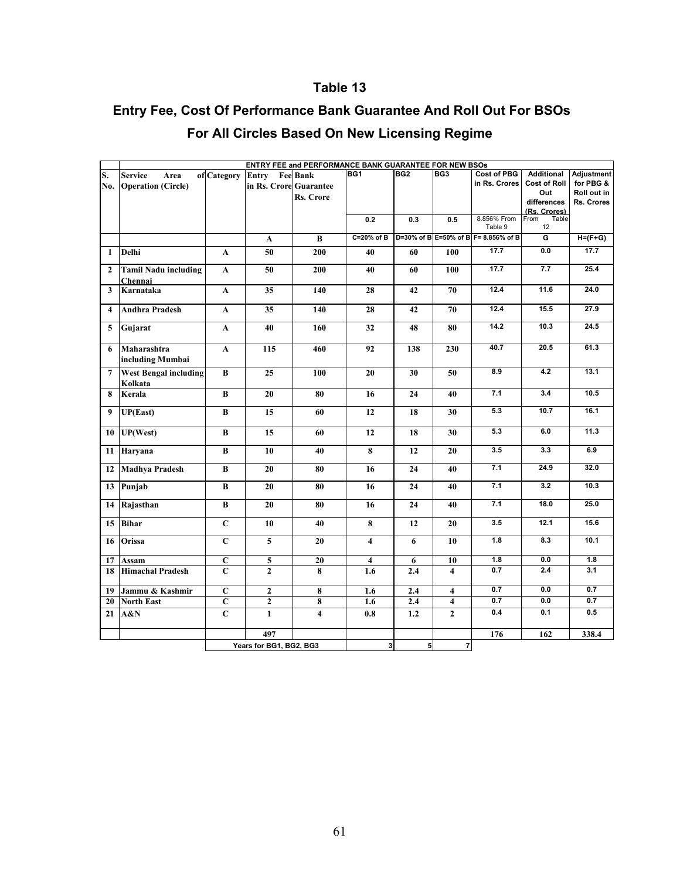## **Table 13**

## **Entry Fee, Cost Of Performance Bank Guarantee And Roll Out For BSOs**

| ENTRY FEE and PERFORMANCE BANK GUARANTEE FOR NEW BSOs |                                         |                   |                         |                         |                         |                 |                         |                                      |                     |             |  |  |  |
|-------------------------------------------------------|-----------------------------------------|-------------------|-------------------------|-------------------------|-------------------------|-----------------|-------------------------|--------------------------------------|---------------------|-------------|--|--|--|
| S.                                                    | <b>Service</b><br>Area                  | of Category Entry |                         | <b>Fee Bank</b>         | BG1                     | BG <sub>2</sub> | BG3                     | <b>Cost of PBG</b>                   | Additional          | Adjustment  |  |  |  |
| No.                                                   | <b>Operation (Circle)</b>               |                   | in Rs. Crore Guarantee  |                         |                         |                 |                         | in Rs. Crores                        | <b>Cost of Roll</b> | for PBG &   |  |  |  |
|                                                       |                                         |                   |                         |                         |                         |                 |                         |                                      | Out                 | Roll out in |  |  |  |
|                                                       |                                         |                   |                         | <b>Rs. Crore</b>        |                         |                 |                         |                                      | differences         | Rs. Crores  |  |  |  |
|                                                       |                                         |                   |                         |                         |                         |                 |                         |                                      | (Rs. Crores)        |             |  |  |  |
|                                                       |                                         |                   |                         |                         | 0.2                     | 0.3             | 0.5                     | 8.856% From                          | From<br>Table       |             |  |  |  |
|                                                       |                                         |                   |                         |                         |                         |                 |                         | Table 9                              | 12                  |             |  |  |  |
|                                                       |                                         |                   | $\mathbf A$             | $\bf{B}$                | C=20% of B              |                 |                         | D=30% of B E=50% of B F= 8.856% of B | G                   | $H=(F+G)$   |  |  |  |
| 1                                                     | Delhi                                   | A                 | 50                      | 200                     | 40                      | 60              | 100                     | 17.7                                 | 0.0                 | 17.7        |  |  |  |
| $\overline{2}$                                        | <b>Tamil Nadu including</b><br>Chennai  | A                 | 50                      | 200                     | 40                      | 60              | 100                     | 17.7                                 | 7.7                 | 25.4        |  |  |  |
| 3                                                     | Karnataka                               | $\mathbf{A}$      | 35                      | 140                     | 28                      | 42              | 70                      | 12.4                                 | 11.6                | 24.0        |  |  |  |
|                                                       |                                         |                   |                         |                         |                         |                 |                         |                                      |                     |             |  |  |  |
| $\overline{\mathbf{4}}$                               | <b>Andhra Pradesh</b>                   | A                 | 35                      | 140                     | 28                      | 42              | 70                      | 12.4                                 | 15.5                | 27.9        |  |  |  |
| 5                                                     | Gujarat                                 | $\mathbf A$       | 40                      | 160                     | 32                      | 48              | 80                      | 14.2                                 | 10.3                | 24.5        |  |  |  |
| 6                                                     | Maharashtra                             | $\mathbf A$       | 115                     | 460                     | 92                      | 138             | 230                     | 40.7                                 | 20.5                | 61.3        |  |  |  |
|                                                       | including Mumbai                        |                   |                         |                         |                         |                 |                         |                                      |                     |             |  |  |  |
|                                                       |                                         |                   |                         |                         |                         |                 |                         | 8.9                                  | 4.2                 | 13.1        |  |  |  |
| 7                                                     | <b>West Bengal including</b><br>Kolkata | B                 | 25                      | 100                     | 20                      | 30              | 50                      |                                      |                     |             |  |  |  |
| 8                                                     | Kerala                                  | $\, {\bf B}$      | 20                      | 80                      | 16                      | 24              | 40                      | 7.1                                  | 3.4                 | 10.5        |  |  |  |
|                                                       |                                         |                   |                         |                         |                         |                 |                         |                                      |                     |             |  |  |  |
| 9                                                     | <b>UP(East)</b>                         | B                 | 15                      | 60                      | 12                      | 18              | 30                      | 5.3                                  | 10.7                | 16.1        |  |  |  |
| 10                                                    | UP(West)                                | B                 | 15                      | 60                      | 12                      | 18              | 30                      | 5.3                                  | 6.0                 | 11.3        |  |  |  |
| 11                                                    | Haryana                                 | B                 | 10                      | 40                      | 8                       | 12              | 20                      | 3.5                                  | 3.3                 | 6.9         |  |  |  |
| 12                                                    | <b>Madhya Pradesh</b>                   | B                 | 20                      | 80                      | 16                      | 24              | 40                      | 7.1                                  | 24.9                | 32.0        |  |  |  |
| 13                                                    | Punjab                                  | B                 | 20                      | 80                      | 16                      | 24              | 40                      | 7.1                                  | 3.2                 | 10.3        |  |  |  |
| 14                                                    | Rajasthan                               | B                 | 20                      | 80                      | 16                      | 24              | 40                      | 7.1                                  | 18.0                | 25.0        |  |  |  |
| 15                                                    | <b>Bihar</b>                            | $\mathbf C$       | 10                      | 40                      | 8                       | 12              | 20                      | 3.5                                  | 12.1                | 15.6        |  |  |  |
| 16                                                    | Orissa                                  | $\mathbf C$       | 5                       | 20                      | $\overline{4}$          | 6               | 10                      | 1.8                                  | 8.3                 | 10.1        |  |  |  |
| 17                                                    | Assam                                   | $\mathbf C$       | 5                       | 20                      | $\overline{\mathbf{4}}$ | 6               | 10                      | 1.8                                  | 0.0                 | 1.8         |  |  |  |
| 18                                                    | <b>Himachal Pradesh</b>                 | $\mathbf C$       | $\overline{2}$          | 8                       | 1.6                     | 2.4             | $\overline{\mathbf{4}}$ | 0.7                                  | 2.4                 | 3.1         |  |  |  |
|                                                       |                                         |                   |                         |                         |                         |                 |                         |                                      |                     |             |  |  |  |
| 19                                                    | Jammu & Kashmir                         | $\mathbf C$       | $\mathbf{2}$            | 8                       | 1.6                     | 2.4             | 4                       | 0.7                                  | 0.0                 | 0.7         |  |  |  |
| 20                                                    | <b>North East</b>                       | $\mathbf C$       | $\boldsymbol{2}$        | 8                       | 1.6                     | 2.4             | 4                       | 0.7                                  | 0.0                 | 0.7         |  |  |  |
| 21                                                    | A&N                                     | $\mathbf C$       | $\mathbf{1}$            | $\overline{\mathbf{4}}$ | 0.8                     | 1.2             | $\overline{2}$          | 0.4                                  | 0.1                 | 0.5         |  |  |  |
|                                                       |                                         |                   | 497                     |                         |                         |                 |                         | 176                                  | 162                 | 338.4       |  |  |  |
|                                                       |                                         |                   | Years for BG1, BG2, BG3 |                         | 3 <sup>1</sup>          | 5 <sup>1</sup>  | $\overline{7}$          |                                      |                     |             |  |  |  |
|                                                       |                                         |                   |                         |                         |                         |                 |                         |                                      |                     |             |  |  |  |

## **For All Circles Based On New Licensing Regime**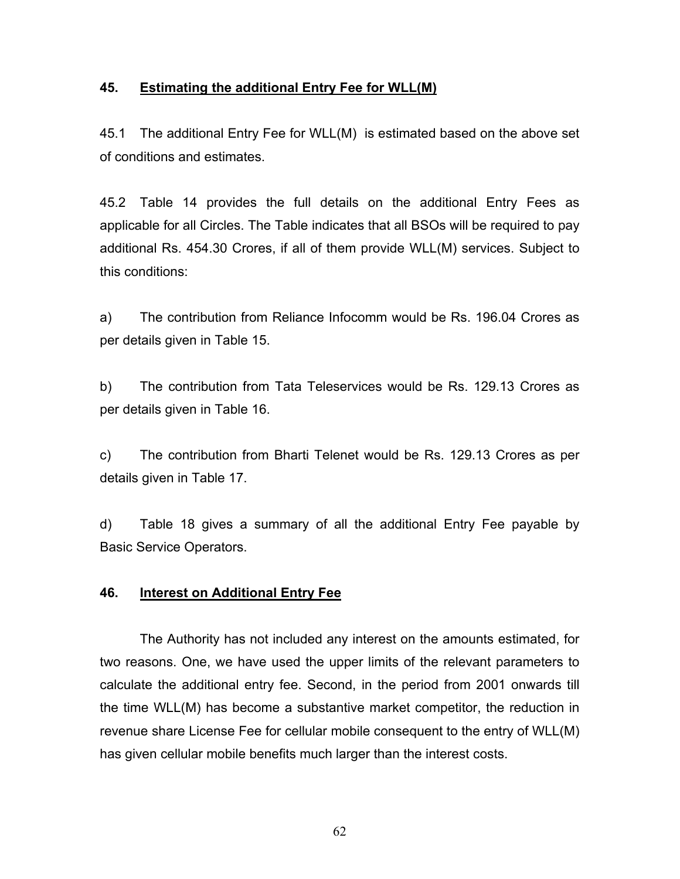### **45. Estimating the additional Entry Fee for WLL(M)**

45.1 The additional Entry Fee for WLL(M) is estimated based on the above set of conditions and estimates.

45.2 Table 14 provides the full details on the additional Entry Fees as applicable for all Circles. The Table indicates that all BSOs will be required to pay additional Rs. 454.30 Crores, if all of them provide WLL(M) services. Subject to this conditions:

a) The contribution from Reliance Infocomm would be Rs. 196.04 Crores as per details given in Table 15.

b) The contribution from Tata Teleservices would be Rs. 129.13 Crores as per details given in Table 16.

c) The contribution from Bharti Telenet would be Rs. 129.13 Crores as per details given in Table 17.

d) Table 18 gives a summary of all the additional Entry Fee payable by Basic Service Operators.

### **46. Interest on Additional Entry Fee**

The Authority has not included any interest on the amounts estimated, for two reasons. One, we have used the upper limits of the relevant parameters to calculate the additional entry fee. Second, in the period from 2001 onwards till the time WLL(M) has become a substantive market competitor, the reduction in revenue share License Fee for cellular mobile consequent to the entry of WLL(M) has given cellular mobile benefits much larger than the interest costs.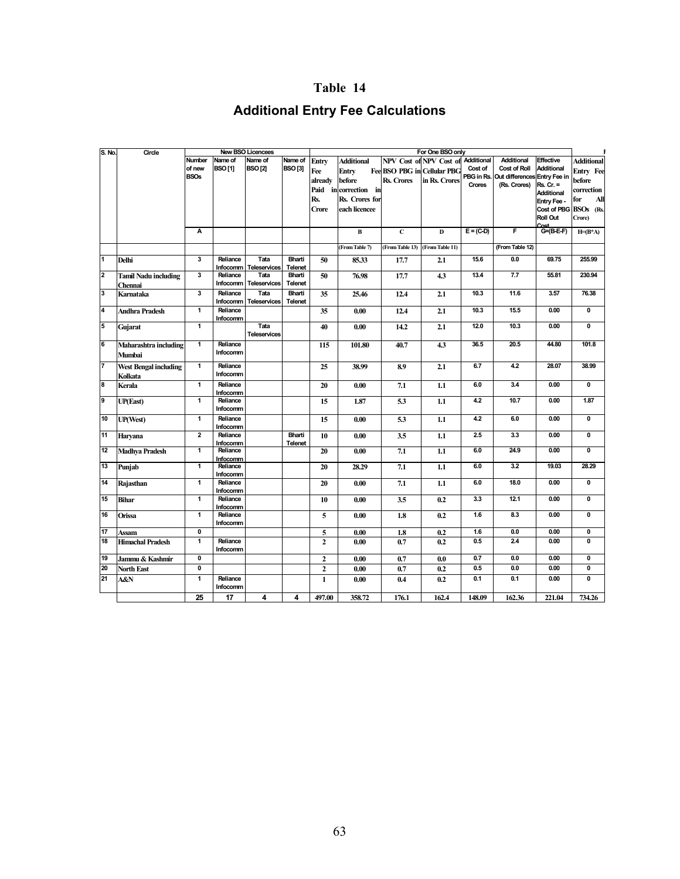### **Table 14**

## **Additional Entry Fee Calculations**

| S. No. | Circle                       |                         |                      | <b>New BSO Licencees</b>    |                   | For One BSO only |                       |                 |                                    |             |                 |                                |                         |  |
|--------|------------------------------|-------------------------|----------------------|-----------------------------|-------------------|------------------|-----------------------|-----------------|------------------------------------|-------------|-----------------|--------------------------------|-------------------------|--|
|        |                              | Number                  | Name of              | Name of                     | Name of           | Entry            | <b>Additional</b>     |                 | NPV Cost of NPV Cost of            | Additional  | Additional      | Effective                      | <b>Additional</b>       |  |
|        |                              | of new                  | <b>BSO[1]</b>        | <b>BSO[2]</b>               | <b>BSO[3]</b>     | Fee              | Entry                 |                 | <b>Fee BSO PBG in Cellular PBG</b> | Cost of     | Cost of Roll    | <b>Additional</b>              | Entry Fee               |  |
|        |                              | <b>BSOs</b>             |                      |                             |                   | already          | before                | Rs. Crores      | in Rs. Crores                      | PBG in Rs.  | Out differences | Entry Fee in                   | before                  |  |
|        |                              |                         |                      |                             |                   |                  | Paid in correction in |                 |                                    | Crores      | (Rs. Crores)    | $Rs. Cr. =$                    | correction              |  |
|        |                              |                         |                      |                             |                   | Rs.              | Rs. Crores for        |                 |                                    |             |                 | <b>Additional</b>              |                         |  |
|        |                              |                         |                      |                             |                   |                  |                       |                 |                                    |             |                 | Entry Fee -                    | for<br>All              |  |
|        |                              |                         |                      |                             |                   | Crore            | each licencee         |                 |                                    |             |                 | Cost of PBG                    | BSOs (Rs.               |  |
|        |                              |                         |                      |                             |                   |                  |                       |                 |                                    |             |                 | Roll Out                       | Crore)                  |  |
|        |                              | А                       |                      |                             |                   |                  | $\bf{B}$              | $\mathbf{C}$    | D                                  | $E = (C-D)$ | F               | r <sub>ne</sub><br>$G=(B-E-F)$ | $H=(B^*A)$              |  |
|        |                              |                         |                      |                             |                   |                  |                       |                 |                                    |             |                 |                                |                         |  |
|        |                              |                         |                      |                             |                   |                  | (From Table 7)        | (From Table 13) | (From Table 11)                    |             | (From Table 12) |                                |                         |  |
| 1      | <b>Delhi</b>                 | 3                       | Reliance             | Tata                        | <b>Bharti</b>     | 50               | 85.33                 | 17.7            | 2.1                                | 15.6        | 0.0             | 69.75                          | 255.99                  |  |
|        |                              |                         | <b>Infocomm</b>      | <b>Teleservices</b>         | Telenet           |                  |                       |                 |                                    |             |                 |                                |                         |  |
| 2      | <b>Tamil Nadu including</b>  | 3                       | Reliance             | Tata                        | Bharti            | 50               | 76.98                 | 17.7            | 4.3                                | 13.4        | 7.7             | 55.81                          | 230.94                  |  |
|        | Chennai                      |                         | Infocomm             | <b>Teleservices</b>         | Telenet           |                  |                       |                 |                                    |             |                 |                                |                         |  |
| 3      | Karnataka                    | $\overline{\mathbf{3}}$ | Reliance<br>Infocomm | Tata<br><b>Teleservices</b> | Bharti<br>Telenet | 35               | 25.46                 | 12.4            | 2.1                                | 10.3        | 11.6            | 3.57                           | 76.38                   |  |
| 4      | Andhra Pradesh               | $\mathbf{1}$            | Reliance             |                             |                   | 35               | 0.00                  | 12.4            | 2.1                                | 10.3        | 15.5            | 0.00                           | 0                       |  |
|        |                              | $\overline{1}$          | Infocomm             | Tata                        |                   |                  |                       |                 |                                    | 12.0        | 10.3            | 0.00                           | $\overline{\mathbf{0}}$ |  |
| 5      | Gujarat                      |                         |                      | <b>Teleservices</b>         |                   | 40               | 0.00                  | 14.2            | 2.1                                |             |                 |                                |                         |  |
| 6      | Maharashtra including        | $\overline{1}$          | Reliance             |                             |                   | 115              | 101.80                | 40.7            | 4.3                                | 36.5        | 20.5            | 44.80                          | 101.8                   |  |
|        | Mumbai                       |                         | Infocomm             |                             |                   |                  |                       |                 |                                    |             |                 |                                |                         |  |
| 7      | <b>West Bengal including</b> | $\overline{1}$          | Reliance             |                             |                   | 25               | 38.99                 | 8.9             | 2.1                                | 6.7         | 4.2             | 28.07                          | 38.99                   |  |
|        | Kolkata                      |                         | Infocomm             |                             |                   |                  |                       |                 |                                    |             |                 |                                |                         |  |
| 8      | Kerala                       | $\mathbf{1}$            | Reliance             |                             |                   | 20               | 0.00                  | 7.1             | 1.1                                | 6.0         | 3.4             | 0.00                           | 0                       |  |
|        |                              |                         | Infocomm             |                             |                   |                  |                       |                 |                                    |             |                 |                                |                         |  |
| 9      | <b>UP(East)</b>              | 1                       | Reliance             |                             |                   | 15               | 1.87                  | 5.3             | 1.1                                | 4.2         | 10.7            | 0.00                           | 1.87                    |  |
|        |                              |                         | Infocomm             |                             |                   |                  |                       |                 |                                    |             |                 |                                |                         |  |
| 10     | <b>UP(West)</b>              | $\mathbf{1}$            | Reliance             |                             |                   | 15               | 0.00                  | 5.3             | 1.1                                | 42          | 6.0             | 0.00                           | $\overline{\mathbf{0}}$ |  |
|        |                              |                         | Infocomm             |                             |                   |                  |                       |                 |                                    |             |                 |                                |                         |  |
| 11     | Haryana                      | $\overline{\mathbf{2}}$ | Reliance             |                             | Bharti            | 10               | 0.00                  | 3.5             | 1.1                                | 2.5         | 3.3             | 0.00                           | 0                       |  |
|        |                              |                         | Infocomm             |                             | Telenet           |                  |                       |                 |                                    |             |                 |                                |                         |  |
| 12     | <b>Madhya Pradesh</b>        | $\overline{1}$          | Reliance             |                             |                   | 20               | 0.00                  | 7.1             | 1.1                                | 6.0         | 24.9            | 0.00                           | $\overline{\mathbf{0}}$ |  |
| 13     |                              | $\mathbf{1}$            | Infocomm<br>Reliance |                             |                   | 20               | 28.29                 | 7.1             | 1.1                                | 6.0         | 3.2             | 19.03                          | 28.29                   |  |
|        | Punjab                       |                         | Infocomm             |                             |                   |                  |                       |                 |                                    |             |                 |                                |                         |  |
| 14     | Rajasthan                    | $\mathbf{1}$            | Reliance             |                             |                   | 20               | 0.00                  | 7.1             | 1.1                                | 6.0         | 18.0            | 0.00                           | 0                       |  |
|        |                              |                         | Infocomm             |                             |                   |                  |                       |                 |                                    |             |                 |                                |                         |  |
| 15     | <b>Bihar</b>                 | 1                       | Reliance             |                             |                   | 10               | 0.00                  | 3.5             | 0.2                                | 3.3         | 12.1            | 0.00                           | 0                       |  |
|        |                              |                         | Infocomm             |                             |                   |                  |                       |                 |                                    |             |                 |                                |                         |  |
| 16     | Orissa                       | $\mathbf{1}$            | Reliance             |                             |                   | 5                | 0.00                  | 1.8             | 0.2                                | 1.6         | 8.3             | 0.00                           | 0                       |  |
|        |                              |                         | Infocomm             |                             |                   |                  |                       |                 |                                    |             |                 |                                |                         |  |
| 17     | Assam                        | $\mathbf 0$             |                      |                             |                   | 5                | 0.00                  | 1.8             | 0.2                                | 1.6         | 0.0             | 0.00                           | 0                       |  |
| 18     | <b>Himachal Pradesh</b>      | 1                       | Reliance<br>Infocomm |                             |                   | $\overline{2}$   | 0.00                  | 0.7             | 0.2                                | 0.5         | 2.4             | 0.00                           | 0                       |  |
| 19     | Jammu & Kashmir              | $\mathbf 0$             |                      |                             |                   | $\overline{2}$   | 0.00                  | 0.7             | 0.0                                | 0.7         | 0.0             | 0.00                           | 0                       |  |
| 20     | <b>North East</b>            | $\overline{\mathbf{0}}$ |                      |                             |                   | $\overline{2}$   | 0.00                  | 0.7             | 0.2                                | 0.5         | 0.0             | 0.00                           | Ō                       |  |
| 21     | A&N                          | $\mathbf{1}$            | Reliance             |                             |                   | $\mathbf{1}$     | 0.00                  | 0.4             | 0.2                                | 0.1         | 0.1             | 0.00                           | 0                       |  |
|        |                              |                         | Infocomm             |                             |                   |                  |                       |                 |                                    |             |                 |                                |                         |  |
|        |                              | 25                      | 17                   | 4                           | 4                 | 497.00           | 358.72                | 176.1           | 162.4                              | 148.09      | 162.36          | 221.04                         | 734.26                  |  |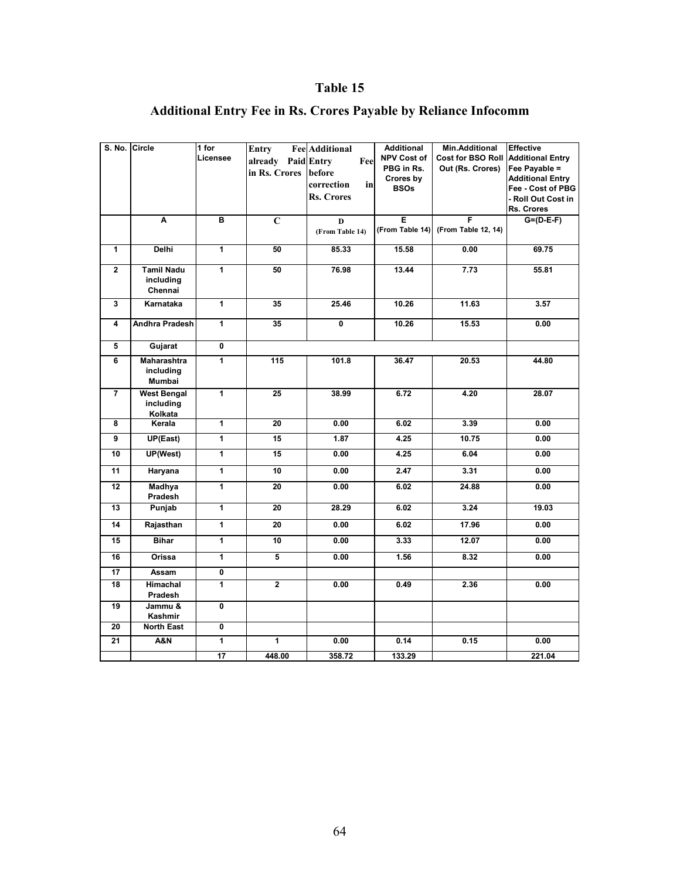## **Table 15**

| S. No. Circle |                    | 1 for          | Entry                   | <b>Fee</b> Additional   | <b>Additional</b> | Min.Additional      | <b>Effective</b>        |
|---------------|--------------------|----------------|-------------------------|-------------------------|-------------------|---------------------|-------------------------|
|               |                    | Licensee       | already Paid Entry      | Fee                     | NPV Cost of       | Cost for BSO Roll   | <b>Additional Entry</b> |
|               |                    |                | in Rs. Crores           | before                  | PBG in Rs.        | Out (Rs. Crores)    | Fee Payable =           |
|               |                    |                |                         | correction<br>inl       | Crores by         |                     | <b>Additional Entry</b> |
|               |                    |                |                         |                         | <b>BSOs</b>       |                     | Fee - Cost of PBG       |
|               |                    |                |                         | <b>Rs. Crores</b>       |                   |                     | - Roll Out Cost in      |
|               |                    |                |                         |                         |                   |                     | Rs. Crores              |
|               | Ā                  | в              | $\mathbf C$             | D                       | E                 | F                   | $G=(D-E-F)$             |
|               |                    |                |                         | (From Table 14)         | (From Table 14)   | (From Table 12, 14) |                         |
| $\mathbf{1}$  |                    | 1              | 50                      |                         |                   |                     |                         |
|               | Delhi              |                |                         | 85.33                   | 15.58             | 0.00                | 69.75                   |
| $\mathbf 2$   | <b>Tamil Nadu</b>  | 1              | 50                      | 76.98                   | 13.44             | 7.73                | 55.81                   |
|               | including          |                |                         |                         |                   |                     |                         |
|               | Chennai            |                |                         |                         |                   |                     |                         |
|               |                    |                |                         |                         |                   |                     |                         |
| 3             | Karnataka          | $\mathbf{1}$   | 35                      | 25.46                   | 10.26             | 11.63               | 3.57                    |
| 4             | Andhra Pradesh     | $\overline{1}$ | 35                      | $\overline{\mathbf{0}}$ | 10.26             | 15.53               | 0.00                    |
|               |                    |                |                         |                         |                   |                     |                         |
| 5             |                    | 0              |                         |                         |                   |                     |                         |
|               | Gujarat            |                |                         |                         |                   |                     |                         |
| 6             | <b>Maharashtra</b> | $\overline{1}$ | 115                     | 101.8                   | 36.47             | 20.53               | 44.80                   |
|               | including          |                |                         |                         |                   |                     |                         |
|               | Mumbai             |                |                         |                         |                   |                     |                         |
| 7             | <b>West Bengal</b> | 1              | 25                      | 38.99                   | 6.72              | 4.20                | 28.07                   |
|               | including          |                |                         |                         |                   |                     |                         |
|               | Kolkata            |                |                         |                         |                   |                     |                         |
| 8             | Kerala             | $\overline{1}$ | $\overline{20}$         | 0.00                    | 6.02              | 3.39                | 0.00                    |
| 9             | UP(East)           | $\overline{1}$ | 15                      | 1.87                    | 4.25              | 10.75               | 0.00                    |
| 10            | <b>UP(West)</b>    | 1              | 15                      | 0.00                    | 4.25              | 6.04                | 0.00                    |
| 11            | Haryana            | $\overline{1}$ | 10                      | 0.00                    | 2.47              | 3.31                | 0.00                    |
| 12            | Madhya             | $\mathbf{1}$   | 20                      | 0.00                    | 6.02              | 24.88               | 0.00                    |
|               | Pradesh            |                |                         |                         |                   |                     |                         |
| 13            | Punjab             | $\overline{1}$ | 20                      | 28.29                   | 6.02              | 3.24                | 19.03                   |
| 14            | Rajasthan          | $\mathbf{1}$   | 20                      | 0.00                    | 6.02              | 17.96               | 0.00                    |
| 15            | <b>Bihar</b>       | $\mathbf{1}$   | 10                      | 0.00                    | 3.33              | 12.07               | 0.00                    |
| 16            | Orissa             | $\overline{1}$ | 5                       | 0.00                    | 1.56              | 8.32                | 0.00                    |
| 17            | Assam              | 0              |                         |                         |                   |                     |                         |
| 18            | Himachal           | 1              | $\overline{\mathbf{2}}$ | 0.00                    | 0.49              | 2.36                | 0.00                    |
|               | Pradesh            |                |                         |                         |                   |                     |                         |
| 19            | Jammu &            | 0              |                         |                         |                   |                     |                         |
|               | Kashmir            |                |                         |                         |                   |                     |                         |
| 20            | <b>North East</b>  | 0              |                         |                         |                   |                     |                         |
| 21            | <b>A&amp;N</b>     | 1              | $\mathbf{1}$            | 0.00                    | 0.14              | 0.15                | 0.00                    |
|               |                    | 17             | 448.00                  | 358.72                  | 133.29            |                     | 221.04                  |

## **Additional Entry Fee in Rs. Crores Payable by Reliance Infocomm**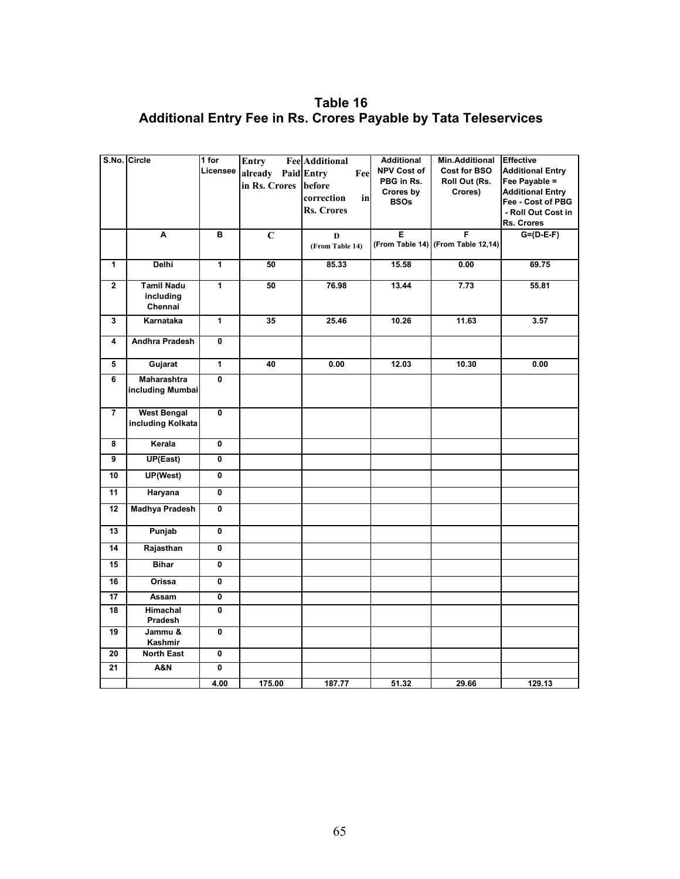**Table 16 Additional Entry Fee in Rs. Crores Payable by Tata Teleservices**

|                         | S.No. Circle          | $1$ for                 | Entry          | <b>Fee Additional</b> | <b>Additional</b>  | Min.Additional                     | <b>Effective</b>        |
|-------------------------|-----------------------|-------------------------|----------------|-----------------------|--------------------|------------------------------------|-------------------------|
|                         |                       | Licensee                | already        | Paid Entry<br>Fee     | <b>NPV Cost of</b> | Cost for BSO                       | <b>Additional Entry</b> |
|                         |                       |                         | in Rs. Crores  | before                | PBG in Rs.         | Roll Out (Rs.                      | Fee Payable =           |
|                         |                       |                         |                | correction<br>in      | Crores by          | Crores)                            | <b>Additional Entry</b> |
|                         |                       |                         |                | <b>Rs. Crores</b>     | <b>BSOs</b>        |                                    | Fee - Cost of PBG       |
|                         |                       |                         |                |                       |                    |                                    | - Roll Out Cost in      |
|                         |                       |                         |                |                       |                    |                                    | Rs. Crores              |
|                         | Ā                     | в                       | $\overline{c}$ | D                     | Ε                  | F                                  | $G=(D-E-F)$             |
|                         |                       |                         |                | (From Table 14)       |                    | (From Table 14) (From Table 12,14) |                         |
| $\mathbf{1}$            | <b>Delhi</b>          | $\overline{1}$          | 50             | 85.33                 | 15.58              | 0.00                               | 69.75                   |
|                         |                       |                         |                |                       |                    |                                    |                         |
| $\overline{\mathbf{2}}$ | <b>Tamil Nadu</b>     | 1                       | 50             | 76.98                 | 13.44              | 7.73                               | 55.81                   |
|                         | including             |                         |                |                       |                    |                                    |                         |
|                         | Chennai               |                         |                |                       |                    |                                    |                         |
| 3                       | Karnataka             | 1                       | 35             | 25.46                 | 10.26              | 11.63                              | 3.57                    |
|                         |                       |                         |                |                       |                    |                                    |                         |
| 4                       | <b>Andhra Pradesh</b> | $\mathbf 0$             |                |                       |                    |                                    |                         |
| 5                       | Gujarat               | $\overline{1}$          | 40             | 0.00                  | 12.03              | 10.30                              | 0.00                    |
|                         |                       |                         |                |                       |                    |                                    |                         |
| 6                       | <b>Maharashtra</b>    | $\overline{\mathbf{0}}$ |                |                       |                    |                                    |                         |
|                         | including Mumbai      |                         |                |                       |                    |                                    |                         |
|                         |                       |                         |                |                       |                    |                                    |                         |
| $\overline{7}$          | <b>West Bengal</b>    | 0                       |                |                       |                    |                                    |                         |
|                         | including Kolkata     |                         |                |                       |                    |                                    |                         |
| 8                       | Kerala                | 0                       |                |                       |                    |                                    |                         |
| 9                       | UP(East)              | 0                       |                |                       |                    |                                    |                         |
|                         |                       |                         |                |                       |                    |                                    |                         |
| 10                      | UP(West)              | 0                       |                |                       |                    |                                    |                         |
| $\overline{11}$         | Haryana               | $\overline{\mathbf{0}}$ |                |                       |                    |                                    |                         |
| 12                      | <b>Madhya Pradesh</b> | 0                       |                |                       |                    |                                    |                         |
|                         |                       |                         |                |                       |                    |                                    |                         |
| 13                      | Punjab                | 0                       |                |                       |                    |                                    |                         |
| 14                      | Rajasthan             | 0                       |                |                       |                    |                                    |                         |
| 15                      | <b>Bihar</b>          | 0                       |                |                       |                    |                                    |                         |
| 16                      | Orissa                | 0                       |                |                       |                    |                                    |                         |
| 17                      | Assam                 | 0                       |                |                       |                    |                                    |                         |
| 18                      | Himachal              | 0                       |                |                       |                    |                                    |                         |
|                         | Pradesh               |                         |                |                       |                    |                                    |                         |
| 19                      | Jammu &               | 0                       |                |                       |                    |                                    |                         |
|                         | Kashmir               |                         |                |                       |                    |                                    |                         |
| 20                      | <b>North East</b>     | 0                       |                |                       |                    |                                    |                         |
| 21                      | <b>A&amp;N</b>        | 0                       |                |                       |                    |                                    |                         |
|                         |                       | 4.00                    | 175.00         | 187.77                | 51.32              | 29.66                              | 129.13                  |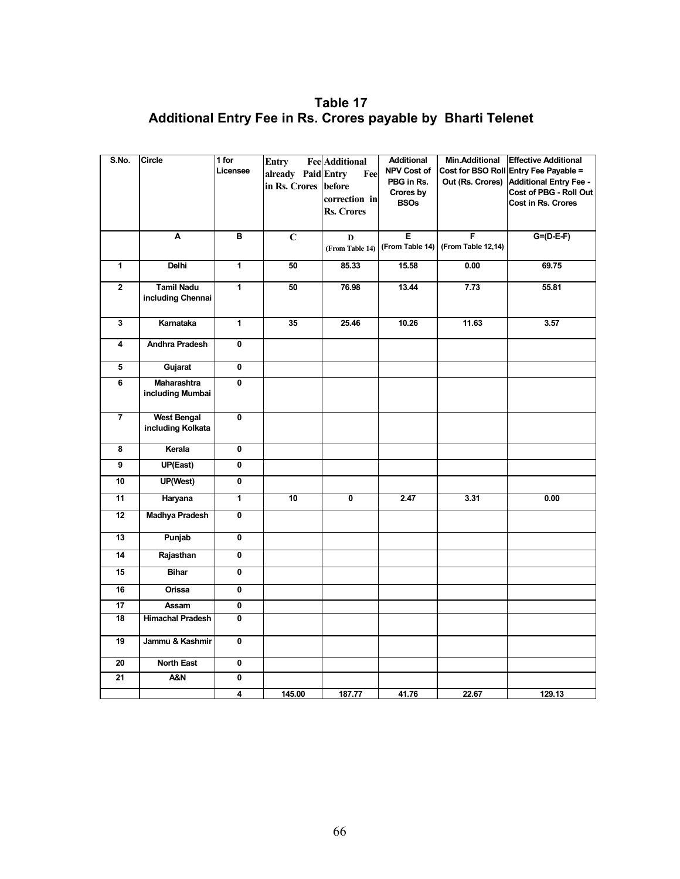**Table 17 Additional Entry Fee in Rs. Crores payable by Bharti Telenet** 

| S.No.          | Circle                  | 1 for                   | <b>Entry</b>       | <b>Fee</b> Additional | <b>Additional</b>  | Min.Additional     | <b>Effective Additional</b>   |
|----------------|-------------------------|-------------------------|--------------------|-----------------------|--------------------|--------------------|-------------------------------|
|                |                         | Licensee                | already Paid Entry | Fee                   | <b>NPV Cost of</b> | Cost for BSO Roll  | Entry Fee Payable =           |
|                |                         |                         | in Rs. Crores      | before                | PBG in Rs.         | Out (Rs. Crores)   | <b>Additional Entry Fee -</b> |
|                |                         |                         |                    | correction in         | Crores by          |                    | Cost of PBG - Roll Out        |
|                |                         |                         |                    | <b>Rs. Crores</b>     | <b>BSOs</b>        |                    | Cost in Rs. Crores            |
|                |                         |                         |                    |                       |                    |                    |                               |
|                | A                       | B                       | $\overline{C}$     | D                     | Ε                  | F                  | $G=(D-E-F)$                   |
|                |                         |                         |                    | (From Table 14)       | (From Table 14)    | (From Table 12,14) |                               |
| $\overline{1}$ | Delhi                   | $\overline{1}$          | 50                 | 85.33                 | 15.58              | 0.00               | 69.75                         |
| $\mathbf 2$    | <b>Tamil Nadu</b>       | 1                       | 50                 | 76.98                 | 13.44              | 7.73               | 55.81                         |
|                | including Chennai       |                         |                    |                       |                    |                    |                               |
|                |                         |                         |                    |                       |                    |                    |                               |
| 3              | Karnataka               | $\mathbf{1}$            | 35                 | 25.46                 | 10.26              | 11.63              | 3.57                          |
| 4              | Andhra Pradesh          | 0                       |                    |                       |                    |                    |                               |
| 5              | Gujarat                 | 0                       |                    |                       |                    |                    |                               |
| 6              | Maharashtra             | 0                       |                    |                       |                    |                    |                               |
|                | including Mumbai        |                         |                    |                       |                    |                    |                               |
| $\overline{7}$ | <b>West Bengal</b>      | 0                       |                    |                       |                    |                    |                               |
|                | including Kolkata       |                         |                    |                       |                    |                    |                               |
|                |                         |                         |                    |                       |                    |                    |                               |
| 8              | Kerala                  | 0                       |                    |                       |                    |                    |                               |
| 9              | UP(East)                | $\overline{\mathbf{0}}$ |                    |                       |                    |                    |                               |
| 10             | UP(West)                | 0                       |                    |                       |                    |                    |                               |
| 11             | Haryana                 | $\overline{1}$          | 10                 | 0                     | 2.47               | 3.31               | 0.00                          |
| 12             | Madhya Pradesh          | 0                       |                    |                       |                    |                    |                               |
| 13             |                         | 0                       |                    |                       |                    |                    |                               |
|                | Punjab                  |                         |                    |                       |                    |                    |                               |
| 14             | Rajasthan               | 0                       |                    |                       |                    |                    |                               |
| 15             | <b>Bihar</b>            | 0                       |                    |                       |                    |                    |                               |
| 16             | Orissa                  | 0                       |                    |                       |                    |                    |                               |
| 17             | Assam                   | 0                       |                    |                       |                    |                    |                               |
| 18             | <b>Himachal Pradesh</b> | 0                       |                    |                       |                    |                    |                               |
| 19             | Jammu & Kashmir         | 0                       |                    |                       |                    |                    |                               |
| 20             | North East              | 0                       |                    |                       |                    |                    |                               |
| 21             | A&N                     | 0                       |                    |                       |                    |                    |                               |
|                |                         | 4                       | 145.00             | 187.77                | 41.76              | 22.67              | 129.13                        |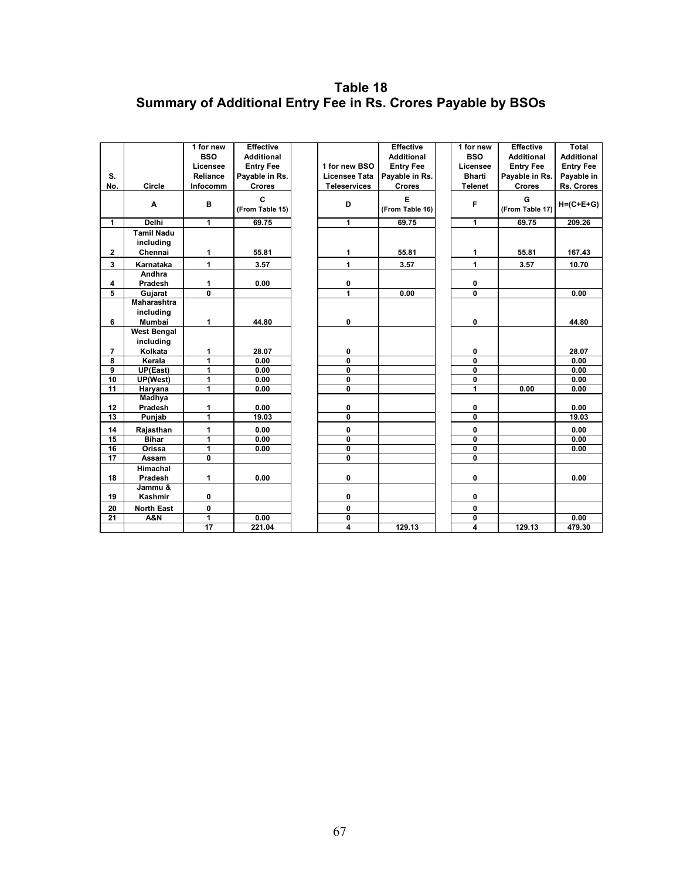## **Table 18 Summary of Additional Entry Fee in Rs. Crores Payable by BSOs**

|                     |                                | 1 for new                    | <b>Effective</b>     |                              | <b>Effective</b>     | 1 for new                    | <b>Effective</b>     | <b>Total</b>      |
|---------------------|--------------------------------|------------------------------|----------------------|------------------------------|----------------------|------------------------------|----------------------|-------------------|
|                     |                                | <b>BSO</b>                   | <b>Additional</b>    |                              | <b>Additional</b>    | <b>BSO</b>                   | <b>Additional</b>    | <b>Additional</b> |
|                     |                                | Licensee                     | <b>Entry Fee</b>     | 1 for new BSO                | <b>Entry Fee</b>     | Licensee                     | <b>Entry Fee</b>     | <b>Entry Fee</b>  |
| S.                  |                                | Reliance                     | Payable in Rs.       | <b>Licensee Tata</b>         | Payable in Rs.       | <b>Bharti</b>                | Payable in Rs.       | Payable in        |
| No.                 | Circle                         | Infocomm                     | <b>Crores</b>        | <b>Teleservices</b>          | <b>Crores</b>        | <b>Telenet</b>               | Crores               | Rs. Crores        |
|                     | A                              | в                            | C<br>(From Table 15) | D                            | E<br>(From Table 16) | F                            | G<br>(From Table 17) | $H=(C+E+G)$       |
| $\mathbf{1}$        | <b>Delhi</b>                   | $\overline{1}$               | 69.75                | $\mathbf{1}$                 | 69.75                | $\overline{1}$               | 69.75                | 209.26            |
|                     | <b>Tamil Nadu</b><br>including |                              |                      |                              |                      |                              |                      |                   |
| $\mathbf{2}$        | Chennai                        | 1                            | 55.81                | 1                            | 55.81                | 1                            | 55.81                | 167.43            |
| $\mathbf{3}$        | Karnataka                      | 1                            | 3.57                 | 1                            | 3.57                 | 1                            | 3.57                 | 10.70             |
|                     | Andhra                         |                              |                      |                              |                      |                              |                      |                   |
| 4                   | Pradesh                        | 1                            | 0.00                 | 0                            |                      | 0                            |                      |                   |
| $\overline{5}$      | Gujarat                        | $\overline{\mathbf{0}}$      |                      | 1                            | 0.00                 | $\overline{\mathfrak{o}}$    |                      | 0.00              |
|                     | Maharashtra                    |                              |                      |                              |                      |                              |                      |                   |
|                     | including                      |                              |                      |                              |                      |                              |                      |                   |
| 6                   | Mumbai                         | 1                            | 44.80                | $\mathbf 0$                  |                      | $\mathbf 0$                  |                      | 44.80             |
|                     | <b>West Bengal</b>             |                              |                      |                              |                      |                              |                      |                   |
|                     | including                      |                              |                      |                              |                      |                              |                      |                   |
| $\overline{7}$<br>8 | Kolkata<br>Kerala              | 1<br>$\overline{\mathbf{1}}$ | 28.07<br>0.00        | 0<br>$\overline{\mathbf{0}}$ |                      | 0<br>$\overline{\mathbf{0}}$ |                      | 28.07<br>0.00     |
| $\overline{9}$      | UP(East)                       | $\mathbf{1}$                 | 0.00                 | 0                            |                      | 0                            |                      | 0.00              |
| 10                  | <b>UP(West)</b>                | $\overline{1}$               | 0.00                 | $\overline{\mathbf{0}}$      |                      | 0                            |                      | 0.00              |
| 11                  | Haryana                        | 1                            | 0.00                 | $\mathbf 0$                  |                      | 1                            | 0.00                 | 0.00              |
|                     | Madhya                         |                              |                      |                              |                      |                              |                      |                   |
| 12                  | Pradesh                        | 1                            | 0.00                 | 0                            |                      | 0                            |                      | 0.00              |
| 13                  | Punjab                         | $\overline{1}$               | 19.03                | 0                            |                      | 0                            |                      | 19.03             |
| 14                  | Rajasthan                      | $\mathbf{1}$                 | 0.00                 | 0                            |                      | 0                            |                      | 0.00              |
| 15                  | <b>Bihar</b>                   | $\overline{1}$               | 0.00                 | $\overline{\mathbf{0}}$      |                      | $\overline{\mathbf{0}}$      |                      | 0.00              |
| 16                  | Orissa                         | $\overline{1}$               | 0.00                 | $\overline{\mathbf{0}}$      |                      | $\overline{\mathbf{0}}$      |                      | 0.00              |
| $\overline{17}$     | Assam                          | 0                            |                      | $\mathbf 0$                  |                      | 0                            |                      |                   |
|                     | Himachal                       |                              |                      |                              |                      |                              |                      |                   |
| 18                  | Pradesh                        | 1                            | 0.00                 | 0                            |                      | 0                            |                      | 0.00              |
|                     | Jammu &                        |                              |                      |                              |                      |                              |                      |                   |
| 19                  | Kashmir                        | 0                            |                      | 0                            |                      | 0                            |                      |                   |
| 20                  | <b>North East</b>              | 0                            |                      | 0                            |                      | 0                            |                      |                   |
| $\overline{21}$     | <b>A&amp;N</b>                 | $\mathbf{1}$                 | 0.00                 | $\mathbf 0$                  |                      | 0                            |                      | 0.00              |
|                     |                                | $\overline{17}$              | 221.04               | $\overline{4}$               | 129.13               | 4                            | 129.13               | 479.30            |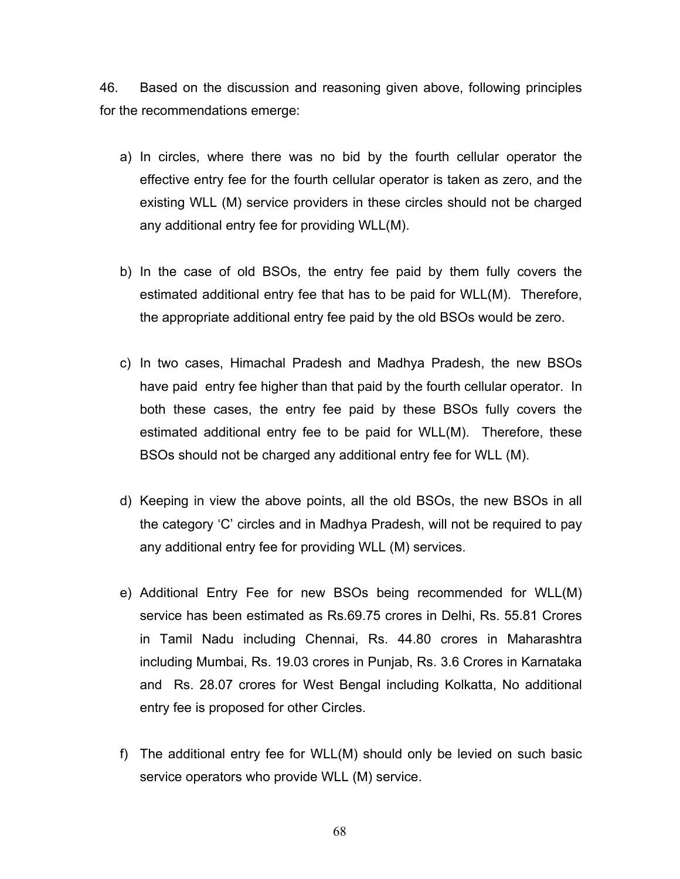46. Based on the discussion and reasoning given above, following principles for the recommendations emerge:

- a) In circles, where there was no bid by the fourth cellular operator the effective entry fee for the fourth cellular operator is taken as zero, and the existing WLL (M) service providers in these circles should not be charged any additional entry fee for providing WLL(M).
- b) In the case of old BSOs, the entry fee paid by them fully covers the estimated additional entry fee that has to be paid for WLL(M). Therefore, the appropriate additional entry fee paid by the old BSOs would be zero.
- c) In two cases, Himachal Pradesh and Madhya Pradesh, the new BSOs have paid entry fee higher than that paid by the fourth cellular operator. In both these cases, the entry fee paid by these BSOs fully covers the estimated additional entry fee to be paid for WLL(M). Therefore, these BSOs should not be charged any additional entry fee for WLL (M).
- d) Keeping in view the above points, all the old BSOs, the new BSOs in all the category 'C' circles and in Madhya Pradesh, will not be required to pay any additional entry fee for providing WLL (M) services.
- e) Additional Entry Fee for new BSOs being recommended for WLL(M) service has been estimated as Rs.69.75 crores in Delhi, Rs. 55.81 Crores in Tamil Nadu including Chennai, Rs. 44.80 crores in Maharashtra including Mumbai, Rs. 19.03 crores in Punjab, Rs. 3.6 Crores in Karnataka and Rs. 28.07 crores for West Bengal including Kolkatta, No additional entry fee is proposed for other Circles.
- f) The additional entry fee for WLL(M) should only be levied on such basic service operators who provide WLL (M) service.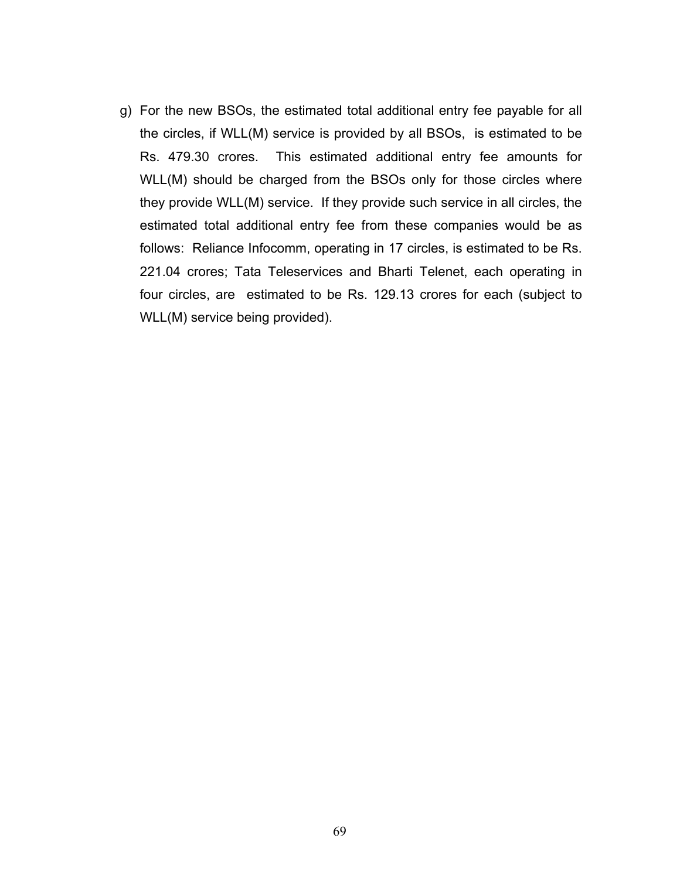g) For the new BSOs, the estimated total additional entry fee payable for all the circles, if WLL(M) service is provided by all BSOs, is estimated to be Rs. 479.30 crores. This estimated additional entry fee amounts for WLL(M) should be charged from the BSOs only for those circles where they provide WLL(M) service. If they provide such service in all circles, the estimated total additional entry fee from these companies would be as follows: Reliance Infocomm, operating in 17 circles, is estimated to be Rs. 221.04 crores; Tata Teleservices and Bharti Telenet, each operating in four circles, are estimated to be Rs. 129.13 crores for each (subject to WLL(M) service being provided).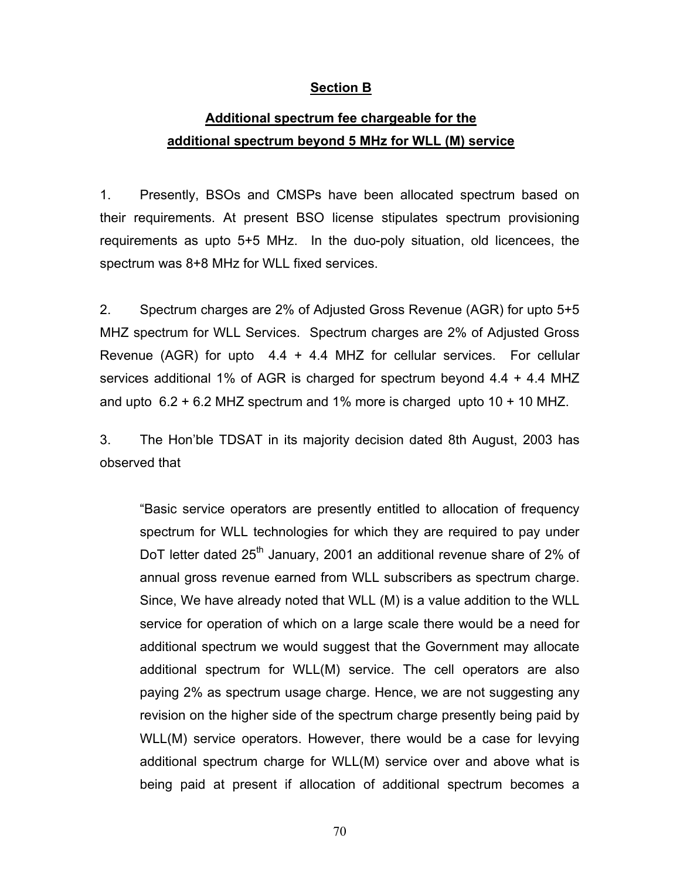### **Section B**

## **Additional spectrum fee chargeable for the additional spectrum beyond 5 MHz for WLL (M) service**

1. Presently, BSOs and CMSPs have been allocated spectrum based on their requirements. At present BSO license stipulates spectrum provisioning requirements as upto 5+5 MHz. In the duo-poly situation, old licencees, the spectrum was 8+8 MHz for WLL fixed services.

2. Spectrum charges are 2% of Adjusted Gross Revenue (AGR) for upto 5+5 MHZ spectrum for WLL Services. Spectrum charges are 2% of Adjusted Gross Revenue (AGR) for upto  $4.4 + 4.4$  MHZ for cellular services. For cellular services additional 1% of AGR is charged for spectrum beyond 4.4 + 4.4 MHZ and upto  $6.2 + 6.2$  MHZ spectrum and 1% more is charged upto 10 + 10 MHZ.

3. The Hon'ble TDSAT in its majority decision dated 8th August, 2003 has observed that

"Basic service operators are presently entitled to allocation of frequency spectrum for WLL technologies for which they are required to pay under DoT letter dated  $25<sup>th</sup>$  January, 2001 an additional revenue share of 2% of annual gross revenue earned from WLL subscribers as spectrum charge. Since, We have already noted that WLL (M) is a value addition to the WLL service for operation of which on a large scale there would be a need for additional spectrum we would suggest that the Government may allocate additional spectrum for WLL(M) service. The cell operators are also paying 2% as spectrum usage charge. Hence, we are not suggesting any revision on the higher side of the spectrum charge presently being paid by WLL(M) service operators. However, there would be a case for levying additional spectrum charge for WLL(M) service over and above what is being paid at present if allocation of additional spectrum becomes a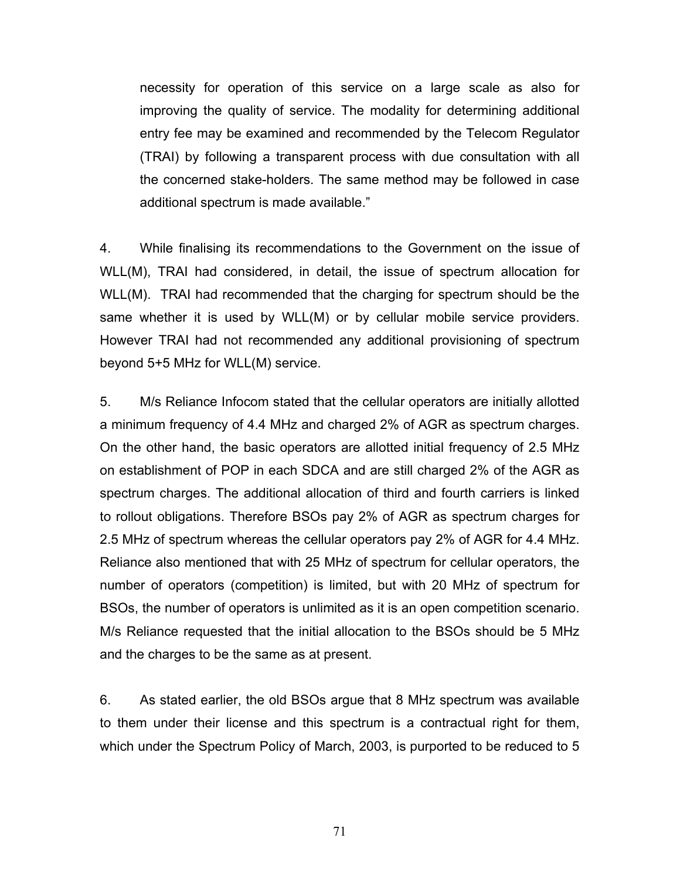necessity for operation of this service on a large scale as also for improving the quality of service. The modality for determining additional entry fee may be examined and recommended by the Telecom Regulator (TRAI) by following a transparent process with due consultation with all the concerned stake-holders. The same method may be followed in case additional spectrum is made available."

4. While finalising its recommendations to the Government on the issue of WLL(M), TRAI had considered, in detail, the issue of spectrum allocation for WLL(M). TRAI had recommended that the charging for spectrum should be the same whether it is used by WLL(M) or by cellular mobile service providers. However TRAI had not recommended any additional provisioning of spectrum beyond 5+5 MHz for WLL(M) service.

5. M/s Reliance Infocom stated that the cellular operators are initially allotted a minimum frequency of 4.4 MHz and charged 2% of AGR as spectrum charges. On the other hand, the basic operators are allotted initial frequency of 2.5 MHz on establishment of POP in each SDCA and are still charged 2% of the AGR as spectrum charges. The additional allocation of third and fourth carriers is linked to rollout obligations. Therefore BSOs pay 2% of AGR as spectrum charges for 2.5 MHz of spectrum whereas the cellular operators pay 2% of AGR for 4.4 MHz. Reliance also mentioned that with 25 MHz of spectrum for cellular operators, the number of operators (competition) is limited, but with 20 MHz of spectrum for BSOs, the number of operators is unlimited as it is an open competition scenario. M/s Reliance requested that the initial allocation to the BSOs should be 5 MHz and the charges to be the same as at present.

6. As stated earlier, the old BSOs argue that 8 MHz spectrum was available to them under their license and this spectrum is a contractual right for them, which under the Spectrum Policy of March, 2003, is purported to be reduced to 5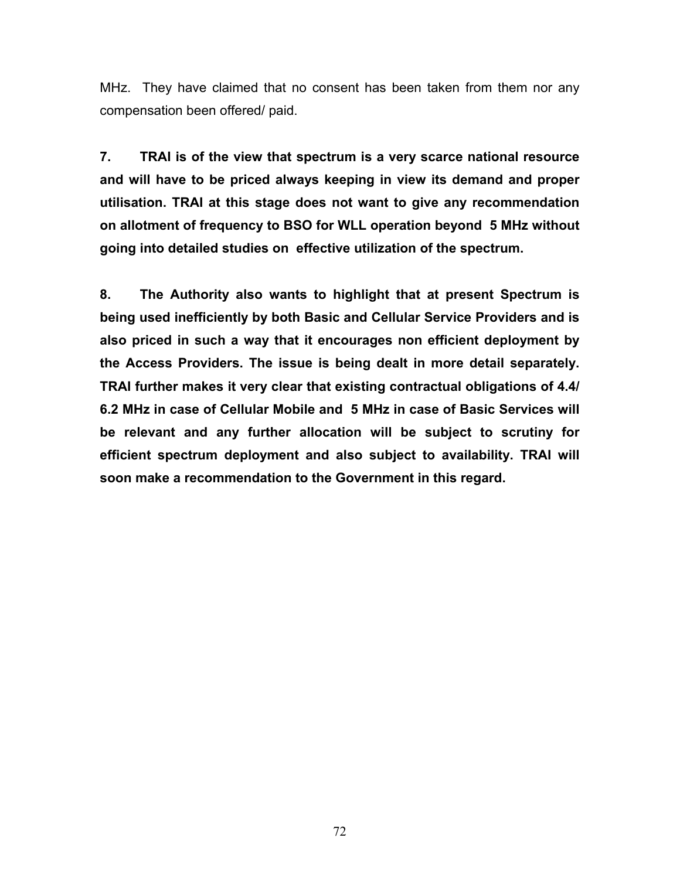MHz. They have claimed that no consent has been taken from them nor any compensation been offered/ paid.

**7. TRAI is of the view that spectrum is a very scarce national resource and will have to be priced always keeping in view its demand and proper utilisation. TRAI at this stage does not want to give any recommendation on allotment of frequency to BSO for WLL operation beyond 5 MHz without going into detailed studies on effective utilization of the spectrum.** 

**8. The Authority also wants to highlight that at present Spectrum is being used inefficiently by both Basic and Cellular Service Providers and is also priced in such a way that it encourages non efficient deployment by the Access Providers. The issue is being dealt in more detail separately. TRAI further makes it very clear that existing contractual obligations of 4.4/ 6.2 MHz in case of Cellular Mobile and 5 MHz in case of Basic Services will be relevant and any further allocation will be subject to scrutiny for efficient spectrum deployment and also subject to availability. TRAI will soon make a recommendation to the Government in this regard.**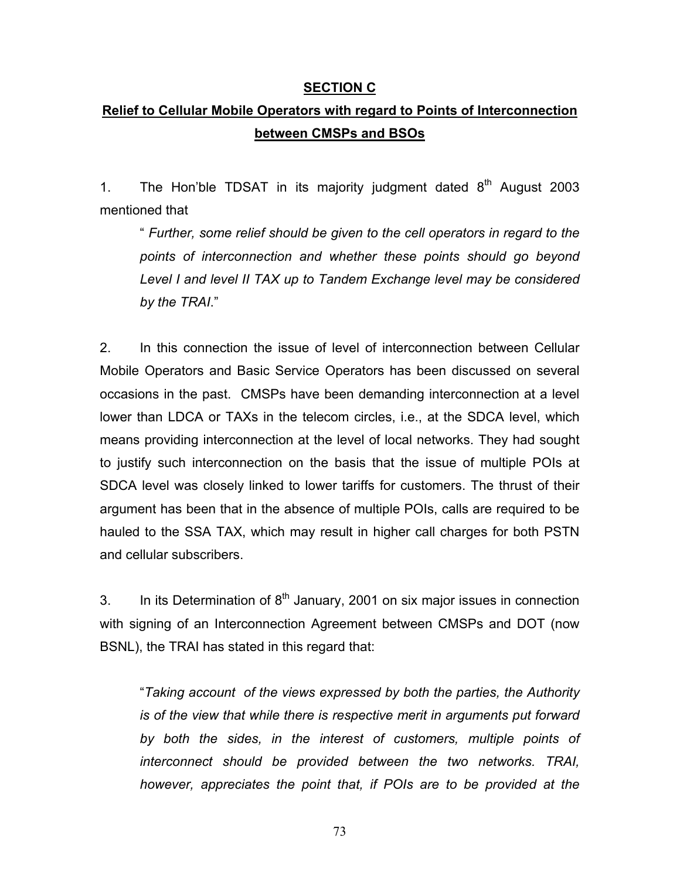### **SECTION C**

# **Relief to Cellular Mobile Operators with regard to Points of Interconnection between CMSPs and BSOs**

1. The Hon'ble TDSAT in its majority judgment dated  $8<sup>th</sup>$  August 2003 mentioned that

" *Further, some relief should be given to the cell operators in regard to the points of interconnection and whether these points should go beyond Level I and level II TAX up to Tandem Exchange level may be considered by the TRAI*."

2. In this connection the issue of level of interconnection between Cellular Mobile Operators and Basic Service Operators has been discussed on several occasions in the past. CMSPs have been demanding interconnection at a level lower than LDCA or TAXs in the telecom circles, i.e., at the SDCA level, which means providing interconnection at the level of local networks. They had sought to justify such interconnection on the basis that the issue of multiple POIs at SDCA level was closely linked to lower tariffs for customers. The thrust of their argument has been that in the absence of multiple POIs, calls are required to be hauled to the SSA TAX, which may result in higher call charges for both PSTN and cellular subscribers.

3. In its Determination of  $8<sup>th</sup>$  January, 2001 on six major issues in connection with signing of an Interconnection Agreement between CMSPs and DOT (now BSNL), the TRAI has stated in this regard that:

"*Taking account of the views expressed by both the parties, the Authority is of the view that while there is respective merit in arguments put forward by both the sides, in the interest of customers, multiple points of interconnect should be provided between the two networks. TRAI, however, appreciates the point that, if POIs are to be provided at the*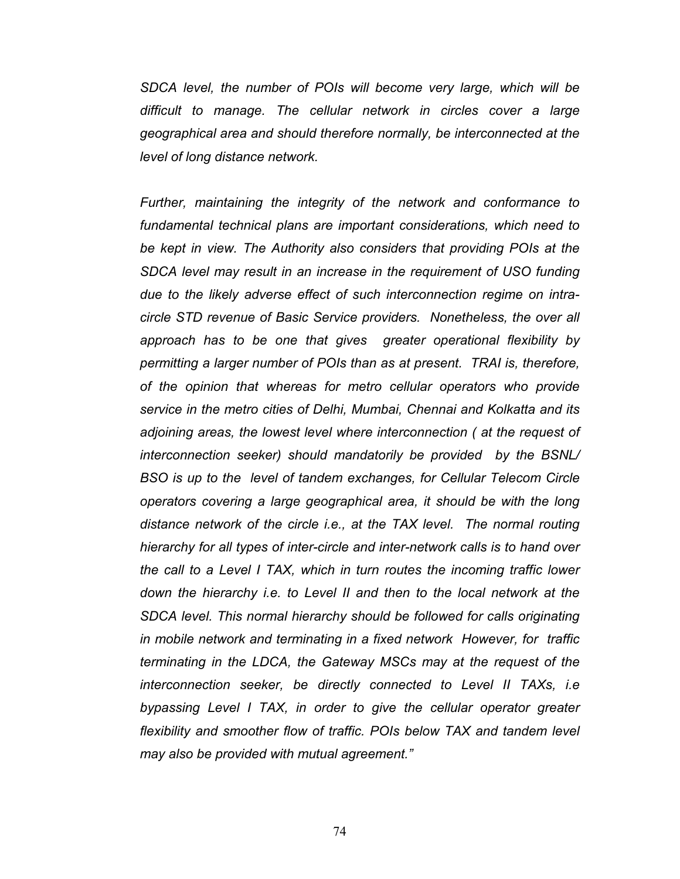*SDCA level, the number of POIs will become very large, which will be difficult to manage. The cellular network in circles cover a large geographical area and should therefore normally, be interconnected at the level of long distance network.*

*Further, maintaining the integrity of the network and conformance to fundamental technical plans are important considerations, which need to be kept in view. The Authority also considers that providing POIs at the SDCA level may result in an increase in the requirement of USO funding due to the likely adverse effect of such interconnection regime on intracircle STD revenue of Basic Service providers. Nonetheless, the over all approach has to be one that gives greater operational flexibility by permitting a larger number of POIs than as at present. TRAI is, therefore, of the opinion that whereas for metro cellular operators who provide service in the metro cities of Delhi, Mumbai, Chennai and Kolkatta and its adjoining areas, the lowest level where interconnection ( at the request of interconnection seeker) should mandatorily be provided by the BSNL/ BSO is up to the level of tandem exchanges, for Cellular Telecom Circle operators covering a large geographical area, it should be with the long distance network of the circle i.e., at the TAX level. The normal routing hierarchy for all types of inter-circle and inter-network calls is to hand over the call to a Level I TAX, which in turn routes the incoming traffic lower down the hierarchy i.e. to Level II and then to the local network at the SDCA level. This normal hierarchy should be followed for calls originating in mobile network and terminating in a fixed network However, for traffic terminating in the LDCA, the Gateway MSCs may at the request of the interconnection seeker, be directly connected to Level II TAXs, i.e bypassing Level I TAX, in order to give the cellular operator greater flexibility and smoother flow of traffic. POIs below TAX and tandem level may also be provided with mutual agreement."*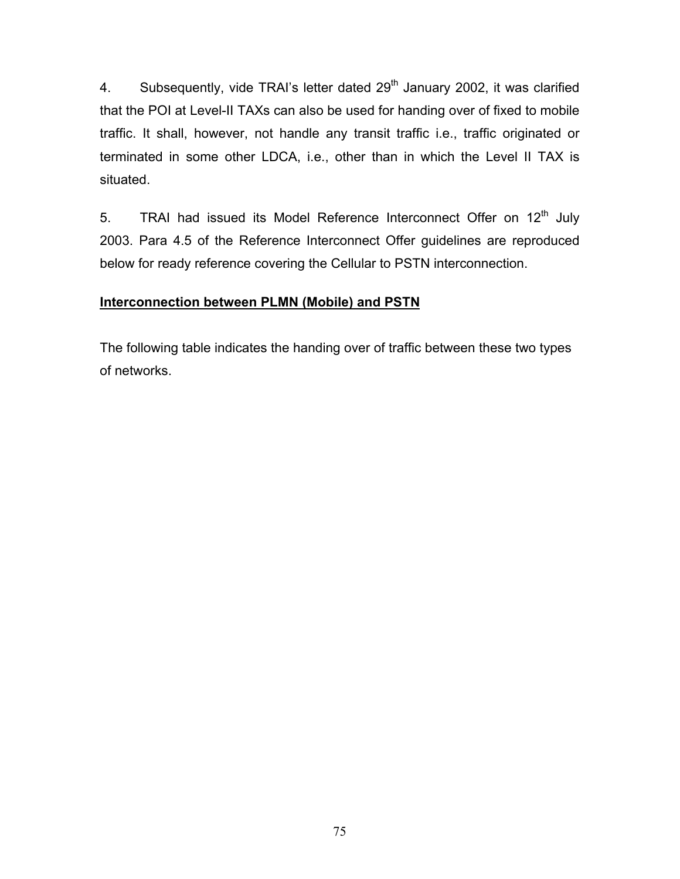4. Subsequently, vide TRAI's letter dated  $29<sup>th</sup>$  January 2002, it was clarified that the POI at Level-II TAXs can also be used for handing over of fixed to mobile traffic. It shall, however, not handle any transit traffic i.e., traffic originated or terminated in some other LDCA, i.e., other than in which the Level II TAX is situated.

5. TRAI had issued its Model Reference Interconnect Offer on  $12<sup>th</sup>$  July 2003. Para 4.5 of the Reference Interconnect Offer guidelines are reproduced below for ready reference covering the Cellular to PSTN interconnection.

## **Interconnection between PLMN (Mobile) and PSTN**

The following table indicates the handing over of traffic between these two types of networks.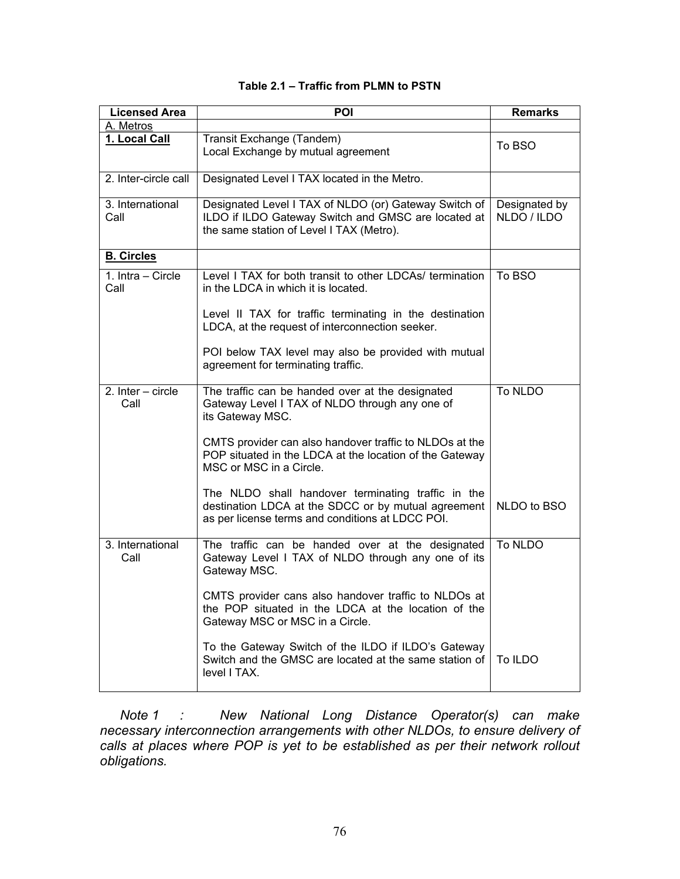| <b>Licensed Area</b>        | POI                                                                                                                                                           | <b>Remarks</b>               |
|-----------------------------|---------------------------------------------------------------------------------------------------------------------------------------------------------------|------------------------------|
| A. Metros                   |                                                                                                                                                               |                              |
| 1. Local Call               | Transit Exchange (Tandem)<br>Local Exchange by mutual agreement                                                                                               | To BSO                       |
| 2. Inter-circle call        | Designated Level I TAX located in the Metro.                                                                                                                  |                              |
| 3. International<br>Call    | Designated Level I TAX of NLDO (or) Gateway Switch of<br>ILDO if ILDO Gateway Switch and GMSC are located at<br>the same station of Level I TAX (Metro).      | Designated by<br>NLDO / ILDO |
| <b>B. Circles</b>           |                                                                                                                                                               |                              |
| 1. Intra – Circle<br>Call   | Level I TAX for both transit to other LDCAs/ termination<br>in the LDCA in which it is located.                                                               | To BSO                       |
|                             | Level II TAX for traffic terminating in the destination<br>LDCA, at the request of interconnection seeker.                                                    |                              |
|                             | POI below TAX level may also be provided with mutual<br>agreement for terminating traffic.                                                                    |                              |
| 2. $Inter - circle$<br>Call | The traffic can be handed over at the designated<br>Gateway Level I TAX of NLDO through any one of<br>its Gateway MSC.                                        | To NLDO                      |
|                             | CMTS provider can also handover traffic to NLDOs at the<br>POP situated in the LDCA at the location of the Gateway<br>MSC or MSC in a Circle.                 |                              |
|                             | The NLDO shall handover terminating traffic in the<br>destination LDCA at the SDCC or by mutual agreement<br>as per license terms and conditions at LDCC POI. | NLDO to BSO                  |
| 3. International<br>Call    | The traffic can be handed over at the designated<br>Gateway Level I TAX of NLDO through any one of its<br>Gateway MSC.                                        | To NLDO                      |
|                             | CMTS provider cans also handover traffic to NLDOs at<br>the POP situated in the LDCA at the location of the<br>Gateway MSC or MSC in a Circle.                |                              |
|                             | To the Gateway Switch of the ILDO if ILDO's Gateway<br>Switch and the GMSC are located at the same station of<br>level I TAX.                                 | To ILDO                      |

### **Table 2.1 – Traffic from PLMN to PSTN**

*Note 1 : New National Long Distance Operator(s) can make necessary interconnection arrangements with other NLDOs, to ensure delivery of calls at places where POP is yet to be established as per their network rollout obligations.*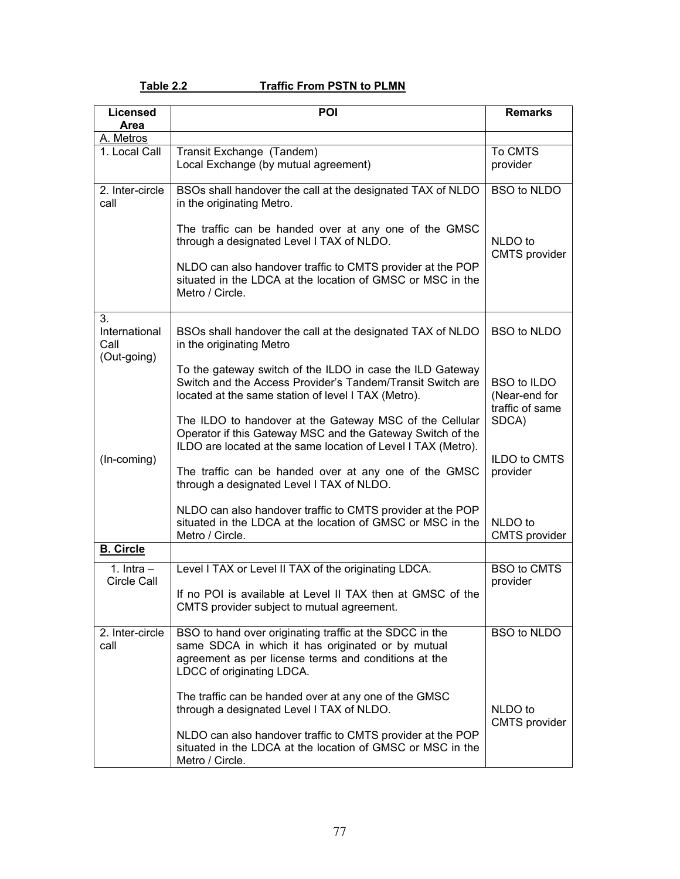## Table 2.2 Traffic From PSTN to PLMN

| <b>Licensed</b>             | <b>POI</b>                                                                                                                                                                                        | <b>Remarks</b>                                         |
|-----------------------------|---------------------------------------------------------------------------------------------------------------------------------------------------------------------------------------------------|--------------------------------------------------------|
| Area<br>A. Metros           |                                                                                                                                                                                                   |                                                        |
| 1. Local Call               | Transit Exchange (Tandem)                                                                                                                                                                         | To CMTS                                                |
|                             | Local Exchange (by mutual agreement)                                                                                                                                                              | provider                                               |
| 2. Inter-circle<br>call     | BSOs shall handover the call at the designated TAX of NLDO<br>in the originating Metro.                                                                                                           | <b>BSO to NLDO</b>                                     |
|                             | The traffic can be handed over at any one of the GMSC<br>through a designated Level I TAX of NLDO.                                                                                                | NLDO to<br><b>CMTS</b> provider                        |
|                             | NLDO can also handover traffic to CMTS provider at the POP<br>situated in the LDCA at the location of GMSC or MSC in the<br>Metro / Circle.                                                       |                                                        |
| 3.<br>International<br>Call | BSOs shall handover the call at the designated TAX of NLDO<br>in the originating Metro                                                                                                            | <b>BSO to NLDO</b>                                     |
| (Out-going)<br>(In-coming)  | To the gateway switch of the ILDO in case the ILD Gateway<br>Switch and the Access Provider's Tandem/Transit Switch are<br>located at the same station of level I TAX (Metro).                    | <b>BSO to ILDO</b><br>(Near-end for<br>traffic of same |
|                             | The ILDO to handover at the Gateway MSC of the Cellular<br>Operator if this Gateway MSC and the Gateway Switch of the<br>ILDO are located at the same location of Level I TAX (Metro).            | SDCA)                                                  |
|                             | The traffic can be handed over at any one of the GMSC<br>through a designated Level I TAX of NLDO.                                                                                                | ILDO to CMTS<br>provider                               |
|                             | NLDO can also handover traffic to CMTS provider at the POP<br>situated in the LDCA at the location of GMSC or MSC in the<br>Metro / Circle.                                                       | NLDO to<br><b>CMTS</b> provider                        |
| <b>B.</b> Circle            |                                                                                                                                                                                                   |                                                        |
| 1. $Intra -$<br>Circle Call | Level I TAX or Level II TAX of the originating LDCA.                                                                                                                                              | <b>BSO to CMTS</b><br>provider                         |
|                             | If no POI is available at Level II TAX then at GMSC of the<br>CMTS provider subject to mutual agreement.                                                                                          |                                                        |
| 2. Inter-circle<br>call     | BSO to hand over originating traffic at the SDCC in the<br>same SDCA in which it has originated or by mutual<br>agreement as per license terms and conditions at the<br>LDCC of originating LDCA. | <b>BSO to NLDO</b>                                     |
|                             | The traffic can be handed over at any one of the GMSC<br>through a designated Level I TAX of NLDO.                                                                                                | NLDO to<br><b>CMTS</b> provider                        |
|                             | NLDO can also handover traffic to CMTS provider at the POP<br>situated in the LDCA at the location of GMSC or MSC in the<br>Metro / Circle.                                                       |                                                        |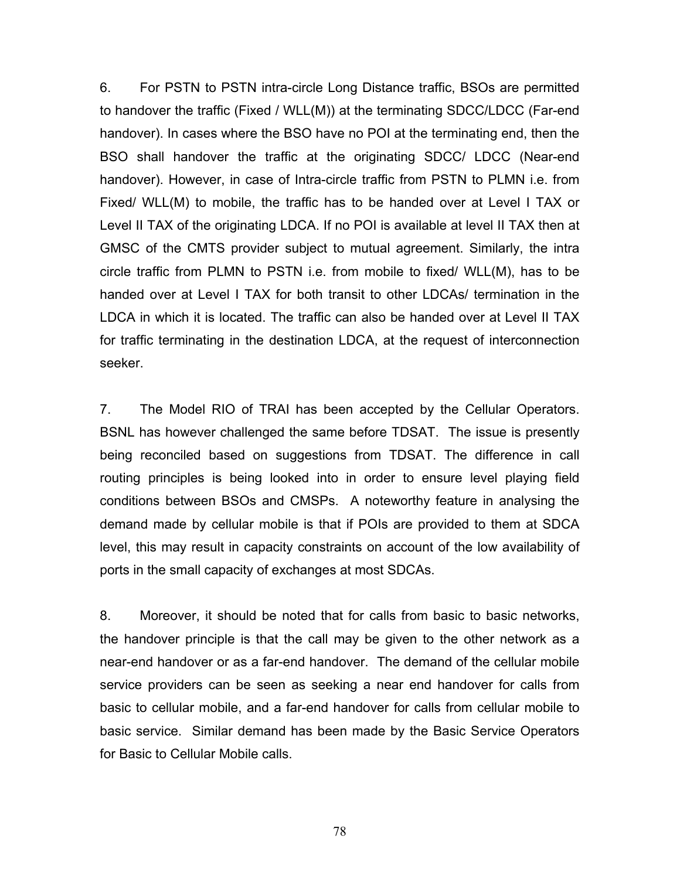6. For PSTN to PSTN intra-circle Long Distance traffic, BSOs are permitted to handover the traffic (Fixed / WLL(M)) at the terminating SDCC/LDCC (Far-end handover). In cases where the BSO have no POI at the terminating end, then the BSO shall handover the traffic at the originating SDCC/ LDCC (Near-end handover). However, in case of Intra-circle traffic from PSTN to PLMN i.e. from Fixed/ WLL(M) to mobile, the traffic has to be handed over at Level I TAX or Level II TAX of the originating LDCA. If no POI is available at level II TAX then at GMSC of the CMTS provider subject to mutual agreement. Similarly, the intra circle traffic from PLMN to PSTN i.e. from mobile to fixed/ WLL(M), has to be handed over at Level I TAX for both transit to other LDCAs/ termination in the LDCA in which it is located. The traffic can also be handed over at Level II TAX for traffic terminating in the destination LDCA, at the request of interconnection seeker.

7. The Model RIO of TRAI has been accepted by the Cellular Operators. BSNL has however challenged the same before TDSAT. The issue is presently being reconciled based on suggestions from TDSAT. The difference in call routing principles is being looked into in order to ensure level playing field conditions between BSOs and CMSPs. A noteworthy feature in analysing the demand made by cellular mobile is that if POIs are provided to them at SDCA level, this may result in capacity constraints on account of the low availability of ports in the small capacity of exchanges at most SDCAs.

8. Moreover, it should be noted that for calls from basic to basic networks, the handover principle is that the call may be given to the other network as a near-end handover or as a far-end handover. The demand of the cellular mobile service providers can be seen as seeking a near end handover for calls from basic to cellular mobile, and a far-end handover for calls from cellular mobile to basic service. Similar demand has been made by the Basic Service Operators for Basic to Cellular Mobile calls.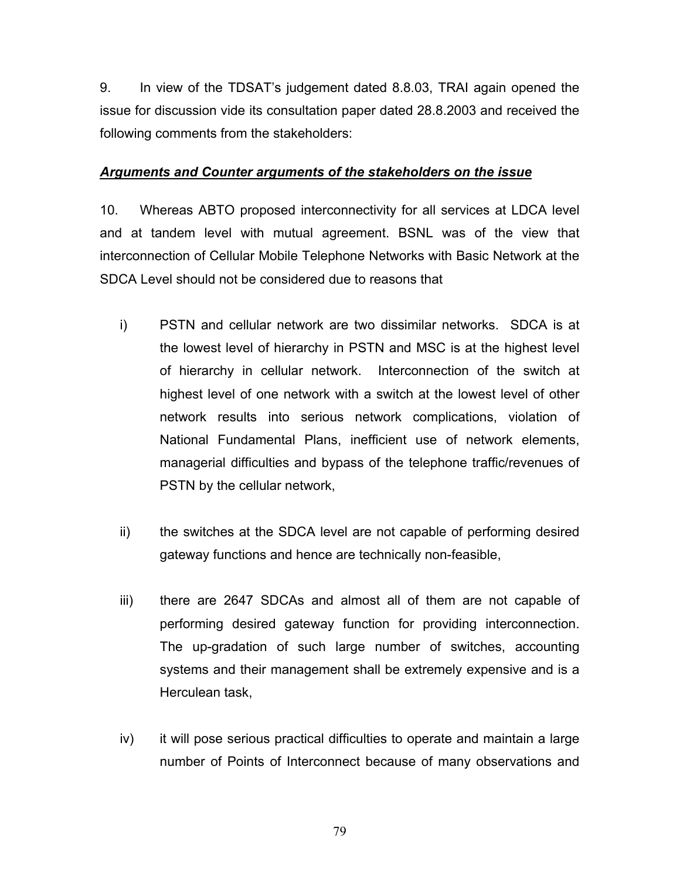9. In view of the TDSAT's judgement dated 8.8.03, TRAI again opened the issue for discussion vide its consultation paper dated 28.8.2003 and received the following comments from the stakeholders:

### *Arguments and Counter arguments of the stakeholders on the issue*

10. Whereas ABTO proposed interconnectivity for all services at LDCA level and at tandem level with mutual agreement. BSNL was of the view that interconnection of Cellular Mobile Telephone Networks with Basic Network at the SDCA Level should not be considered due to reasons that

- i) PSTN and cellular network are two dissimilar networks. SDCA is at the lowest level of hierarchy in PSTN and MSC is at the highest level of hierarchy in cellular network. Interconnection of the switch at highest level of one network with a switch at the lowest level of other network results into serious network complications, violation of National Fundamental Plans, inefficient use of network elements, managerial difficulties and bypass of the telephone traffic/revenues of PSTN by the cellular network,
- ii) the switches at the SDCA level are not capable of performing desired gateway functions and hence are technically non-feasible,
- iii) there are 2647 SDCAs and almost all of them are not capable of performing desired gateway function for providing interconnection. The up-gradation of such large number of switches, accounting systems and their management shall be extremely expensive and is a Herculean task,
- iv) it will pose serious practical difficulties to operate and maintain a large number of Points of Interconnect because of many observations and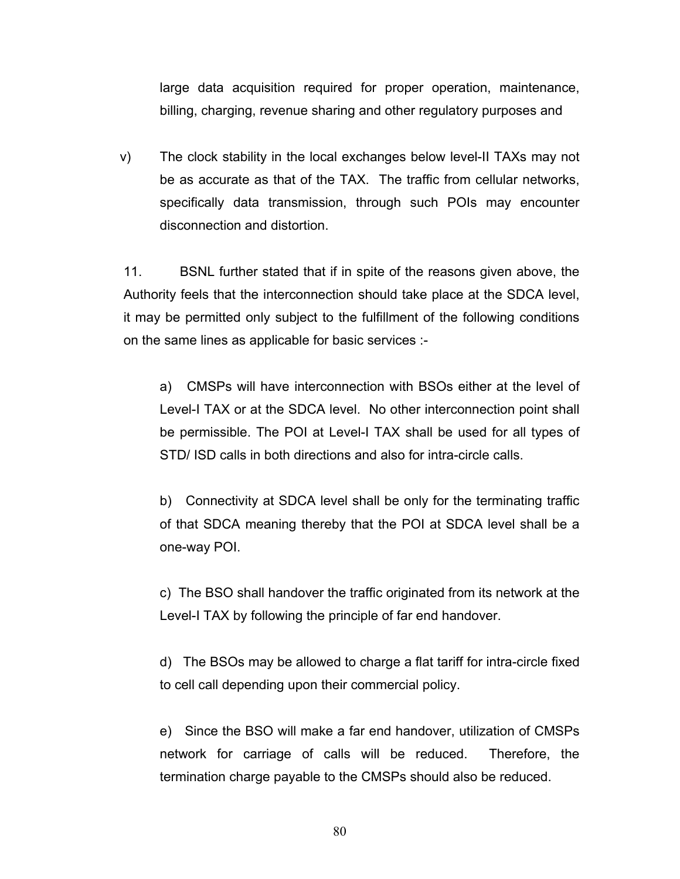large data acquisition required for proper operation, maintenance, billing, charging, revenue sharing and other regulatory purposes and

v) The clock stability in the local exchanges below level-II TAXs may not be as accurate as that of the TAX. The traffic from cellular networks, specifically data transmission, through such POIs may encounter disconnection and distortion.

11. BSNL further stated that if in spite of the reasons given above, the Authority feels that the interconnection should take place at the SDCA level, it may be permitted only subject to the fulfillment of the following conditions on the same lines as applicable for basic services :-

a) CMSPs will have interconnection with BSOs either at the level of Level-I TAX or at the SDCA level. No other interconnection point shall be permissible. The POI at Level-I TAX shall be used for all types of STD/ ISD calls in both directions and also for intra-circle calls.

b) Connectivity at SDCA level shall be only for the terminating traffic of that SDCA meaning thereby that the POI at SDCA level shall be a one-way POI.

c) The BSO shall handover the traffic originated from its network at the Level-I TAX by following the principle of far end handover.

d) The BSOs may be allowed to charge a flat tariff for intra-circle fixed to cell call depending upon their commercial policy.

e) Since the BSO will make a far end handover, utilization of CMSPs network for carriage of calls will be reduced. Therefore, the termination charge payable to the CMSPs should also be reduced.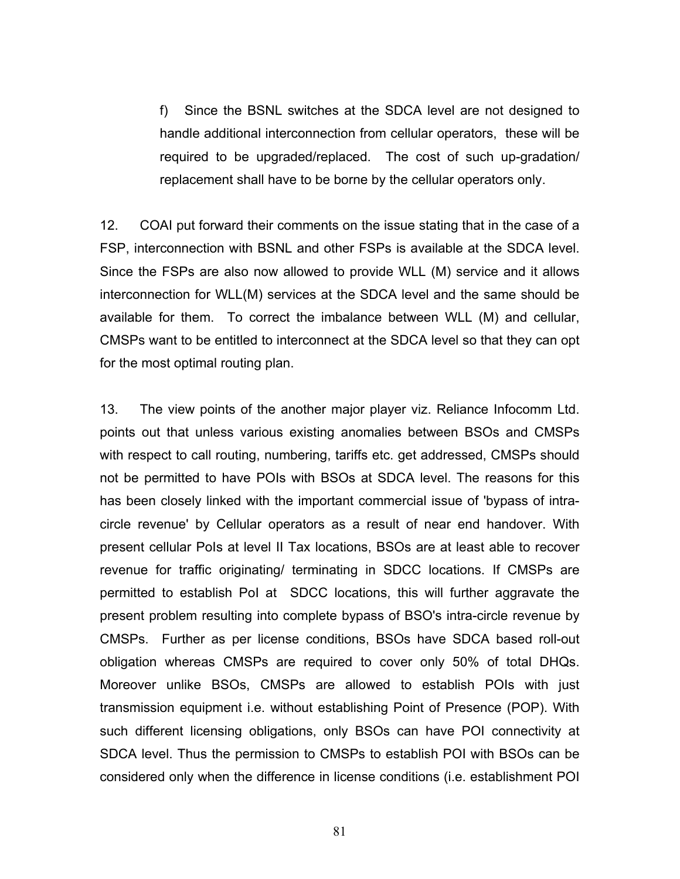f) Since the BSNL switches at the SDCA level are not designed to handle additional interconnection from cellular operators, these will be required to be upgraded/replaced. The cost of such up-gradation/ replacement shall have to be borne by the cellular operators only.

12. COAI put forward their comments on the issue stating that in the case of a FSP, interconnection with BSNL and other FSPs is available at the SDCA level. Since the FSPs are also now allowed to provide WLL (M) service and it allows interconnection for WLL(M) services at the SDCA level and the same should be available for them. To correct the imbalance between WLL (M) and cellular, CMSPs want to be entitled to interconnect at the SDCA level so that they can opt for the most optimal routing plan.

13. The view points of the another major player viz. Reliance Infocomm Ltd. points out that unless various existing anomalies between BSOs and CMSPs with respect to call routing, numbering, tariffs etc. get addressed, CMSPs should not be permitted to have POIs with BSOs at SDCA level. The reasons for this has been closely linked with the important commercial issue of 'bypass of intracircle revenue' by Cellular operators as a result of near end handover. With present cellular PoIs at level II Tax locations, BSOs are at least able to recover revenue for traffic originating/ terminating in SDCC locations. If CMSPs are permitted to establish PoI at SDCC locations, this will further aggravate the present problem resulting into complete bypass of BSO's intra-circle revenue by CMSPs. Further as per license conditions, BSOs have SDCA based roll-out obligation whereas CMSPs are required to cover only 50% of total DHQs. Moreover unlike BSOs, CMSPs are allowed to establish POIs with just transmission equipment i.e. without establishing Point of Presence (POP). With such different licensing obligations, only BSOs can have POI connectivity at SDCA level. Thus the permission to CMSPs to establish POI with BSOs can be considered only when the difference in license conditions (i.e. establishment POI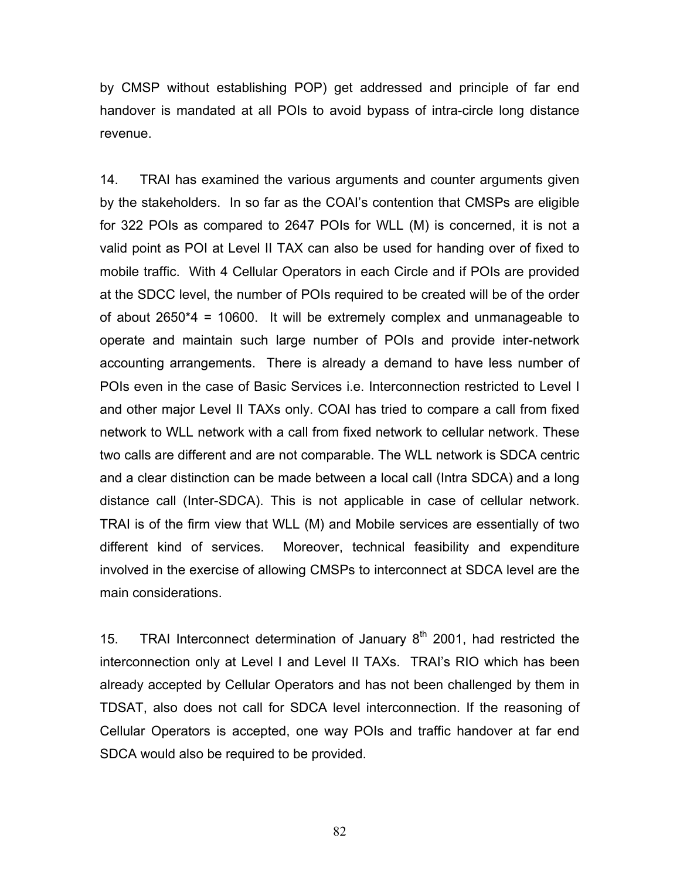by CMSP without establishing POP) get addressed and principle of far end handover is mandated at all POIs to avoid bypass of intra-circle long distance revenue.

14. TRAI has examined the various arguments and counter arguments given by the stakeholders. In so far as the COAI's contention that CMSPs are eligible for 322 POIs as compared to 2647 POIs for WLL (M) is concerned, it is not a valid point as POI at Level II TAX can also be used for handing over of fixed to mobile traffic. With 4 Cellular Operators in each Circle and if POIs are provided at the SDCC level, the number of POIs required to be created will be of the order of about 2650\*4 = 10600. It will be extremely complex and unmanageable to operate and maintain such large number of POIs and provide inter-network accounting arrangements. There is already a demand to have less number of POIs even in the case of Basic Services i.e. Interconnection restricted to Level I and other major Level II TAXs only. COAI has tried to compare a call from fixed network to WLL network with a call from fixed network to cellular network. These two calls are different and are not comparable. The WLL network is SDCA centric and a clear distinction can be made between a local call (Intra SDCA) and a long distance call (Inter-SDCA). This is not applicable in case of cellular network. TRAI is of the firm view that WLL (M) and Mobile services are essentially of two different kind of services. Moreover, technical feasibility and expenditure involved in the exercise of allowing CMSPs to interconnect at SDCA level are the main considerations.

15. TRAI Interconnect determination of January  $8<sup>th</sup>$  2001, had restricted the interconnection only at Level I and Level II TAXs. TRAI's RIO which has been already accepted by Cellular Operators and has not been challenged by them in TDSAT, also does not call for SDCA level interconnection. If the reasoning of Cellular Operators is accepted, one way POIs and traffic handover at far end SDCA would also be required to be provided.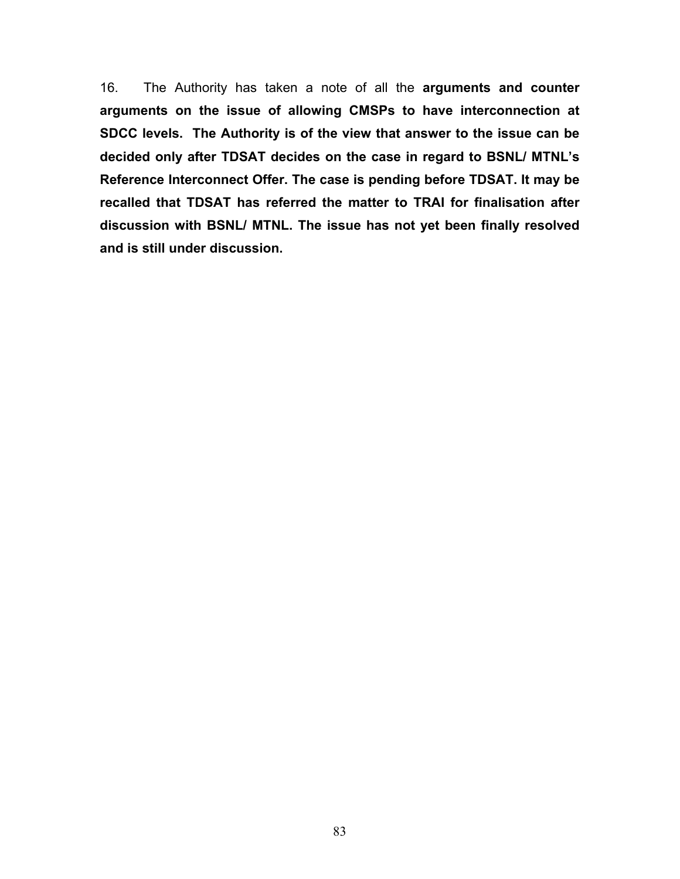16. The Authority has taken a note of all the **arguments and counter arguments on the issue of allowing CMSPs to have interconnection at SDCC levels. The Authority is of the view that answer to the issue can be decided only after TDSAT decides on the case in regard to BSNL/ MTNL's Reference Interconnect Offer. The case is pending before TDSAT. It may be recalled that TDSAT has referred the matter to TRAI for finalisation after discussion with BSNL/ MTNL. The issue has not yet been finally resolved and is still under discussion.**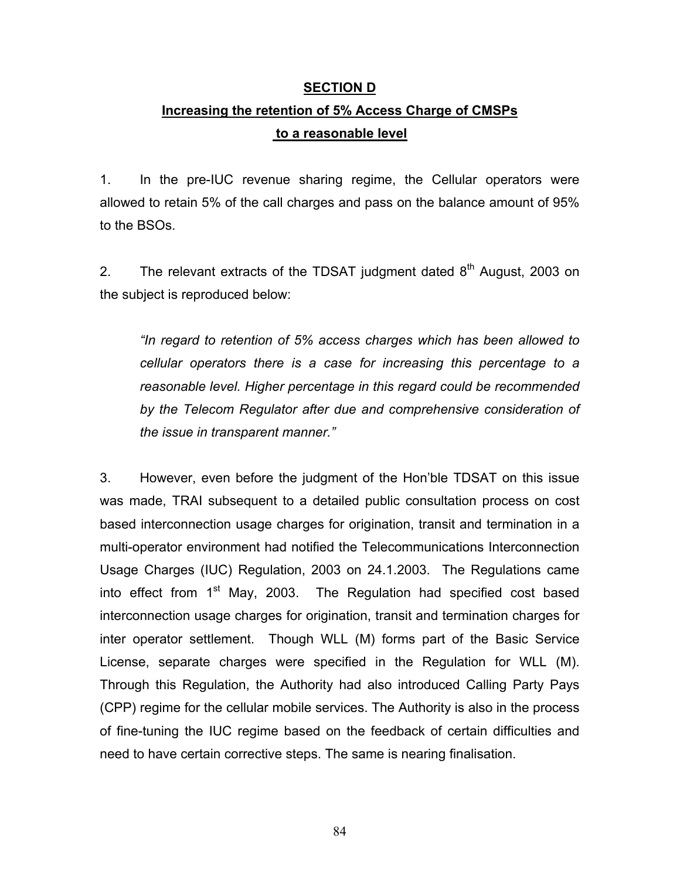### **SECTION D**

# **Increasing the retention of 5% Access Charge of CMSPs to a reasonable level**

1. In the pre-IUC revenue sharing regime, the Cellular operators were allowed to retain 5% of the call charges and pass on the balance amount of 95% to the BSOs.

2. The relevant extracts of the TDSAT judgment dated  $8<sup>th</sup>$  August, 2003 on the subject is reproduced below:

*"In regard to retention of 5% access charges which has been allowed to cellular operators there is a case for increasing this percentage to a reasonable level. Higher percentage in this regard could be recommended by the Telecom Regulator after due and comprehensive consideration of the issue in transparent manner."* 

3. However, even before the judgment of the Hon'ble TDSAT on this issue was made, TRAI subsequent to a detailed public consultation process on cost based interconnection usage charges for origination, transit and termination in a multi-operator environment had notified the Telecommunications Interconnection Usage Charges (IUC) Regulation, 2003 on 24.1.2003. The Regulations came into effect from  $1<sup>st</sup>$  May, 2003. The Regulation had specified cost based interconnection usage charges for origination, transit and termination charges for inter operator settlement. Though WLL (M) forms part of the Basic Service License, separate charges were specified in the Regulation for WLL (M). Through this Regulation, the Authority had also introduced Calling Party Pays (CPP) regime for the cellular mobile services. The Authority is also in the process of fine-tuning the IUC regime based on the feedback of certain difficulties and need to have certain corrective steps. The same is nearing finalisation.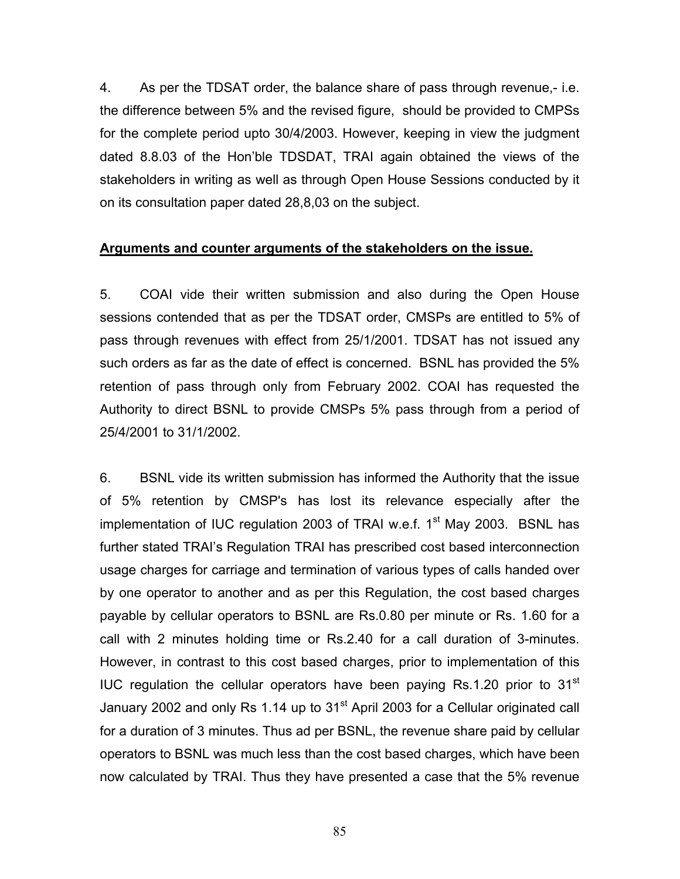4. As per the TDSAT order, the balance share of pass through revenue,- i.e. the difference between 5% and the revised figure, should be provided to CMPSs for the complete period upto 30/4/2003. However, keeping in view the judgment dated 8.8.03 of the Hon'ble TDSDAT, TRAI again obtained the views of the stakeholders in writing as well as through Open House Sessions conducted by it on its consultation paper dated 28,8,03 on the subject.

### **Arguments and counter arguments of the stakeholders on the issue.**

5. COAI vide their written submission and also during the Open House sessions contended that as per the TDSAT order, CMSPs are entitled to 5% of pass through revenues with effect from 25/1/2001. TDSAT has not issued any such orders as far as the date of effect is concerned. BSNL has provided the 5% retention of pass through only from February 2002. COAI has requested the Authority to direct BSNL to provide CMSPs 5% pass through from a period of 25/4/2001 to 31/1/2002.

6. BSNL vide its written submission has informed the Authority that the issue of 5% retention by CMSP's has lost its relevance especially after the implementation of IUC regulation 2003 of TRAI w.e.f.  $1<sup>st</sup>$  May 2003. BSNL has further stated TRAI's Regulation TRAI has prescribed cost based interconnection usage charges for carriage and termination of various types of calls handed over by one operator to another and as per this Regulation, the cost based charges payable by cellular operators to BSNL are Rs.0.80 per minute or Rs. 1.60 for a call with 2 minutes holding time or Rs.2.40 for a call duration of 3-minutes. However, in contrast to this cost based charges, prior to implementation of this IUC regulation the cellular operators have been paying  $Rs.1.20$  prior to  $31<sup>st</sup>$ January 2002 and only Rs 1.14 up to  $31<sup>st</sup>$  April 2003 for a Cellular originated call for a duration of 3 minutes. Thus ad per BSNL, the revenue share paid by cellular operators to BSNL was much less than the cost based charges, which have been now calculated by TRAI. Thus they have presented a case that the 5% revenue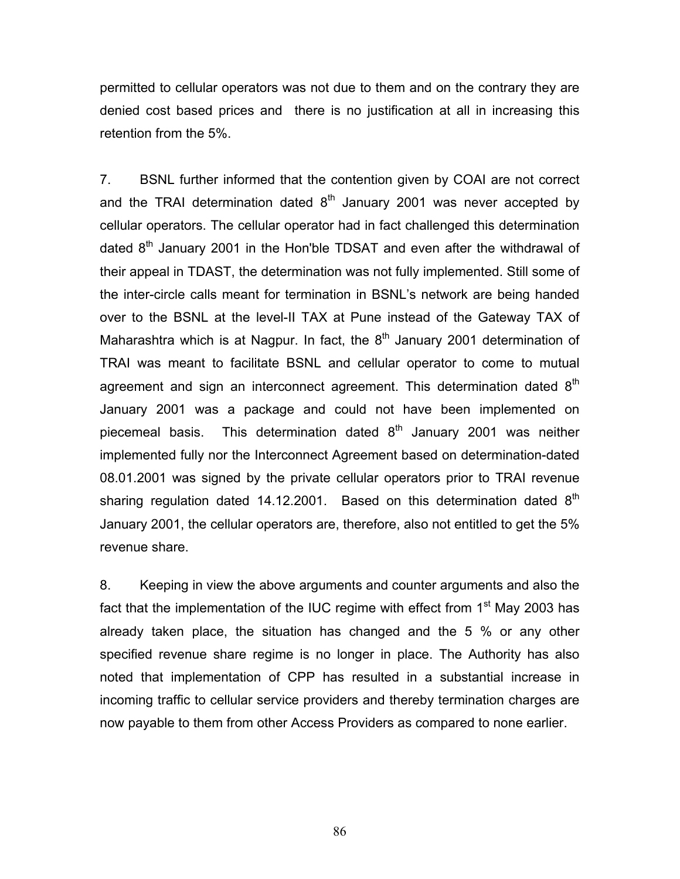permitted to cellular operators was not due to them and on the contrary they are denied cost based prices and there is no justification at all in increasing this retention from the 5%.

7. BSNL further informed that the contention given by COAI are not correct and the TRAI determination dated  $8<sup>th</sup>$  January 2001 was never accepted by cellular operators. The cellular operator had in fact challenged this determination dated  $8<sup>th</sup>$  January 2001 in the Hon'ble TDSAT and even after the withdrawal of their appeal in TDAST, the determination was not fully implemented. Still some of the inter-circle calls meant for termination in BSNL's network are being handed over to the BSNL at the level-II TAX at Pune instead of the Gateway TAX of Maharashtra which is at Nagpur. In fact, the  $8<sup>th</sup>$  January 2001 determination of TRAI was meant to facilitate BSNL and cellular operator to come to mutual agreement and sign an interconnect agreement. This determination dated  $8<sup>th</sup>$ January 2001 was a package and could not have been implemented on piecemeal basis. This determination dated  $8<sup>th</sup>$  January 2001 was neither implemented fully nor the Interconnect Agreement based on determination-dated 08.01.2001 was signed by the private cellular operators prior to TRAI revenue sharing regulation dated 14.12.2001. Based on this determination dated  $8<sup>th</sup>$ January 2001, the cellular operators are, therefore, also not entitled to get the 5% revenue share.

8. Keeping in view the above arguments and counter arguments and also the fact that the implementation of the IUC regime with effect from  $1<sup>st</sup>$  May 2003 has already taken place, the situation has changed and the 5 % or any other specified revenue share regime is no longer in place. The Authority has also noted that implementation of CPP has resulted in a substantial increase in incoming traffic to cellular service providers and thereby termination charges are now payable to them from other Access Providers as compared to none earlier.